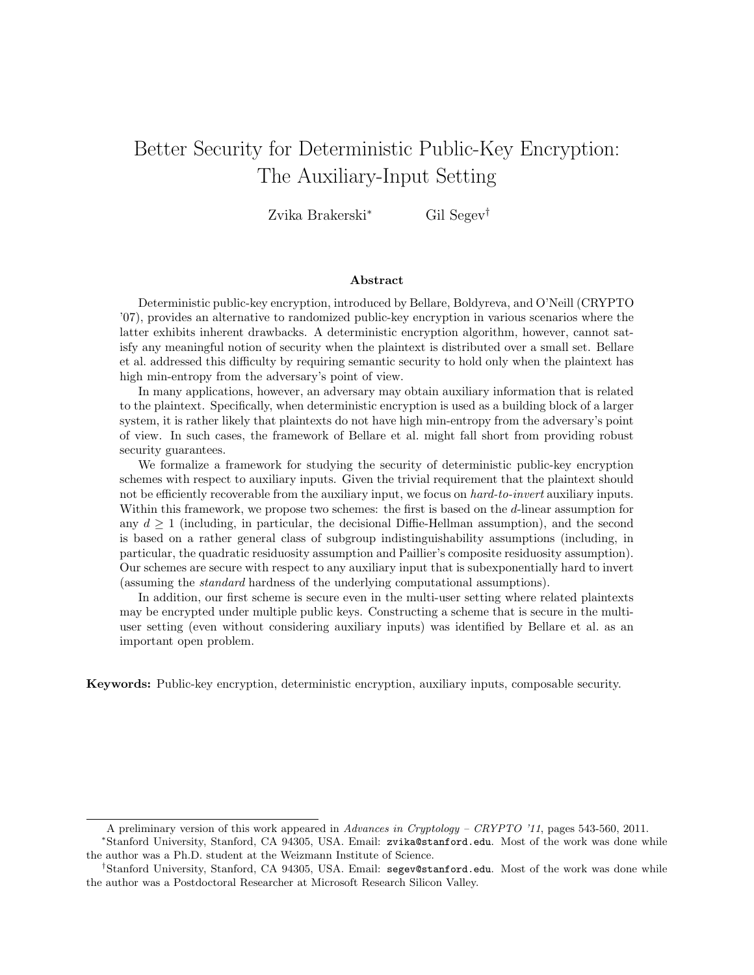# Better Security for Deterministic Public-Key Encryption: The Auxiliary-Input Setting

Zvika Brakerski*<sup>∗</sup>* Gil Segev*†*

#### **Abstract**

Deterministic public-key encryption, introduced by Bellare, Boldyreva, and O'Neill (CRYPTO '07), provides an alternative to randomized public-key encryption in various scenarios where the latter exhibits inherent drawbacks. A deterministic encryption algorithm, however, cannot satisfy any meaningful notion of security when the plaintext is distributed over a small set. Bellare et al. addressed this difficulty by requiring semantic security to hold only when the plaintext has high min-entropy from the adversary's point of view.

In many applications, however, an adversary may obtain auxiliary information that is related to the plaintext. Specifically, when deterministic encryption is used as a building block of a larger system, it is rather likely that plaintexts do not have high min-entropy from the adversary's point of view. In such cases, the framework of Bellare et al. might fall short from providing robust security guarantees.

We formalize a framework for studying the security of deterministic public-key encryption schemes with respect to auxiliary inputs. Given the trivial requirement that the plaintext should not be efficiently recoverable from the auxiliary input, we focus on *hard-to-invert* auxiliary inputs. Within this framework, we propose two schemes: the first is based on the *d*-linear assumption for any  $d \geq 1$  (including, in particular, the decisional Diffie-Hellman assumption), and the second is based on a rather general class of subgroup indistinguishability assumptions (including, in particular, the quadratic residuosity assumption and Paillier's composite residuosity assumption). Our schemes are secure with respect to any auxiliary input that is subexponentially hard to invert (assuming the *standard* hardness of the underlying computational assumptions).

In addition, our first scheme is secure even in the multi-user setting where related plaintexts may be encrypted under multiple public keys. Constructing a scheme that is secure in the multiuser setting (even without considering auxiliary inputs) was identified by Bellare et al. as an important open problem.

**Keywords:** Public-key encryption, deterministic encryption, auxiliary inputs, composable security.

A preliminary version of this work appeared in *Advances in Cryptology – CRYPTO '11*, pages 543-560, 2011.

*<sup>∗</sup>*Stanford University, Stanford, CA 94305, USA. Email: zvika@stanford.edu. Most of the work was done while the author was a Ph.D. student at the Weizmann Institute of Science.

<sup>&</sup>lt;sup>†</sup>Stanford University, Stanford, CA 94305, USA. Email: segev@stanford.edu. Most of the work was done while the author was a Postdoctoral Researcher at Microsoft Research Silicon Valley.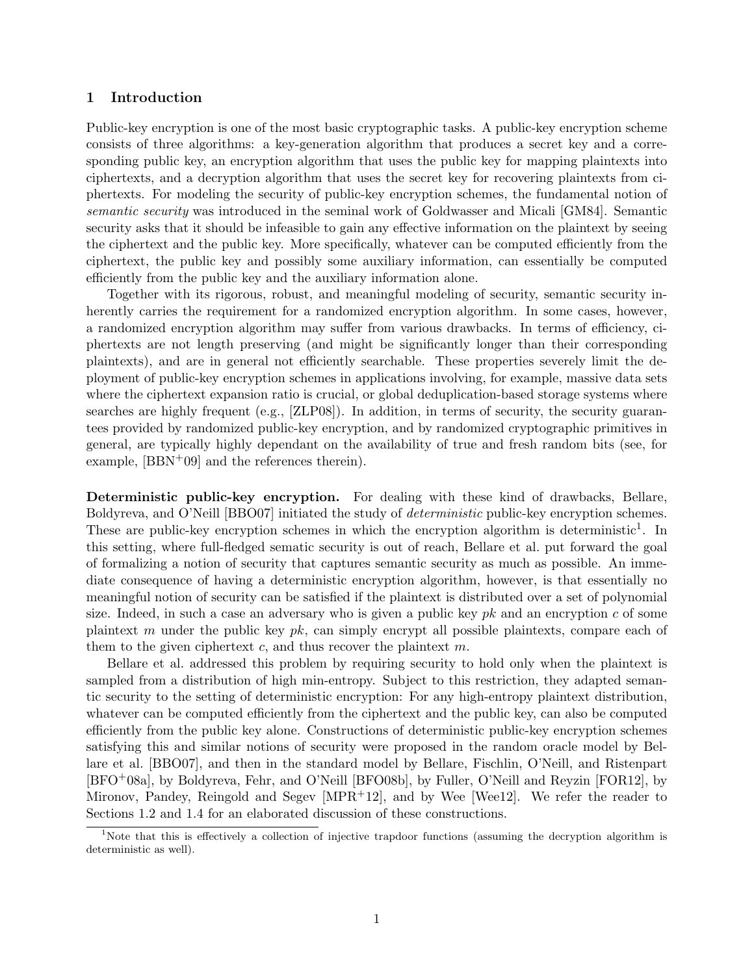# **1 Introduction**

Public-key encryption is one of the most basic cryptographic tasks. A public-key encryption scheme consists of three algorithms: a key-generation algorithm that produces a secret key and a corresponding public key, an encryption algorithm that uses the public key for mapping plaintexts into ciphertexts, and a decryption algorithm that uses the secret key for recovering plaintexts from ciphertexts. For modeling the security of public-key encryption schemes, the fundamental notion of *semantic security* was introduced in the seminal work of Goldwasser and Micali [[GM84](#page-33-0)]. Semantic security asks that it should be infeasible to gain any effective information on the plaintext by seeing the ciphertext and the public key. More specifically, whatever can be computed efficiently from the ciphertext, the public key and possibly some auxiliary information, can essentially be computed efficiently from the public key and the auxiliary information alone.

Together with its rigorous, robust, and meaningful modeling of security, semantic security inherently carries the requirement for a randomized encryption algorithm. In some cases, however, a randomized encryption algorithm may suffer from various drawbacks. In terms of efficiency, ciphertexts are not length preserving (and might be significantly longer than their corresponding plaintexts), and are in general not efficiently searchable. These properties severely limit the deployment of public-key encryption schemes in applications involving, for example, massive data sets where the ciphertext expansion ratio is crucial, or global deduplication-based storage systems where searches are highly frequent (e.g., [[ZLP08\]](#page-33-1)). In addition, in terms of security, the security guarantees provided by randomized public-key encryption, and by randomized cryptographic primitives in general, are typically highly dependant on the availability of true and fresh random bits (see, for example,  $[BBN^+09]$  $[BBN^+09]$  $[BBN^+09]$  and the references therein).

**Deterministic public-key encryption.** For dealing with these kind of drawbacks, Bellare, Boldyreva, and O'Neill [[BBO07\]](#page-31-1) initiated the study of *deterministic* public-key encryption schemes. These are public-key encryption schemes in which the encryption algorithm is deterministic<sup>[1](#page-1-0)</sup>. In this setting, where full-fledged sematic security is out of reach, Bellare et al. put forward the goal of formalizing a notion of security that captures semantic security as much as possible. An immediate consequence of having a deterministic encryption algorithm, however, is that essentially no meaningful notion of security can be satisfied if the plaintext is distributed over a set of polynomial size. Indeed, in such a case an adversary who is given a public key *pk* and an encryption *c* of some plaintext *m* under the public key *pk*, can simply encrypt all possible plaintexts, compare each of them to the given ciphertext *c*, and thus recover the plaintext *m*.

Bellare et al. addressed this problem by requiring security to hold only when the plaintext is sampled from a distribution of high min-entropy. Subject to this restriction, they adapted semantic security to the setting of deterministic encryption: For any high-entropy plaintext distribution, whatever can be computed efficiently from the ciphertext and the public key, can also be computed efficiently from the public key alone. Constructions of deterministic public-key encryption schemes satisfying this and similar notions of security were proposed in the random oracle model by Bellare et al. [[BBO07\]](#page-31-1), and then in the standard model by Bellare, Fischlin, O'Neill, and Ristenpart [\[BFO](#page-32-0)+08a], by Boldyreva, Fehr, and O'Neill [[BFO08b](#page-32-1)], by Fuller, O'Neill and Reyzin [\[FOR12\]](#page-32-2), by Mironov, Pandey, Reingold and Segev  $[MPR+12]$  $[MPR+12]$  $[MPR+12]$ , and by Wee  $[Wee12]$  $[Wee12]$ . We refer the reader to Sections [1.2](#page-3-0) and [1.4](#page-7-0) for an elaborated discussion of these constructions.

<span id="page-1-0"></span><sup>&</sup>lt;sup>1</sup>Note that this is effectively a collection of injective trapdoor functions (assuming the decryption algorithm is deterministic as well).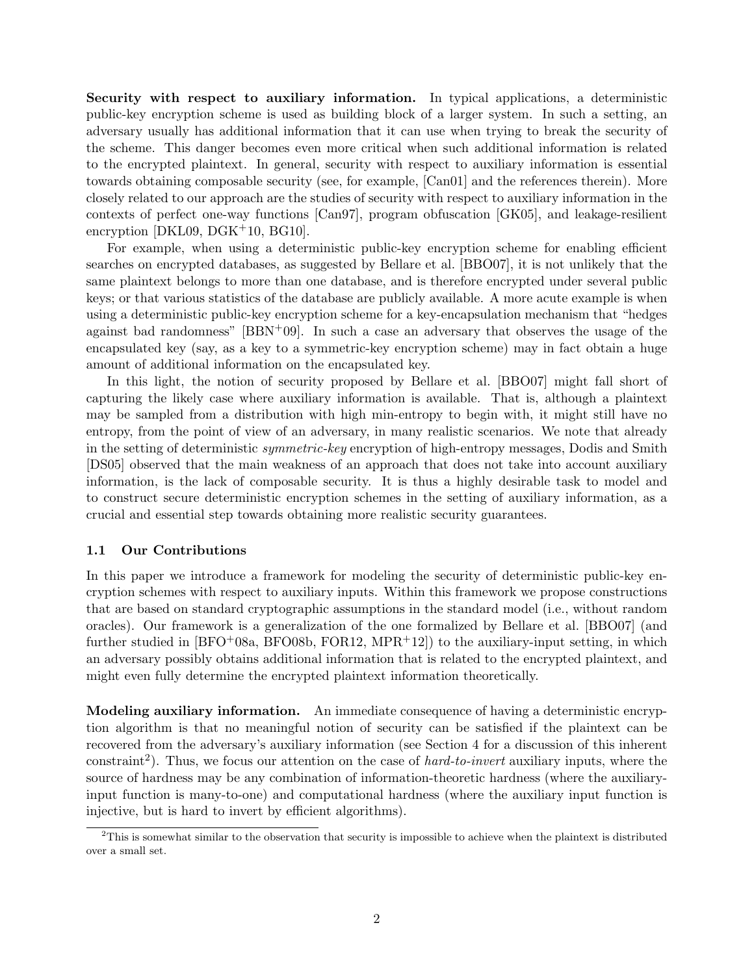**Security with respect to auxiliary information.** In typical applications, a deterministic public-key encryption scheme is used as building block of a larger system. In such a setting, an adversary usually has additional information that it can use when trying to break the security of the scheme. This danger becomes even more critical when such additional information is related to the encrypted plaintext. In general, security with respect to auxiliary information is essential towards obtaining composable security (see, for example, [\[Can01\]](#page-32-3) and the references therein). More closely related to our approach are the studies of security with respect to auxiliary information in the contexts of perfect one-way functions [\[Can97\]](#page-32-4), program obfuscation [[GK05\]](#page-32-5), and leakage-resilient encryption [\[DKL09,](#page-32-6) [DGK](#page-32-7)+10, [BG10\]](#page-32-8).

For example, when using a deterministic public-key encryption scheme for enabling efficient searches on encrypted databases, as suggested by Bellare et al. [\[BBO07](#page-31-1)], it is not unlikely that the same plaintext belongs to more than one database, and is therefore encrypted under several public keys; or that various statistics of the database are publicly available. A more acute example is when using a deterministic public-key encryption scheme for a key-encapsulation mechanism that "hedges against bad randomness" [\[BBN](#page-31-0)+09]. In such a case an adversary that observes the usage of the encapsulated key (say, as a key to a symmetric-key encryption scheme) may in fact obtain a huge amount of additional information on the encapsulated key.

In this light, the notion of security proposed by Bellare et al. [[BBO07\]](#page-31-1) might fall short of capturing the likely case where auxiliary information is available. That is, although a plaintext may be sampled from a distribution with high min-entropy to begin with, it might still have no entropy, from the point of view of an adversary, in many realistic scenarios. We note that already in the setting of deterministic *symmetric-key* encryption of high-entropy messages, Dodis and Smith [\[DS05](#page-32-9)] observed that the main weakness of an approach that does not take into account auxiliary information, is the lack of composable security. It is thus a highly desirable task to model and to construct secure deterministic encryption schemes in the setting of auxiliary information, as a crucial and essential step towards obtaining more realistic security guarantees.

## <span id="page-2-1"></span>**1.1 Our Contributions**

In this paper we introduce a framework for modeling the security of deterministic public-key encryption schemes with respect to auxiliary inputs. Within this framework we propose constructions that are based on standard cryptographic assumptions in the standard model (i.e., without random oracles). Our framework is a generalization of the one formalized by Bellare et al. [[BBO07\]](#page-31-1) (and further studied in  $[BFO<sup>+</sup>08a, BFO08b, FOR12, MPR<sup>+</sup>12]$  $[BFO<sup>+</sup>08a, BFO08b, FOR12, MPR<sup>+</sup>12]$  $[BFO<sup>+</sup>08a, BFO08b, FOR12, MPR<sup>+</sup>12]$  $[BFO<sup>+</sup>08a, BFO08b, FOR12, MPR<sup>+</sup>12]$  $[BFO<sup>+</sup>08a, BFO08b, FOR12, MPR<sup>+</sup>12]$  $[BFO<sup>+</sup>08a, BFO08b, FOR12, MPR<sup>+</sup>12]$  $[BFO<sup>+</sup>08a, BFO08b, FOR12, MPR<sup>+</sup>12]$  $[BFO<sup>+</sup>08a, BFO08b, FOR12, MPR<sup>+</sup>12]$  $[BFO<sup>+</sup>08a, BFO08b, FOR12, MPR<sup>+</sup>12]$  to the auxiliary-input setting, in which an adversary possibly obtains additional information that is related to the encrypted plaintext, and might even fully determine the encrypted plaintext information theoretically.

**Modeling auxiliary information.** An immediate consequence of having a deterministic encryption algorithm is that no meaningful notion of security can be satisfied if the plaintext can be recovered from the adversary's auxiliary information (see Section [4](#page-11-0) for a discussion of this inherent constraint[2](#page-2-0) ). Thus, we focus our attention on the case of *hard-to-invert* auxiliary inputs, where the source of hardness may be any combination of information-theoretic hardness (where the auxiliaryinput function is many-to-one) and computational hardness (where the auxiliary input function is injective, but is hard to invert by efficient algorithms).

<span id="page-2-0"></span><sup>2</sup>This is somewhat similar to the observation that security is impossible to achieve when the plaintext is distributed over a small set.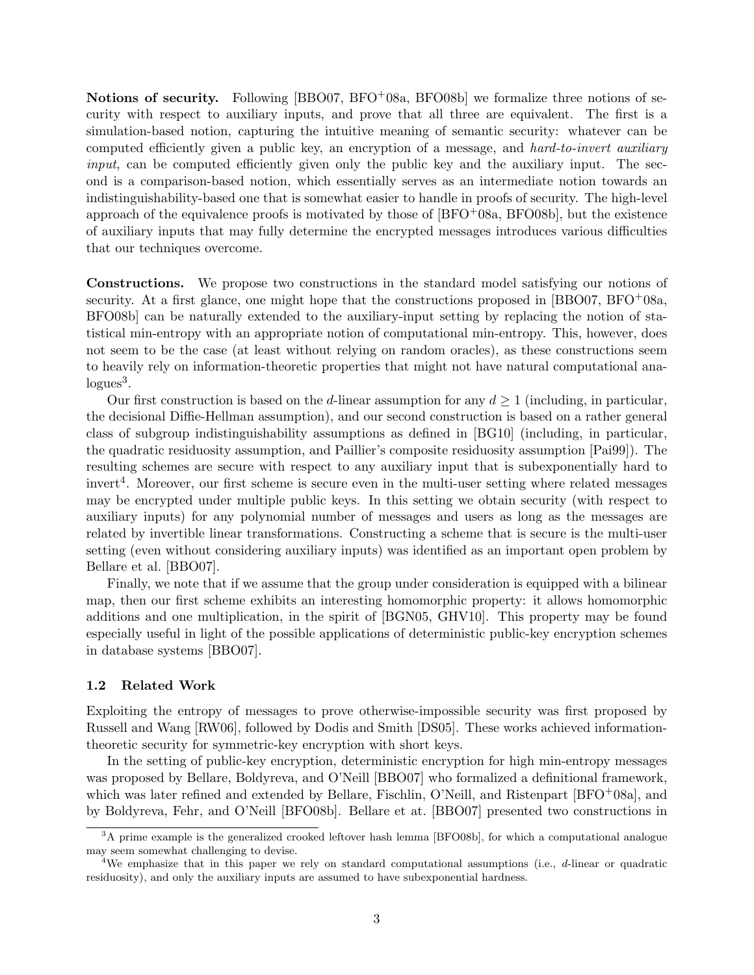**Notions of security.** Following [\[BBO07](#page-31-1), [BFO](#page-32-0)<sup>+</sup>08a, [BFO08b](#page-32-1)] we formalize three notions of security with respect to auxiliary inputs, and prove that all three are equivalent. The first is a simulation-based notion, capturing the intuitive meaning of semantic security: whatever can be computed efficiently given a public key, an encryption of a message, and *hard-to-invert auxiliary input*, can be computed efficiently given only the public key and the auxiliary input. The second is a comparison-based notion, which essentially serves as an intermediate notion towards an indistinguishability-based one that is somewhat easier to handle in proofs of security. The high-level approach of the equivalence proofs is motivated by those of  $[BFO<sup>+</sup>08a, BFO08b]$  $[BFO<sup>+</sup>08a, BFO08b]$  $[BFO<sup>+</sup>08a, BFO08b]$  $[BFO<sup>+</sup>08a, BFO08b]$  $[BFO<sup>+</sup>08a, BFO08b]$ , but the existence of auxiliary inputs that may fully determine the encrypted messages introduces various difficulties that our techniques overcome.

**Constructions.** We propose two constructions in the standard model satisfying our notions of security. At a first glance, one might hope that the constructions proposed in  $[BBO07, BFO<sup>+</sup>08a$  $[BBO07, BFO<sup>+</sup>08a$  $[BBO07, BFO<sup>+</sup>08a$  $[BBO07, BFO<sup>+</sup>08a$  $[BBO07, BFO<sup>+</sup>08a$ , [BFO08b\]](#page-32-1) can be naturally extended to the auxiliary-input setting by replacing the notion of statistical min-entropy with an appropriate notion of computational min-entropy. This, however, does not seem to be the case (at least without relying on random oracles), as these constructions seem to heavily rely on information-theoretic properties that might not have natural computational ana- $logues<sup>3</sup>$  $logues<sup>3</sup>$  $logues<sup>3</sup>$ .

Our first construction is based on the *d*-linear assumption for any  $d \geq 1$  (including, in particular, the decisional Diffie-Hellman assumption), and our second construction is based on a rather general class of subgroup indistinguishability assumptions as defined in [[BG10\]](#page-32-8) (including, in particular, the quadratic residuosity assumption, and Paillier's composite residuosity assumption [[Pai99](#page-33-4)]). The resulting schemes are secure with respect to any auxiliary input that is subexponentially hard to invert<sup>[4](#page-3-2)</sup>. Moreover, our first scheme is secure even in the multi-user setting where related messages may be encrypted under multiple public keys. In this setting we obtain security (with respect to auxiliary inputs) for any polynomial number of messages and users as long as the messages are related by invertible linear transformations. Constructing a scheme that is secure is the multi-user setting (even without considering auxiliary inputs) was identified as an important open problem by Bellare et al. [[BBO07\]](#page-31-1).

Finally, we note that if we assume that the group under consideration is equipped with a bilinear map, then our first scheme exhibits an interesting homomorphic property: it allows homomorphic additions and one multiplication, in the spirit of [[BGN05](#page-32-10), [GHV10](#page-32-11)]. This property may be found especially useful in light of the possible applications of deterministic public-key encryption schemes in database systems [[BBO07\]](#page-31-1).

## <span id="page-3-0"></span>**1.2 Related Work**

Exploiting the entropy of messages to prove otherwise-impossible security was first proposed by Russell and Wang [[RW06\]](#page-33-5), followed by Dodis and Smith [[DS05](#page-32-9)]. These works achieved informationtheoretic security for symmetric-key encryption with short keys.

In the setting of public-key encryption, deterministic encryption for high min-entropy messages was proposed by Bellare, Boldyreva, and O'Neill [[BBO07](#page-31-1)] who formalized a definitional framework, which was later refined and extended by Bellare, Fischlin, O'Neill, and Ristenpart [[BFO](#page-32-0)+08a], and by Boldyreva, Fehr, and O'Neill [\[BFO08b](#page-32-1)]. Bellare et at. [[BBO07](#page-31-1)] presented two constructions in

<span id="page-3-1"></span><sup>&</sup>lt;sup>3</sup>A prime example is the generalized crooked leftover hash lemma [\[BFO08b](#page-32-1)], for which a computational analogue may seem somewhat challenging to devise.

<span id="page-3-2"></span><sup>4</sup>We emphasize that in this paper we rely on standard computational assumptions (i.e., *d*-linear or quadratic residuosity), and only the auxiliary inputs are assumed to have subexponential hardness.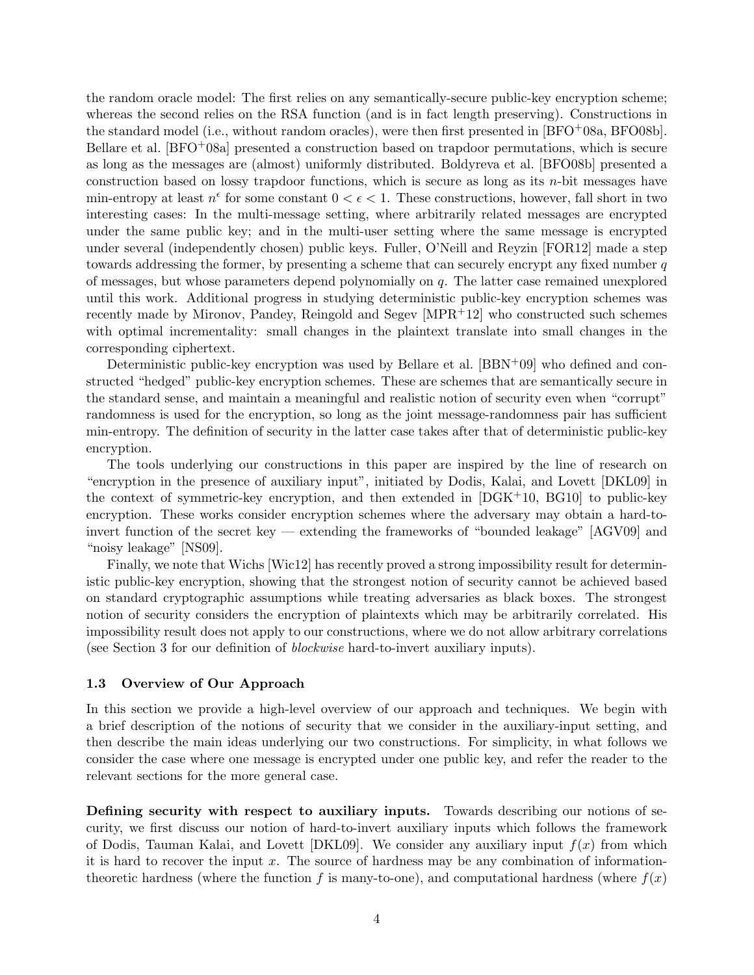the random oracle model: The first relies on any semantically-secure public-key encryption scheme; whereas the second relies on the RSA function (and is in fact length preserving). Constructions in the standard model (i.e., without random oracles), were then first presented in [[BFO](#page-32-0)+08a, [BFO08b\]](#page-32-1). Bellare et al.  $[BFO<sup>+</sup>08a]$  $[BFO<sup>+</sup>08a]$  presented a construction based on trapdoor permutations, which is secure as long as the messages are (almost) uniformly distributed. Boldyreva et al. [[BFO08b\]](#page-32-1) presented a construction based on lossy trapdoor functions, which is secure as long as its *n*-bit messages have min-entropy at least  $n^{\epsilon}$  for some constant  $0 < \epsilon < 1$ . These constructions, however, fall short in two interesting cases: In the multi-message setting, where arbitrarily related messages are encrypted under the same public key; and in the multi-user setting where the same message is encrypted under several (independently chosen) public keys. Fuller, O'Neill and Reyzin [[FOR12\]](#page-32-2) made a step towards addressing the former, by presenting a scheme that can securely encrypt any fixed number *q* of messages, but whose parameters depend polynomially on *q*. The latter case remained unexplored until this work. Additional progress in studying deterministic public-key encryption schemes was recently made by Mironov, Pandey, Reingold and Segev  $[MPR+12]$  $[MPR+12]$  $[MPR+12]$  who constructed such schemes with optimal incrementality: small changes in the plaintext translate into small changes in the corresponding ciphertext.

Deterministic public-key encryption was used by Bellare et al. [\[BBN](#page-31-0)+09] who defined and constructed "hedged" public-key encryption schemes. These are schemes that are semantically secure in the standard sense, and maintain a meaningful and realistic notion of security even when "corrupt" randomness is used for the encryption, so long as the joint message-randomness pair has sufficient min-entropy. The definition of security in the latter case takes after that of deterministic public-key encryption.

The tools underlying our constructions in this paper are inspired by the line of research on "encryption in the presence of auxiliary input", initiated by Dodis, Kalai, and Lovett [[DKL09\]](#page-32-6) in the context of symmetric-key encryption, and then extended in [[DGK](#page-32-7)+10, [BG10](#page-32-8)] to public-key encryption. These works consider encryption schemes where the adversary may obtain a hard-toinvert function of the secret key — extending the frameworks of "bounded leakage" [[AGV09](#page-31-2)] and "noisy leakage" [[NS09](#page-33-6)].

Finally, we note that Wichs [\[Wic12](#page-33-7)] has recently proved a strong impossibility result for deterministic public-key encryption, showing that the strongest notion of security cannot be achieved based on standard cryptographic assumptions while treating adversaries as black boxes. The strongest notion of security considers the encryption of plaintexts which may be arbitrarily correlated. His impossibility result does not apply to our constructions, where we do not allow arbitrary correlations (see Section [3](#page-10-0) for our definition of *blockwise* hard-to-invert auxiliary inputs).

# **1.3 Overview of Our Approach**

In this section we provide a high-level overview of our approach and techniques. We begin with a brief description of the notions of security that we consider in the auxiliary-input setting, and then describe the main ideas underlying our two constructions. For simplicity, in what follows we consider the case where one message is encrypted under one public key, and refer the reader to the relevant sections for the more general case.

**Defining security with respect to auxiliary inputs.** Towards describing our notions of security, we first discuss our notion of hard-to-invert auxiliary inputs which follows the framework of Dodis, Tauman Kalai, and Lovett [[DKL09](#page-32-6)]. We consider any auxiliary input  $f(x)$  from which it is hard to recover the input *x*. The source of hardness may be any combination of informationtheoretic hardness (where the function  $f$  is many-to-one), and computational hardness (where  $f(x)$ )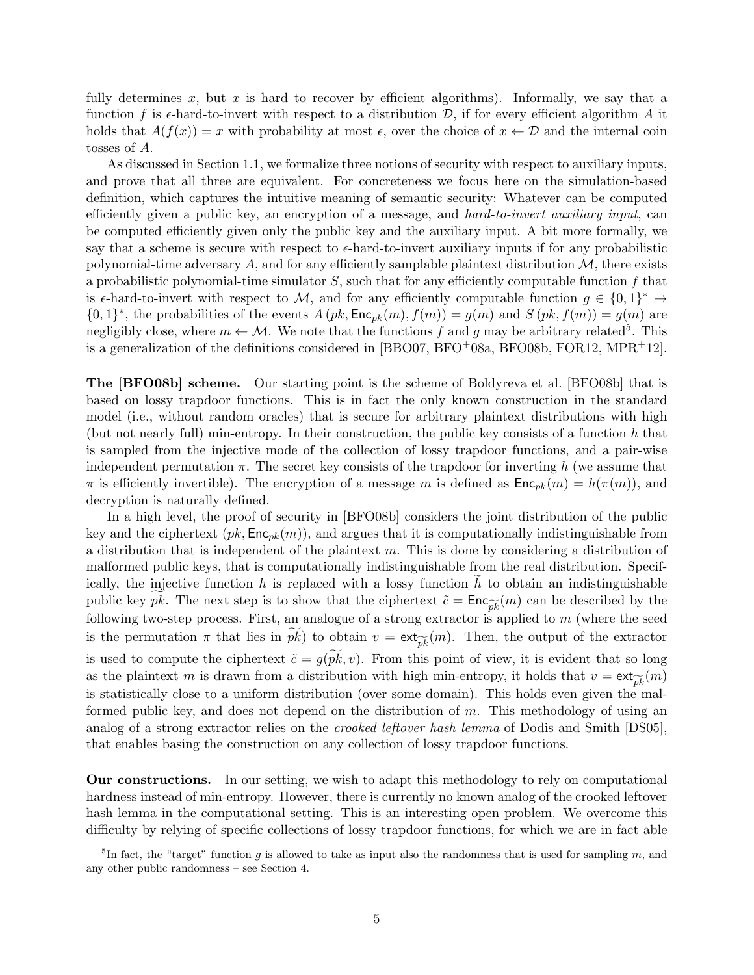fully determines  $x$ , but  $x$  is hard to recover by efficient algorithms). Informally, we say that a function *f* is  $\epsilon$ -hard-to-invert with respect to a distribution *D*, if for every efficient algorithm *A* it holds that  $A(f(x)) = x$  with probability at most  $\epsilon$ , over the choice of  $x \leftarrow \mathcal{D}$  and the internal coin tosses of *A*.

As discussed in Section [1.1,](#page-2-1) we formalize three notions of security with respect to auxiliary inputs, and prove that all three are equivalent. For concreteness we focus here on the simulation-based definition, which captures the intuitive meaning of semantic security: Whatever can be computed efficiently given a public key, an encryption of a message, and *hard-to-invert auxiliary input*, can be computed efficiently given only the public key and the auxiliary input. A bit more formally, we say that a scheme is secure with respect to  $\epsilon$ -hard-to-invert auxiliary inputs if for any probabilistic polynomial-time adversary  $A$ , and for any efficiently samplable plaintext distribution  $M$ , there exists a probabilistic polynomial-time simulator *S*, such that for any efficiently computable function *f* that is  $\epsilon$ -hard-to-invert with respect to *M*, and for any efficiently computable function  $g \in \{0,1\}^* \to$  $\{0,1\}^*$ , the probabilities of the events  $A(pk, \text{Enc}_{pk}(m), f(m)) = g(m)$  and  $S(pk, f(m)) = g(m)$  are negligibly close, where  $m \leftarrow \mathcal{M}$ . We note that the functions f and g may be arbitrary related<sup>[5](#page-5-0)</sup>. This is a generalization of the definitions considered in  $[BBO07, BFO<sup>+</sup>08a, BFO08b, FOR12, MPR<sup>+</sup>12].$  $[BBO07, BFO<sup>+</sup>08a, BFO08b, FOR12, MPR<sup>+</sup>12].$  $[BBO07, BFO<sup>+</sup>08a, BFO08b, FOR12, MPR<sup>+</sup>12].$  $[BBO07, BFO<sup>+</sup>08a, BFO08b, FOR12, MPR<sup>+</sup>12].$  $[BBO07, BFO<sup>+</sup>08a, BFO08b, FOR12, MPR<sup>+</sup>12].$  $[BBO07, BFO<sup>+</sup>08a, BFO08b, FOR12, MPR<sup>+</sup>12].$  $[BBO07, BFO<sup>+</sup>08a, BFO08b, FOR12, MPR<sup>+</sup>12].$  $[BBO07, BFO<sup>+</sup>08a, BFO08b, FOR12, MPR<sup>+</sup>12].$  $[BBO07, BFO<sup>+</sup>08a, BFO08b, FOR12, MPR<sup>+</sup>12].$  $[BBO07, BFO<sup>+</sup>08a, BFO08b, FOR12, MPR<sup>+</sup>12].$  $[BBO07, BFO<sup>+</sup>08a, BFO08b, FOR12, MPR<sup>+</sup>12].$ 

**The [[BFO08b\]](#page-32-1) scheme.** Our starting point is the scheme of Boldyreva et al. [[BFO08b\]](#page-32-1) that is based on lossy trapdoor functions. This is in fact the only known construction in the standard model (i.e., without random oracles) that is secure for arbitrary plaintext distributions with high (but not nearly full) min-entropy. In their construction, the public key consists of a function *h* that is sampled from the injective mode of the collection of lossy trapdoor functions, and a pair-wise independent permutation  $\pi$ . The secret key consists of the trapdoor for inverting h (we assume that  $\pi$  is efficiently invertible). The encryption of a message *m* is defined as  $\mathsf{Enc}_{pk}(m) = h(\pi(m))$ , and decryption is naturally defined.

In a high level, the proof of security in [[BFO08b\]](#page-32-1) considers the joint distribution of the public key and the ciphertext  $(pk, Enc_{pk}(m))$ , and argues that it is computationally indistinguishable from a distribution that is independent of the plaintext *m*. This is done by considering a distribution of malformed public keys, that is computationally indistinguishable from the real distribution. Specifically, the injective function  $h$  is replaced with a lossy function  $h$  to obtain an indistinguishable public key *pk*. The next step is to show that the ciphertext  $\tilde{c} = \text{Enc}_{\tilde{pk}}(m)$  can be described by the following two-step process. First, an analogue of a strong extractor is applied to *m* (where the seed is the permutation  $\pi$  that lies in  $pk$  to obtain  $v = \text{ext}_{n\widetilde{k}}(m)$ . Then, the output of the extractor is used to compute the ciphertext  $\tilde{c} = g(\widetilde{pk}, v)$ . From this point of view, it is evident that so long as the plaintext *m* is drawn from a distribution with high min-entropy, it holds that  $v = \text{ext}_{n\widetilde{k}}(m)$ is statistically close to a uniform distribution (over some domain). This holds even given the malformed public key, and does not depend on the distribution of *m*. This methodology of using an analog of a strong extractor relies on the *crooked leftover hash lemma* of Dodis and Smith [[DS05\]](#page-32-9), that enables basing the construction on any collection of lossy trapdoor functions.

**Our constructions.** In our setting, we wish to adapt this methodology to rely on computational hardness instead of min-entropy. However, there is currently no known analog of the crooked leftover hash lemma in the computational setting. This is an interesting open problem. We overcome this difficulty by relying of specific collections of lossy trapdoor functions, for which we are in fact able

<span id="page-5-0"></span><sup>&</sup>lt;sup>5</sup>In fact, the "target" function g is allowed to take as input also the randomness that is used for sampling  $m$ , and any other public randomness – see Section [4.](#page-11-0)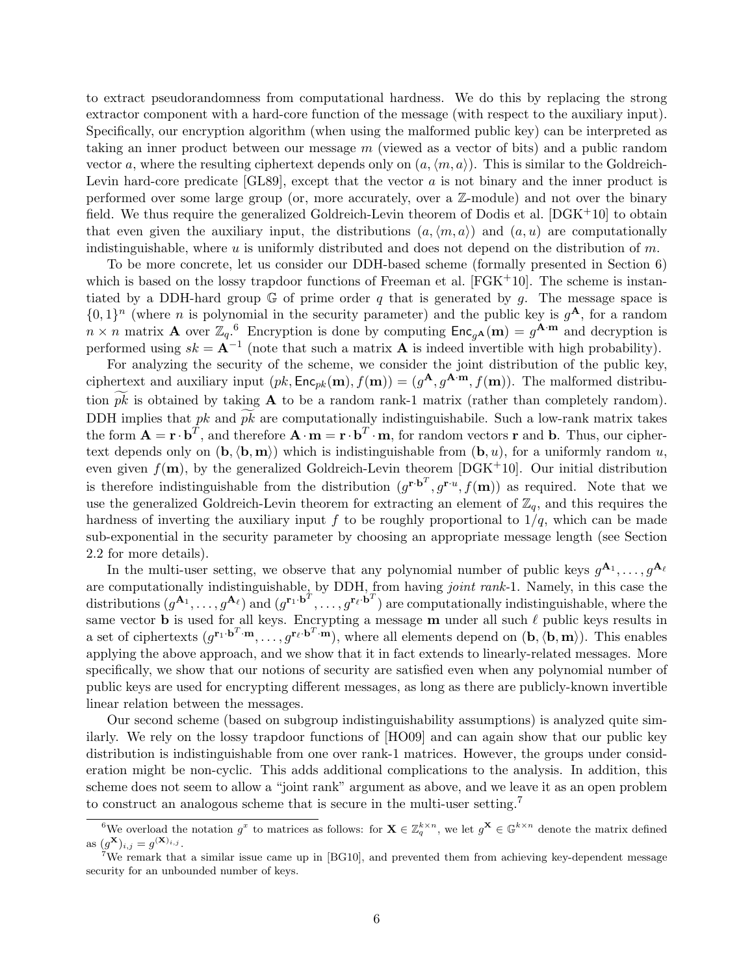to extract pseudorandomness from computational hardness. We do this by replacing the strong extractor component with a hard-core function of the message (with respect to the auxiliary input). Specifically, our encryption algorithm (when using the malformed public key) can be interpreted as taking an inner product between our message *m* (viewed as a vector of bits) and a public random vector *a*, where the resulting ciphertext depends only on  $(a, \langle m, a \rangle)$ . This is similar to the Goldreich-Levin hard-core predicate [\[GL89\]](#page-33-8), except that the vector *a* is not binary and the inner product is performed over some large group (or, more accurately, over a Z-module) and not over the binary field. We thus require the generalized Goldreich-Levin theorem of Dodis et al. [\[DGK](#page-32-7)+10] to obtain that even given the auxiliary input, the distributions  $(a, \langle m, a \rangle)$  and  $(a, u)$  are computationally indistinguishable, where *u* is uniformly distributed and does not depend on the distribution of *m*.

To be more concrete, let us consider our DDH-based scheme (formally presented in Section [6\)](#page-22-0) which is based on the lossy trapdoor functions of Freeman et al.  $[FGK^+10]$  $[FGK^+10]$  $[FGK^+10]$ . The scheme is instantiated by a DDH-hard group  $\mathbb{G}$  of prime order q that is generated by q. The message space is  $\{0,1\}$ <sup>n</sup> (where *n* is polynomial in the security parameter) and the public key is  $g^A$ , for a random  $n \times n$  matrix **A** over  $\mathbb{Z}_q$ . Encryption is done by computing  $\mathsf{Enc}_{g^{\mathbf{A}}}(\mathbf{m}) = g^{\mathbf{A}\cdot\mathbf{m}}$  and decryption is performed using  $sk = A^{-1}$  (note that such a matrix A is indeed invertible with high probability).

For analyzing the security of the scheme, we consider the joint distribution of the public key, ciphertext and auxiliary input  $(pk, \text{Enc}_{pk}(\mathbf{m}), f(\mathbf{m})) = (g^{\mathbf{A}}, g^{\mathbf{A}\cdot\mathbf{m}}, f(\mathbf{m}))$ . The malformed distribution  $\widetilde{pk}$  is obtained by taking **A** to be a random rank-1 matrix (rather than completely random). DDH implies that  $pk$  and  $pk$  are computationally indistinguishabile. Such a low-rank matrix takes the form  $\mathbf{A} = \mathbf{r} \cdot \mathbf{b}^T$ , and therefore  $\mathbf{A} \cdot \mathbf{m} = \mathbf{r} \cdot \mathbf{b}^T \cdot \mathbf{m}$ , for random vectors **r** and **b**. Thus, our ciphertext depends only on  $(\mathbf{b}, \langle \mathbf{b}, \mathbf{m} \rangle)$  which is indistinguishable from  $(\mathbf{b}, u)$ , for a uniformly random  $u$ , even given  $f(\mathbf{m})$ , by the generalized Goldreich-Levin theorem [\[DGK](#page-32-7)+10]. Our initial distribution is therefore indistinguishable from the distribution  $(g^{r \cdot b^T}, g^{r \cdot u}, f(m))$  as required. Note that we use the generalized Goldreich-Levin theorem for extracting an element of  $\mathbb{Z}_q$ , and this requires the hardness of inverting the auxiliary input  $f$  to be roughly proportional to  $1/q$ , which can be made sub-exponential in the security parameter by choosing an appropriate message length (see Section [2.2](#page-9-0) for more details).

In the multi-user setting, we observe that any polynomial number of public keys  $g^{\mathbf{A}_1}, \ldots, g^{\mathbf{A}_\ell}$ are computationally indistinguishable, by DDH, from having *joint rank-*1. Namely, in this case the distributions  $(g^{\mathbf{A}_1}, \ldots, g^{\mathbf{A}_\ell})$  and  $(g^{\mathbf{r}_1 \cdot \mathbf{b}^T}, \ldots, g^{\mathbf{r}_\ell \cdot \mathbf{b}^T})$  are computationally indistinguishable, where the same vector **b** is used for all keys. Encrypting a message **m** under all such *ℓ* public keys results in a set of ciphertexts  $(g^{\mathbf{r}_1 \cdot \mathbf{b}^T \cdot \mathbf{m}}, \ldots, g^{\mathbf{r}_{\ell} \cdot \mathbf{b}^T \cdot \mathbf{m}})$ , where all elements depend on  $(\mathbf{b}, \langle \mathbf{b}, \mathbf{m} \rangle)$ . This enables applying the above approach, and we show that it in fact extends to linearly-related messages. More specifically, we show that our notions of security are satisfied even when any polynomial number of public keys are used for encrypting different messages, as long as there are publicly-known invertible linear relation between the messages.

Our second scheme (based on subgroup indistinguishability assumptions) is analyzed quite similarly. We rely on the lossy trapdoor functions of [[HO09\]](#page-33-9) and can again show that our public key distribution is indistinguishable from one over rank-1 matrices. However, the groups under consideration might be non-cyclic. This adds additional complications to the analysis. In addition, this scheme does not seem to allow a "joint rank" argument as above, and we leave it as an open problem to construct an analogous scheme that is secure in the multi-user setting.[7](#page-6-1)

<span id="page-6-0"></span><sup>&</sup>lt;sup>6</sup>We overload the notation  $g^x$  to matrices as follows: for  $\mathbf{X} \in \mathbb{Z}_q^{k \times n}$ , we let  $g^{\mathbf{X}} \in \mathbb{G}^{k \times n}$  denote the matrix defined as  $(g^{\mathbf{X}})_{i,j} = g^{(\mathbf{X})_{i,j}}$ .

<span id="page-6-1"></span>We remark that a similar issue came up in [\[BG10](#page-32-8)], and prevented them from achieving key-dependent message security for an unbounded number of keys.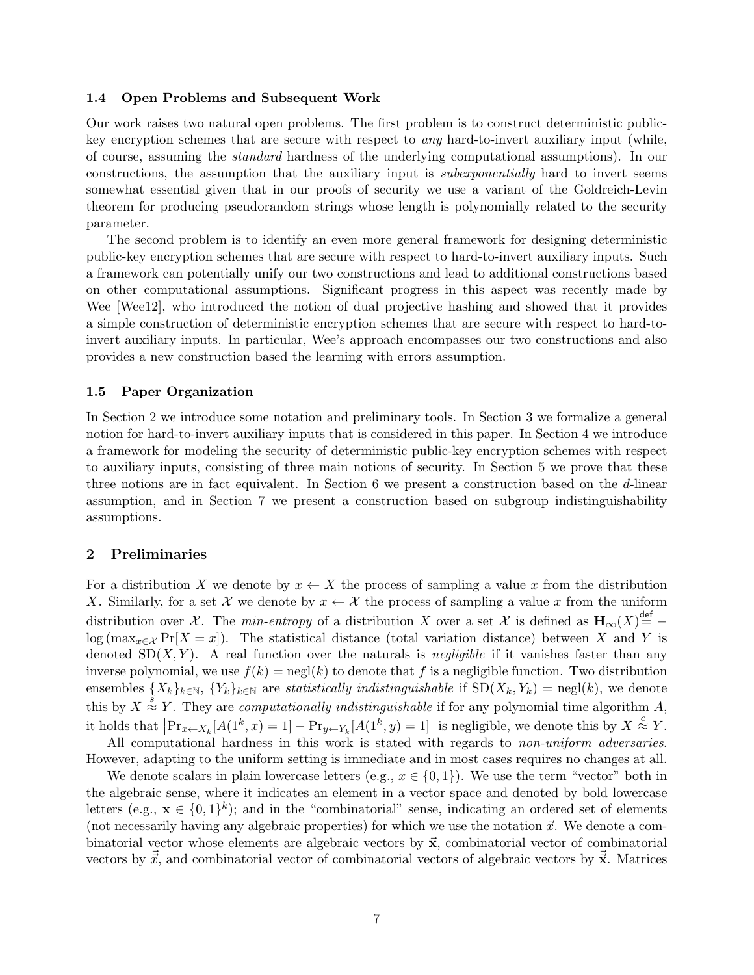## <span id="page-7-0"></span>**1.4 Open Problems and Subsequent Work**

Our work raises two natural open problems. The first problem is to construct deterministic publickey encryption schemes that are secure with respect to *any* hard-to-invert auxiliary input (while, of course, assuming the *standard* hardness of the underlying computational assumptions). In our constructions, the assumption that the auxiliary input is *subexponentially* hard to invert seems somewhat essential given that in our proofs of security we use a variant of the Goldreich-Levin theorem for producing pseudorandom strings whose length is polynomially related to the security parameter.

The second problem is to identify an even more general framework for designing deterministic public-key encryption schemes that are secure with respect to hard-to-invert auxiliary inputs. Such a framework can potentially unify our two constructions and lead to additional constructions based on other computational assumptions. Significant progress in this aspect was recently made by Wee [[Wee12\]](#page-33-3), who introduced the notion of dual projective hashing and showed that it provides a simple construction of deterministic encryption schemes that are secure with respect to hard-toinvert auxiliary inputs. In particular, Wee's approach encompasses our two constructions and also provides a new construction based the learning with errors assumption.

### **1.5 Paper Organization**

In Section [2](#page-7-1) we introduce some notation and preliminary tools. In Section [3](#page-10-0) we formalize a general notion for hard-to-invert auxiliary inputs that is considered in this paper. In Section [4](#page-11-0) we introduce a framework for modeling the security of deterministic public-key encryption schemes with respect to auxiliary inputs, consisting of three main notions of security. In Section [5](#page-15-0) we prove that these three notions are in fact equivalent. In Section [6](#page-22-0) we present a construction based on the *d*-linear assumption, and in Section [7](#page-29-0) we present a construction based on subgroup indistinguishability assumptions.

# <span id="page-7-1"></span>**2 Preliminaries**

For a distribution X we denote by  $x \leftarrow X$  the process of sampling a value x from the distribution *X*. Similarly, for a set *X* we denote by  $x \leftarrow \mathcal{X}$  the process of sampling a value *x* from the uniform distribution over *X*. The *min-entropy* of a distribution *X* over a set *X* is defined as  $\mathbf{H}_{\infty}(X) \stackrel{\text{def}}{=}$ log (max<sub>*x*∈X</sub> Pr[X = *x*]). The statistical distance (total variation distance) between X and Y is denoted  $SD(X, Y)$ . A real function over the naturals is *negligible* if it vanishes faster than any inverse polynomial, we use  $f(k) = \text{negl}(k)$  to denote that f is a negligible function. Two distribution ensembles  $\{X_k\}_{k\in\mathbb{N}}, \{Y_k\}_{k\in\mathbb{N}}$  are *statistically indistinguishable* if  $SD(X_k, Y_k) = negl(k)$ , we denote this by  $X \stackrel{s}{\approx} Y$ . They are *computationally indistinguishable* if for any polynomial time algorithm *A*, it holds that  $\left|\Pr_{x \leftarrow X_k}[A(1^k, x) = 1] - \Pr_{y \leftarrow Y_k}[A(1^k, y) = 1]\right|$  is negligible, we denote this by  $X \stackrel{c}{\approx} Y$ .

All computational hardness in this work is stated with regards to *non-uniform adversaries*. However, adapting to the uniform setting is immediate and in most cases requires no changes at all.

We denote scalars in plain lowercase letters (e.g.,  $x \in \{0,1\}$ ). We use the term "vector" both in the algebraic sense, where it indicates an element in a vector space and denoted by bold lowercase letters (e.g.,  $\mathbf{x} \in \{0,1\}^k$ ); and in the "combinatorial" sense, indicating an ordered set of elements (not necessarily having any algebraic properties) for which we use the notation  $\vec{x}$ . We denote a combinatorial vector whose elements are algebraic vectors by  $\vec{x}$ , combinatorial vector of combinatorial vectors by  $\vec{\vec{x}}$ , and combinatorial vector of combinatorial vectors of algebraic vectors by  $\vec{\vec{x}}$ . Matrices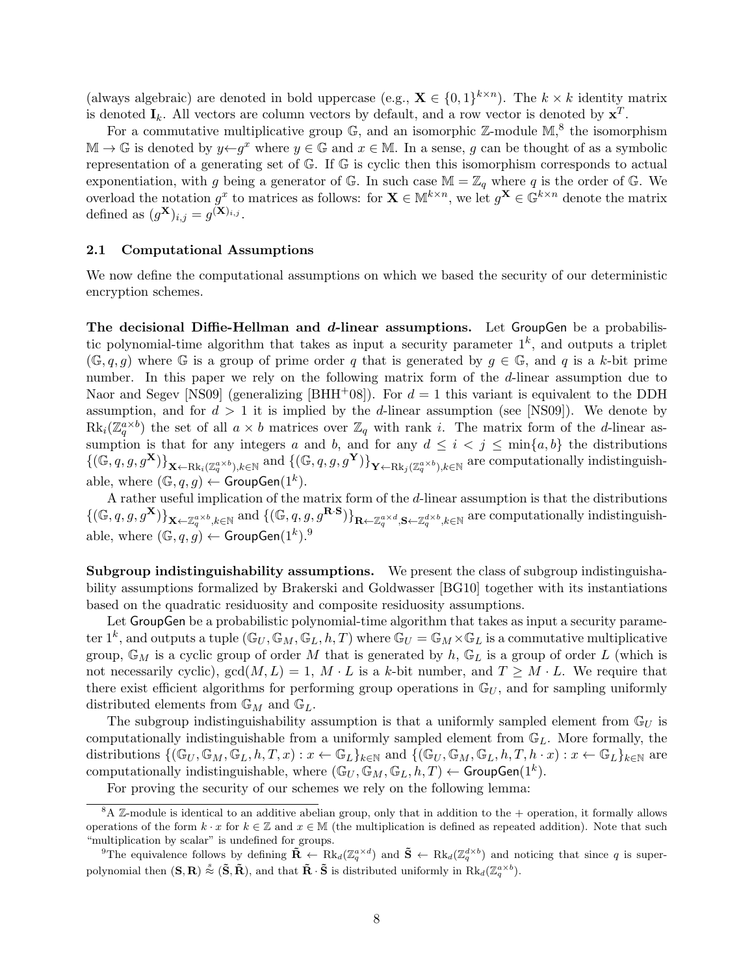(always algebraic) are denoted in bold uppercase (e.g.,  $\mathbf{X} \in \{0,1\}^{k \times n}$ ). The  $k \times k$  identity matrix is denoted  $\mathbf{I}_k$ . All vectors are column vectors by default, and a row vector is denoted by  $\mathbf{x}^T$ .

For a commutative multiplicative group  $\mathbb{G}$ , and an isomorphic  $\mathbb{Z}$ -module  $\mathbb{M},^8$  $\mathbb{M},^8$  the isomorphism  $\mathbb{M} \to \mathbb{G}$  is denoted by  $y \leftarrow g^x$  where  $y \in \mathbb{G}$  and  $x \in \mathbb{M}$ . In a sense, g can be thought of as a symbolic representation of a generating set of G. If G is cyclic then this isomorphism corresponds to actual exponentiation, with *g* being a generator of  $\mathbb{G}$ . In such case  $\mathbb{M} = \mathbb{Z}_q$  where *q* is the order of  $\mathbb{G}$ . We overload the notation  $g^x$  to matrices as follows: for  $\mathbf{X} \in \mathbb{M}^{k \times n}$ , we let  $g^{\mathbf{X}} \in \mathbb{G}^{k \times n}$  denote the matrix defined as  $(g^{\mathbf{X}})_{i,j} = g^{(\mathbf{X})_{i,j}}$ .

#### <span id="page-8-2"></span>**2.1 Computational Assumptions**

We now define the computational assumptions on which we based the security of our deterministic encryption schemes.

**The decisional Diffie-Hellman and** *d***-linear assumptions.** Let GroupGen be a probabilistic polynomial-time algorithm that takes as input a security parameter 1*<sup>k</sup>* , and outputs a triplet (G*, q, g*) where G is a group of prime order *q* that is generated by *g ∈* G, and *q* is a *k*-bit prime number. In this paper we rely on the following matrix form of the *d*-linear assumption due to Naor and Segev [[NS09](#page-33-6)] (generalizing [[BHH](#page-32-13)<sup>+</sup>08]). For  $d = 1$  this variant is equivalent to the DDH assumption, and for  $d > 1$  it is implied by the *d*-linear assumption (see [[NS09](#page-33-6)]). We denote by  $Rk_i(\mathbb{Z}_q^{a \times b})$  the set of all  $a \times b$  matrices over  $\mathbb{Z}_q$  with rank *i*. The matrix form of the *d*-linear assumption is that for any integers *a* and *b*, and for any  $d \leq i < j \leq \min\{a, b\}$  the distributions  $\{(\mathbb{G},q,g,g^{\mathbf{X}})\}_{\mathbf{X}\leftarrow \text{Rk}_i(\mathbb{Z}_q^{a\times b}),k\in\mathbb{N}}\text{ and } \{(\mathbb{G},q,g,g^{\mathbf{Y}})\}_{\mathbf{Y}\leftarrow \text{Rk}_j(\mathbb{Z}_q^{a\times b}),k\in\mathbb{N}}\text{ are computationally indistinguishable.}$ able, where  $(\mathbb{G}, q, g) \leftarrow \mathsf{GroupGen}(1^k)$ .

A rather useful implication of the matrix form of the *d*-linear assumption is that the distributions  $\{(\mathbb{G},q,g,g^{\mathbf{X}})\}_{\mathbf{X}\leftarrow\mathbb{Z}_q^{a\times b},k\in\mathbb{N}}\text{ and }\{(\mathbb{G},q,g,g^{\mathbf{R}\cdot\mathbf{S}})\}_{\mathbf{R}\leftarrow\mathbb{Z}_q^{a\times d},\mathbf{S}\leftarrow\mathbb{Z}_q^{d\times b},k\in\mathbb{N}}\text{ are computationally indistinguishable.}$ able, where  $(\mathbb{G}, q, g) \leftarrow \mathsf{GroupGen}(1^k).^9$  $(\mathbb{G}, q, g) \leftarrow \mathsf{GroupGen}(1^k).^9$ 

**Subgroup indistinguishability assumptions.** We present the class of subgroup indistinguishability assumptions formalized by Brakerski and Goldwasser [[BG10](#page-32-8)] together with its instantiations based on the quadratic residuosity and composite residuosity assumptions.

Let GroupGen be a probabilistic polynomial-time algorithm that takes as input a security parame- $\det 1^k$ , and outputs a tuple  $(\mathbb{G}_U, \mathbb{G}_M, \mathbb{G}_L, h, T)$  where  $\mathbb{G}_U = \mathbb{G}_M \times \mathbb{G}_L$  is a commutative multiplicative group,  $\mathbb{G}_M$  is a cyclic group of order M that is generated by  $h$ ,  $\mathbb{G}_L$  is a group of order L (which is not necessarily cyclic),  $gcd(M, L) = 1$ ,  $M \cdot L$  is a *k*-bit number, and  $T \geq M \cdot L$ . We require that there exist efficient algorithms for performing group operations in G*<sup>U</sup>* , and for sampling uniformly distributed elements from G*<sup>M</sup>* and G*L*.

The subgroup indistinguishability assumption is that a uniformly sampled element from  $\mathbb{G}_U$  is computationally indistinguishable from a uniformly sampled element from G*L*. More formally, the distributions  $\{(\mathbb{G}_U,\mathbb{G}_M,\mathbb{G}_L,h,T,x):x\leftarrow \mathbb{G}_L\}_{k\in\mathbb{N}}$  and  $\{(\mathbb{G}_U,\mathbb{G}_M,\mathbb{G}_L,h,T,h\cdot x):x\leftarrow \mathbb{G}_L\}_{k\in\mathbb{N}}$  are computationally indistinguishable, where  $(\mathbb{G}_U, \mathbb{G}_M, \mathbb{G}_L, h, T) \leftarrow \mathsf{GroupGen}(1^k)$ .

<span id="page-8-0"></span>For proving the security of our schemes we rely on the following lemma:

 $8A$  Z-module is identical to an additive abelian group, only that in addition to the + operation, it formally allows operations of the form  $k \cdot x$  for  $k \in \mathbb{Z}$  and  $x \in \mathbb{M}$  (the multiplication is defined as repeated addition). Note that such "multiplication by scalar" is undefined for groups.

<span id="page-8-1"></span><sup>&</sup>lt;sup>9</sup>The equivalence follows by defining  $\tilde{\mathbf{R}} \leftarrow \text{Rk}_d(\mathbb{Z}_q^{a \times d})$  and  $\tilde{\mathbf{S}} \leftarrow \text{Rk}_d(\mathbb{Z}_q^{d \times b})$  and noticing that since *q* is superpolynomial then  $(\mathbf{S}, \mathbf{R}) \stackrel{s}{\approx} (\tilde{\mathbf{S}}, \tilde{\mathbf{R}})$ , and that  $\tilde{\mathbf{R}} \cdot \tilde{\mathbf{S}}$  is distributed uniformly in  $\text{Rk}_d(\mathbb{Z}_q^{a \times b})$ .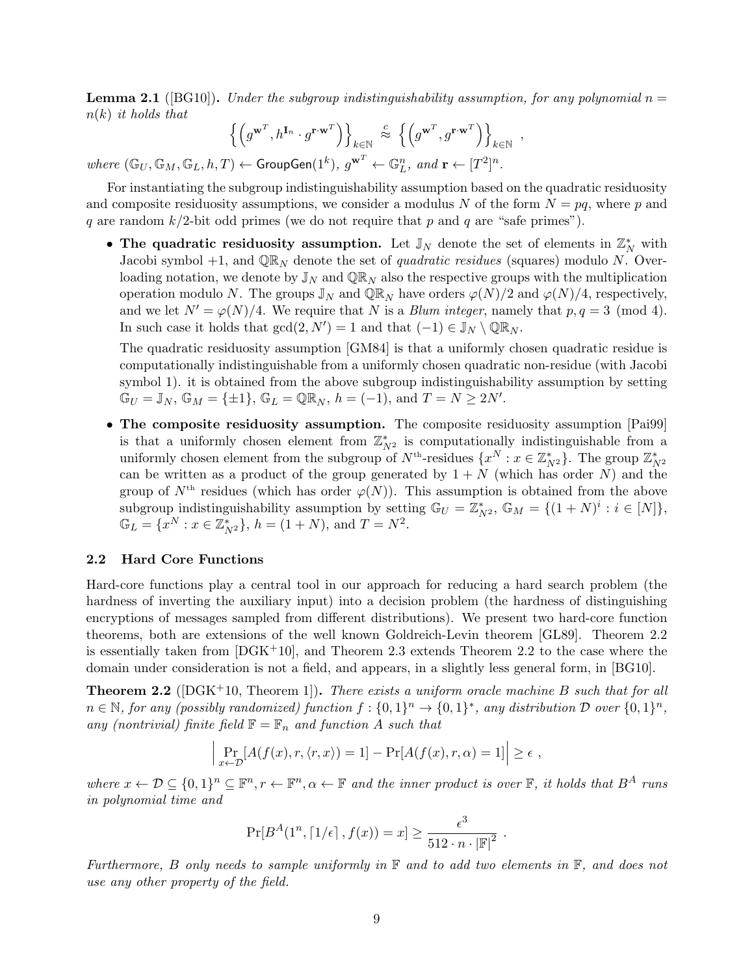<span id="page-9-2"></span>**Lemma 2.1** ([[BG10](#page-32-8)]). *Under the subgroup indistinguishability assumption, for any polynomial*  $n =$ *n*(*k*) *it holds that*

$$
\left\{ \left( g^{\mathbf{w}^T}, h^{\mathbf{I}_n} \cdot g^{\mathbf{r} \cdot \mathbf{w}^T} \right) \right\}_{k \in \mathbb{N}} \stackrel{c}{\approx} \left\{ \left( g^{\mathbf{w}^T}, g^{\mathbf{r} \cdot \mathbf{w}^T} \right) \right\}_{k \in \mathbb{N}}
$$

*,*

where  $(\mathbb{G}_U, \mathbb{G}_M, \mathbb{G}_L, h, T) \leftarrow \text{GroupGen}(1^k), g^{\mathbf{w}^T} \leftarrow \mathbb{G}_L^n, \text{ and } \mathbf{r} \leftarrow [T^2]^n.$ 

For instantiating the subgroup indistinguishability assumption based on the quadratic residuosity and composite residuosity assumptions, we consider a modulus N of the form  $N = pq$ , where p and *q* are random *k/*2-bit odd primes (we do not require that *p* and *q* are "safe primes").

• The quadratic residuosity assumption. Let  $\mathbb{J}_N$  denote the set of elements in  $\mathbb{Z}_N^*$  with Jacobi symbol +1, and QR*<sup>N</sup>* denote the set of *quadratic residues* (squares) modulo *N*. Overloading notation, we denote by  $\mathbb{J}_N$  and  $\mathbb{QR}_N$  also the respective groups with the multiplication operation modulo N. The groups  $\mathbb{J}_N$  and  $\mathbb{QR}_N$  have orders  $\varphi(N)/2$  and  $\varphi(N)/4$ , respectively, and we let  $N' = \varphi(N)/4$ . We require that *N* is a *Blum integer*, namely that  $p, q = 3 \pmod{4}$ . In such case it holds that  $gcd(2, N') = 1$  and that  $(-1) \in \mathbb{J}_N \setminus \mathbb{Q} \mathbb{R}_N$ .

The quadratic residuosity assumption [[GM84\]](#page-33-0) is that a uniformly chosen quadratic residue is computationally indistinguishable from a uniformly chosen quadratic non-residue (with Jacobi symbol 1). it is obtained from the above subgroup indistinguishability assumption by setting  $\mathbb{G}_U = \mathbb{J}_N, \mathbb{G}_M = {\pm 1}, \mathbb{G}_L = \mathbb{Q} \mathbb{R}_N, h = (-1), \text{ and } T = N \geq 2N'.$ 

*•* **The composite residuosity assumption.** The composite residuosity assumption [\[Pai99\]](#page-33-4) is that a uniformly chosen element from  $\mathbb{Z}_{N^2}^*$  is computationally indistinguishable from a uniformly chosen element from the subgroup of  $N^{\text{th}}$ -residues  $\{x^N : x \in \mathbb{Z}_{N^2}^*\}$ . The group  $\mathbb{Z}_{N^2}^*$ can be written as a product of the group generated by  $1 + N$  (which has order *N*) and the group of  $N<sup>th</sup>$  residues (which has order  $\varphi(N)$ ). This assumption is obtained from the above subgroup indistinguishability assumption by setting  $\mathbb{G}_U = \mathbb{Z}_{N^2}^*$ ,  $\mathbb{G}_M = \{(1+N)^i : i \in [N]\},$  $\mathbb{G}_L = \{x^N : x \in \mathbb{Z}_{N^2}^*\}, h = (1+N)$ , and  $T = N^2$ .

## <span id="page-9-0"></span>**2.2 Hard Core Functions**

Hard-core functions play a central tool in our approach for reducing a hard search problem (the hardness of inverting the auxiliary input) into a decision problem (the hardness of distinguishing encryptions of messages sampled from different distributions). We present two hard-core function theorems, both are extensions of the well known Goldreich-Levin theorem [\[GL89\]](#page-33-8). Theorem [2.2](#page-9-1) is essentially taken from  $[DGK^+10]$  $[DGK^+10]$  $[DGK^+10]$ , and Theorem [2.3](#page-10-1) extends Theorem [2.2](#page-9-1) to the case where the domain under consideration is not a field, and appears, in a slightly less general form, in [[BG10\]](#page-32-8).

<span id="page-9-1"></span>**Theorem 2.2** ([\[DGK](#page-32-7)+10, Theorem 1])**.** *There exists a uniform oracle machine B such that for all*  $n \in \mathbb{N}$ , for any (possibly randomized) function  $f: \{0,1\}^n \to \{0,1\}^*$ , any distribution  $\mathcal D$  over  $\{0,1\}^n$ , any (nontrivial) finite field  $\mathbb{F} = \mathbb{F}_n$  and function A such that

$$
\left| \Pr_{x \leftarrow \mathcal{D}}[A(f(x), r, \langle r, x \rangle) = 1] - \Pr[A(f(x), r, \alpha) = 1] \right| \ge \epsilon ,
$$

where  $x \leftarrow \mathcal{D} \subseteq \{0,1\}^n \subseteq \mathbb{F}^n, r \leftarrow \mathbb{F}^n, \alpha \leftarrow \mathbb{F}$  and the inner product is over  $\mathbb{F}$ , it holds that  $B^A$  runs *in polynomial time and*

$$
\Pr[B^A(1^n, \lceil 1/\epsilon \rceil, f(x)) = x] \ge \frac{\epsilon^3}{512 \cdot n \cdot |\mathbb{F}|^2}
$$

*.*

*Furthermore, B only needs to sample uniformly in* F *and to add two elements in* F*, and does not use any other property of the field.*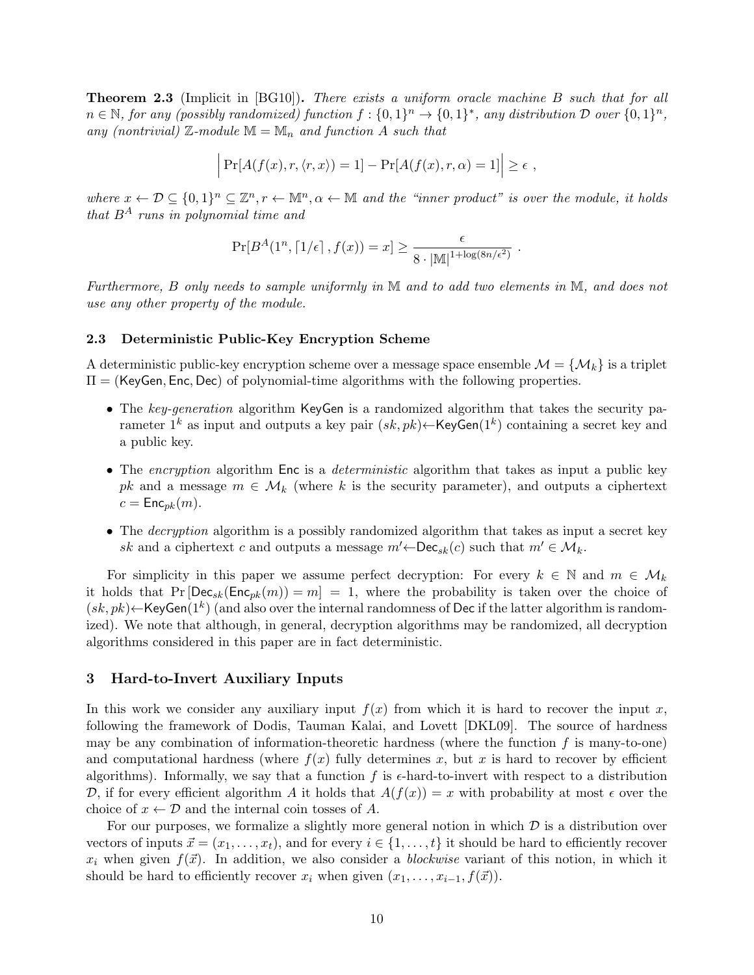<span id="page-10-1"></span>**Theorem 2.3** (Implicit in [[BG10](#page-32-8)])**.** *There exists a uniform oracle machine B such that for all*  $n \in \mathbb{N}$ , for any (possibly randomized) function  $f: \{0,1\}^n \to \{0,1\}^*$ , any distribution  $\mathcal D$  over  $\{0,1\}^n$ , any (nontrivial)  $\mathbb{Z}$ -module  $\mathbb{M} = \mathbb{M}_n$  and function A such that

$$
\left| \Pr[A(f(x), r, \langle r, x \rangle) = 1] - \Pr[A(f(x), r, \alpha) = 1] \right| \ge \epsilon ,
$$

*where*  $x \leftarrow \mathcal{D} \subseteq \{0,1\}^n \subseteq \mathbb{Z}^n, r \leftarrow \mathbb{M}^n, \alpha \leftarrow \mathbb{M}$  and the "inner product" is over the module, it holds *that B<sup>A</sup> runs in polynomial time and*

$$
\Pr[B^A(1^n, \lceil 1/\epsilon \rceil, f(x)) = x] \ge \frac{\epsilon}{8 \cdot |\mathbb{M}|^{1 + \log(8n/\epsilon^2)}}
$$

*.*

*Furthermore, B only needs to sample uniformly in* M *and to add two elements in* M*, and does not use any other property of the module.*

# **2.3 Deterministic Public-Key Encryption Scheme**

A deterministic public-key encryption scheme over a message space ensemble  $\mathcal{M} = {\mathcal{M}_k}$  is a triplet Π = (KeyGen*,* Enc*,* Dec) of polynomial-time algorithms with the following properties.

- *•* The *key-generation* algorithm KeyGen is a randomized algorithm that takes the security parameter 1*<sup>k</sup>* as input and outputs a key pair (*sk, pk*)*←*KeyGen(1*<sup>k</sup>* ) containing a secret key and a public key.
- *•* The *encryption* algorithm Enc is a *deterministic* algorithm that takes as input a public key *pk* and a message  $m \in \mathcal{M}_k$  (where *k* is the security parameter), and outputs a ciphertext  $c = \mathsf{Enc}_{pk}(m)$ .
- The *decryption* algorithm is a possibly randomized algorithm that takes as input a secret key *sk* and a ciphertext *c* and outputs a message  $m' \leftarrow \text{Dec}_{sk}(c)$  such that  $m' \in \mathcal{M}_k$ .

For simplicity in this paper we assume perfect decryption: For every  $k \in \mathbb{N}$  and  $m \in \mathcal{M}_k$ it holds that  $Pr[Dec_{sk}(Enc_{pk}(m)) = m] = 1$ , where the probability is taken over the choice of  $(sk, pk)$  $\leftarrow$ KeyGen(1<sup>k</sup>) (and also over the internal randomness of Dec if the latter algorithm is randomized). We note that although, in general, decryption algorithms may be randomized, all decryption algorithms considered in this paper are in fact deterministic.

## <span id="page-10-0"></span>**3 Hard-to-Invert Auxiliary Inputs**

In this work we consider any auxiliary input  $f(x)$  from which it is hard to recover the input x, following the framework of Dodis, Tauman Kalai, and Lovett [[DKL09](#page-32-6)]. The source of hardness may be any combination of information-theoretic hardness (where the function *f* is many-to-one) and computational hardness (where  $f(x)$  fully determines x, but x is hard to recover by efficient algorithms). Informally, we say that a function  $f$  is  $\epsilon$ -hard-to-invert with respect to a distribution *D*, if for every efficient algorithm *A* it holds that  $A(f(x)) = x$  with probability at most  $\epsilon$  over the choice of  $x \leftarrow \mathcal{D}$  and the internal coin tosses of *A*.

For our purposes, we formalize a slightly more general notion in which  $D$  is a distribution over vectors of inputs  $\vec{x} = (x_1, \ldots, x_t)$ , and for every  $i \in \{1, \ldots, t\}$  it should be hard to efficiently recover  $x_i$  when given  $f(\vec{x})$ . In addition, we also consider a *blockwise* variant of this notion, in which it should be hard to efficiently recover  $x_i$  when given  $(x_1, \ldots, x_{i-1}, f(\vec{x}))$ .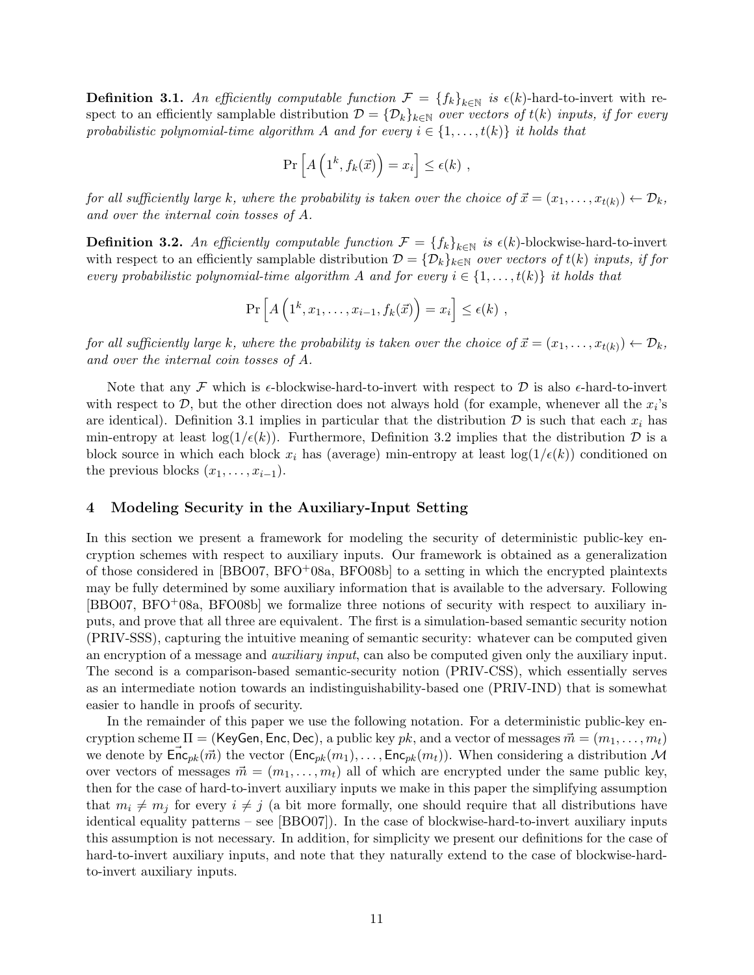<span id="page-11-1"></span>**Definition 3.1.** An efficiently computable function  $\mathcal{F} = \{f_k\}_{k \in \mathbb{N}}$  is  $\epsilon(k)$ -hard-to-invert with respect to an efficiently samplable distribution  $\mathcal{D} = {\mathcal{D}_k}_{k \in \mathbb{N}}$  *over vectors of*  $t(k)$  *inputs, if for every probabilistic polynomial-time algorithm A and for every*  $i \in \{1, \ldots, t(k)\}$  *it holds that* 

$$
\Pr\left[A\left(1^k, f_k(\vec{x})\right) = x_i\right] \le \epsilon(k) ,
$$

*for all sufficiently large k*, where the probability is taken over the choice of  $\vec{x} = (x_1, \ldots, x_{t(k)}) \leftarrow \mathcal{D}_k$ , *and over the internal coin tosses of A.*

<span id="page-11-2"></span>**Definition 3.2.** An efficiently computable function  $\mathcal{F} = \{f_k\}_{k \in \mathbb{N}}$  is  $\epsilon(k)$ -blockwise-hard-to-invert with respect to an efficiently samplable distribution  $\mathcal{D} = {\mathcal{D}_k}_{k \in \mathbb{N}}$  *over vectors of*  $t(k)$  *inputs, if for every probabilistic polynomial-time algorithm A* and for every  $i \in \{1, \ldots, t(k)\}$  it holds that

$$
\Pr\left[A\left(1^k, x_1, \ldots, x_{i-1}, f_k(\vec{x})\right) = x_i\right] \le \epsilon(k) ,
$$

*for all sufficiently large k*, where the probability is taken over the choice of  $\vec{x} = (x_1, \ldots, x_{t(k)}) \leftarrow \mathcal{D}_k$ , *and over the internal coin tosses of A.*

Note that any  $\mathcal F$  which is  $\epsilon$ -blockwise-hard-to-invert with respect to  $\mathcal D$  is also  $\epsilon$ -hard-to-invert with respect to  $D$ , but the other direction does not always hold (for example, whenever all the  $x_i$ 's are identical). Definition [3.1](#page-11-1) implies in particular that the distribution  $\mathcal{D}$  is such that each  $x_i$  has min-entropy at least  $\log(1/\epsilon(k))$ . Furthermore, Definition [3.2](#page-11-2) implies that the distribution  $\mathcal{D}$  is a block source in which each block  $x_i$  has (average) min-entropy at least  $\log(1/\epsilon(k))$  conditioned on the previous blocks  $(x_1, \ldots, x_{i-1})$ .

# <span id="page-11-0"></span>**4 Modeling Security in the Auxiliary-Input Setting**

In this section we present a framework for modeling the security of deterministic public-key encryption schemes with respect to auxiliary inputs. Our framework is obtained as a generalization of those considered in [[BBO07,](#page-31-1) [BFO](#page-32-0)+08a, [BFO08b\]](#page-32-1) to a setting in which the encrypted plaintexts may be fully determined by some auxiliary information that is available to the adversary. Following [\[BBO07,](#page-31-1) [BFO](#page-32-0)+08a, [BFO08b](#page-32-1)] we formalize three notions of security with respect to auxiliary inputs, and prove that all three are equivalent. The first is a simulation-based semantic security notion (PRIV-SSS), capturing the intuitive meaning of semantic security: whatever can be computed given an encryption of a message and *auxiliary input*, can also be computed given only the auxiliary input. The second is a comparison-based semantic-security notion (PRIV-CSS), which essentially serves as an intermediate notion towards an indistinguishability-based one (PRIV-IND) that is somewhat easier to handle in proofs of security.

In the remainder of this paper we use the following notation. For a deterministic public-key encryption scheme  $\Pi = (KeyGen, Enc, Dec)$ , a public key *pk*, and a vector of messages  $\vec{m} = (m_1, \ldots, m_t)$ we denote by  $\vec{Enc}_{pk}(\vec{m})$  the vector  $(\vec{Enc}_{pk}(m_1), \ldots, \vec{Enc}_{pk}(m_t))$ . When considering a distribution  $\mathcal M$ over vectors of messages  $\vec{m} = (m_1, \ldots, m_t)$  all of which are encrypted under the same public key, then for the case of hard-to-invert auxiliary inputs we make in this paper the simplifying assumption that  $m_i \neq m_j$  for every  $i \neq j$  (a bit more formally, one should require that all distributions have identical equality patterns – see [[BBO07\]](#page-31-1)). In the case of blockwise-hard-to-invert auxiliary inputs this assumption is not necessary. In addition, for simplicity we present our definitions for the case of hard-to-invert auxiliary inputs, and note that they naturally extend to the case of blockwise-hardto-invert auxiliary inputs.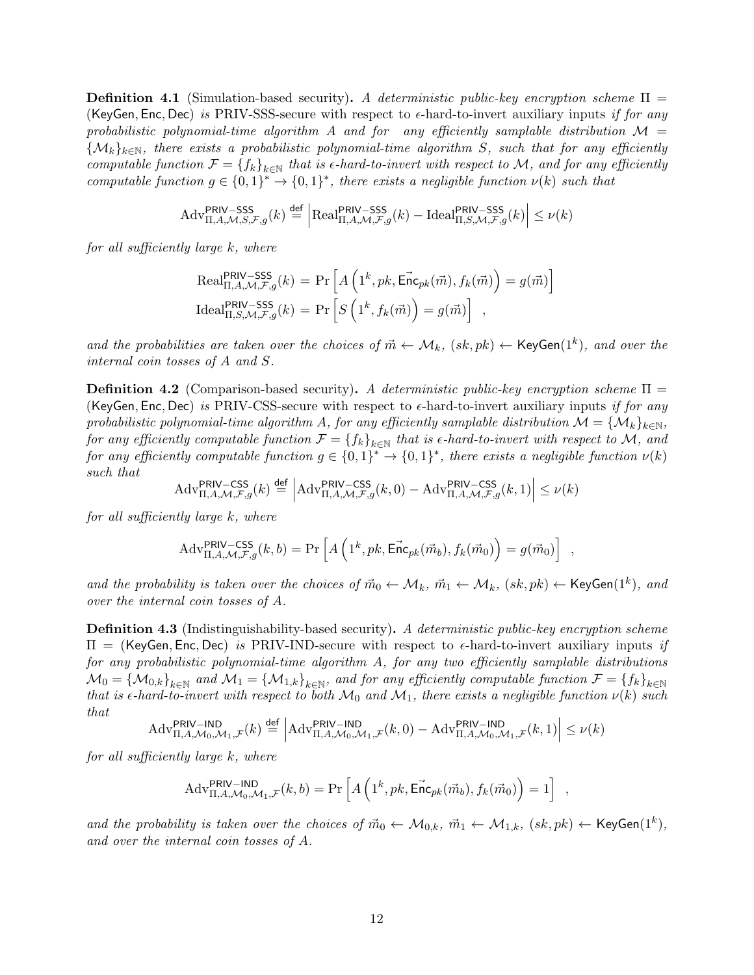<span id="page-12-2"></span>**Definition 4.1** (Simulation-based security)**.** *A deterministic public-key encryption scheme* Π = (KeyGen*,* Enc*,* Dec) *is* PRIV-SSS-secure with respect to *ϵ*-hard-to-invert auxiliary inputs *if for any probabilistic polynomial-time algorithm A and for any efficiently samplable distribution M* =  $\{\mathcal{M}_k\}_{k\in\mathbb{N}}$ *, there exists a probabilistic polynomial-time algorithm S, such that for any efficiently computable function*  $\mathcal{F} = \{f_k\}_{k \in \mathbb{N}}$  that is  $\epsilon$ -hard-to-invert with respect to M, and for any efficiently *computable function*  $g \in \{0,1\}^* \to \{0,1\}^*$ , there exists a negligible function  $\nu(k)$  such that

$$
\mathrm{Adv}_{\Pi,A,\mathcal{M},S,\mathcal{F},g}^{\mathsf{PRIV}-\mathsf{SSS}}(k) \stackrel{\mathsf{def}}{=} \Big|\mathrm{Real}_{\Pi,A,\mathcal{M},\mathcal{F},g}^{\mathsf{PRIV}-\mathsf{SSS}}(k) - \mathrm{Ideal}_{\Pi,S,\mathcal{M},\mathcal{F},g}^{\mathsf{PRIV}-\mathsf{SSS}}(k)\Big| \leq \nu(k)
$$

*for all sufficiently large k, where*

$$
\text{Real}_{\Pi,A,\mathcal{M},\mathcal{F},g}^{\text{PRIV}-\text{SSS}}(k) = \Pr\left[A\left(1^k, pk, \vec{\text{Enc}}_{pk}(\vec{m}), f_k(\vec{m})\right) = g(\vec{m})\right]
$$
  
\n
$$
\text{Ideal}_{\Pi,S,\mathcal{M},\mathcal{F},g}^{\text{PRIV}-\text{SSS}}(k) = \Pr\left[S\left(1^k, f_k(\vec{m})\right) = g(\vec{m})\right],
$$

and the probabilities are taken over the choices of  $\vec{m} \leftarrow \mathcal{M}_k$ ,  $(sk, pk) \leftarrow \text{KeyGen}(1^k)$ , and over the *internal coin tosses of A and S.*

<span id="page-12-1"></span>**Definition 4.2** (Comparison-based security)**.** *A deterministic public-key encryption scheme* Π = (KeyGen*,* Enc*,* Dec) *is* PRIV-CSS-secure with respect to *ϵ*-hard-to-invert auxiliary inputs *if for any probabilistic polynomial-time algorithm A, for any efficiently samplable distribution*  $M = \{M_k\}_{k \in \mathbb{N}}$ *, for any efficiently computable function*  $\mathcal{F} = \{f_k\}_{k \in \mathbb{N}}$  that is  $\epsilon$ -hard-to-invert with respect to M, and *for any efficiently computable function*  $g \in \{0,1\}^* \to \{0,1\}^*$ , there exists a negligible function  $\nu(k)$ *such that*

$$
\mathrm{Adv}_{\Pi,A,\mathcal{M},\mathcal{F},g}^{\mathsf{PRIV}-\mathsf{CSS}}(k) \stackrel{\mathsf{def}}{=} \left| \mathrm{Adv}_{\Pi,A,\mathcal{M},\mathcal{F},g}^{\mathsf{PRIV}-\mathsf{CSS}}(k,0) - \mathrm{Adv}_{\Pi,A,\mathcal{M},\mathcal{F},g}^{\mathsf{PRIV}-\mathsf{CSS}}(k,1) \right| \le \nu(k)
$$

*for all sufficiently large k, where*

$$
\mathrm{Adv}_{\Pi,A,\mathcal{M},\mathcal{F},g}^{\mathsf{PRIV}-\mathsf{CSS}}(k,b) = \Pr\left[A\left(1^k, pk, \mathsf{Enc}_{pk}(\vec{m}_b), f_k(\vec{m}_0)\right) = g(\vec{m}_0)\right],
$$

*and the probability is taken over the choices of*  $\vec{m}_0 \leftarrow M_k$ ,  $\vec{m}_1 \leftarrow M_k$ ,  $(sk, pk) \leftarrow \text{KeyGen}(1^k)$ , and *over the internal coin tosses of A.*

<span id="page-12-0"></span>**Definition 4.3** (Indistinguishability-based security)**.** *A deterministic public-key encryption scheme* Π = (KeyGen*,* Enc*,* Dec) *is* PRIV-IND-secure with respect to *ϵ*-hard-to-invert auxiliary inputs *if for any probabilistic polynomial-time algorithm A, for any two efficiently samplable distributions*  $\mathcal{M}_0=\left\{\mathcal{M}_{0,k}\right\}_{k\in\mathbb{N}}$  and  $\mathcal{M}_1=\left\{\mathcal{M}_{1,k}\right\}_{k\in\mathbb{N}}$ , and for any efficiently computable function  $\mathcal{F}=\left\{f_k\right\}_{k\in\mathbb{N}}$ *that is*  $\epsilon$ -hard-to-invert with respect to both  $\mathcal{M}_0$  and  $\mathcal{M}_1$ , there exists a negligible function  $\nu(k)$  such *that*

$$
\text{Adv}_{\Pi, A, \mathcal{M}_0, \mathcal{M}_1, \mathcal{F}}^{\text{PRIV}-\text{IND}}\left| \text{Adv}_{\Pi, A, \mathcal{M}_0, \mathcal{M}_1, \mathcal{F}}^{\text{PRIV}-\text{IND}}(k,0) - \text{Adv}_{\Pi, A, \mathcal{M}_0, \mathcal{M}_1, \mathcal{F}}^{\text{PRIV}-\text{IND}}(k,1) \right| \leq \nu(k)
$$

*for all sufficiently large k, where*

$$
Adv_{\Pi,A,\mathcal{M}_0,\mathcal{M}_1,\mathcal{F}}^{\mathsf{PRIV}-\mathsf{IND}}(k,b) = \Pr\left[A\left(1^k, pk, \mathsf{Enc}_{pk}(\vec{m}_b), f_k(\vec{m}_0)\right) = 1\right] ,
$$

*and the probability is taken over the choices of*  $\vec{m}_0 \leftarrow \mathcal{M}_{0,k}$ ,  $\vec{m}_1 \leftarrow \mathcal{M}_{1,k}$ ,  $(sk, pk) \leftarrow \text{KeyGen}(1^k)$ , *and over the internal coin tosses of A.*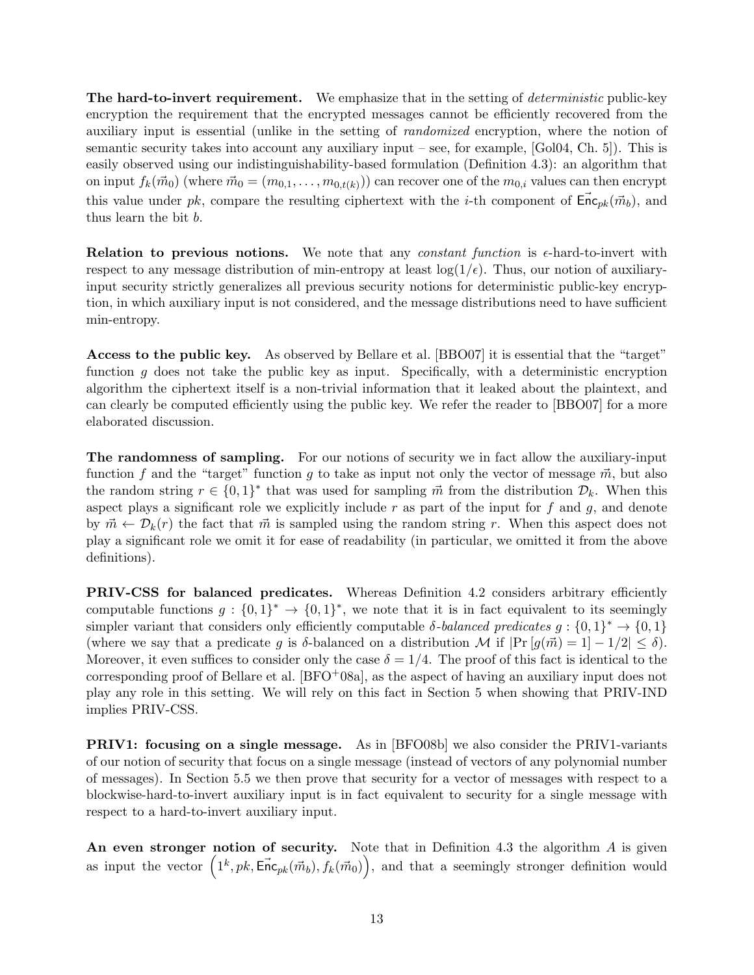**The hard-to-invert requirement.** We emphasize that in the setting of *deterministic* public-key encryption the requirement that the encrypted messages cannot be efficiently recovered from the auxiliary input is essential (unlike in the setting of *randomized* encryption, where the notion of semantic security takes into account any auxiliary input – see, for example, [[Gol04](#page-33-10), Ch. 5]). This is easily observed using our indistinguishability-based formulation (Definition [4.3](#page-12-0)): an algorithm that on input  $f_k(\vec{m}_0)$  (where  $\vec{m}_0 = (m_{0,1}, \ldots, m_{0,t(k)})$ ) can recover one of the  $m_{0,i}$  values can then encrypt this value under *pk*, compare the resulting ciphertext with the *i*-th component of  $\vec{Enc}_{pk}(\vec{m}_b)$ , and thus learn the bit *b*.

**Relation to previous notions.** We note that any *constant function* is *ϵ*-hard-to-invert with respect to any message distribution of min-entropy at least  $log(1/\epsilon)$ . Thus, our notion of auxiliaryinput security strictly generalizes all previous security notions for deterministic public-key encryption, in which auxiliary input is not considered, and the message distributions need to have sufficient min-entropy.

**Access to the public key.** As observed by Bellare et al. [\[BBO07](#page-31-1)] it is essential that the "target" function *g* does not take the public key as input. Specifically, with a deterministic encryption algorithm the ciphertext itself is a non-trivial information that it leaked about the plaintext, and can clearly be computed efficiently using the public key. We refer the reader to [[BBO07\]](#page-31-1) for a more elaborated discussion.

**The randomness of sampling.** For our notions of security we in fact allow the auxiliary-input function *f* and the "target" function *g* to take as input not only the vector of message  $\vec{m}$ , but also the random string  $r \in \{0,1\}^*$  that was used for sampling  $\vec{m}$  from the distribution  $\mathcal{D}_k$ . When this aspect plays a significant role we explicitly include *r* as part of the input for *f* and *g*, and denote by  $\vec{m} \leftarrow \mathcal{D}_k(r)$  the fact that  $\vec{m}$  is sampled using the random string *r*. When this aspect does not play a significant role we omit it for ease of readability (in particular, we omitted it from the above definitions).

**PRIV-CSS** for balanced predicates. Whereas Definition [4.2](#page-12-1) considers arbitrary efficiently computable functions  $g: \{0,1\}^* \to \{0,1\}^*$ , we note that it is in fact equivalent to its seemingly simpler variant that considers only efficiently computable *δ-balanced predicates*  $g: \{0,1\}^* \to \{0,1\}$ (where we say that a predicate *g* is  $\delta$ -balanced on a distribution *M* if  $|\Pr(g(\vec{m}) = 1| - 1/2| \leq \delta)$ . Moreover, it even suffices to consider only the case  $\delta = 1/4$ . The proof of this fact is identical to the corresponding proof of Bellare et al. [\[BFO](#page-32-0)+08a], as the aspect of having an auxiliary input does not play any role in this setting. We will rely on this fact in Section [5](#page-15-0) when showing that PRIV-IND implies PRIV-CSS.

**PRIV1:** focusing on a single message. As in [[BFO08b](#page-32-1)] we also consider the PRIV1-variants of our notion of security that focus on a single message (instead of vectors of any polynomial number of messages). In Section [5.5](#page-20-0) we then prove that security for a vector of messages with respect to a blockwise-hard-to-invert auxiliary input is in fact equivalent to security for a single message with respect to a hard-to-invert auxiliary input.

**An even stronger notion of security.** Note that in Definition [4.3](#page-12-0) the algorithm *A* is given as input the vector  $(1^k, pk, \overrightarrow{Enc}_{pk}(\vec{m}_b), f_k(\vec{m}_0))$ , and that a seemingly stronger definition would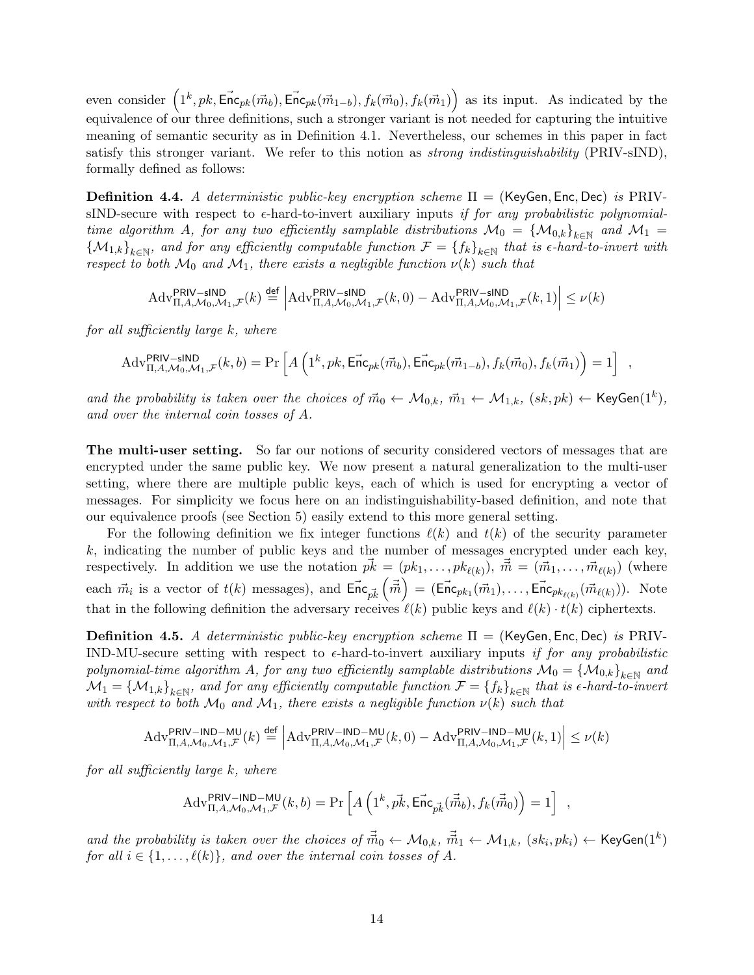even consider  $(1^k, pk, \vec{Enc}_{pk}(\vec{m}_b), \vec{Enc}_{pk}(\vec{m}_{1-b}), f_k(\vec{m}_0), f_k(\vec{m}_1))$  as its input. As indicated by the equivalence of our three definitions, such a stronger variant is not needed for capturing the intuitive meaning of semantic security as in Definition [4.1](#page-12-2). Nevertheless, our schemes in this paper in fact satisfy this stronger variant. We refer to this notion as *strong indistinguishability* (PRIV-sIND), formally defined as follows:

<span id="page-14-1"></span>**Definition 4.4.** *A deterministic public-key encryption scheme* Π = (KeyGen*,* Enc*,* Dec) *is* PRIVsIND-secure with respect to *ϵ*-hard-to-invert auxiliary inputs *if for any probabilistic polynomialtime algorithm A, for any two efficiently samplable distributions*  $\mathcal{M}_0 = {\mathcal{M}_{0,k}}_{k\in\mathbb{N}}$  *and*  $\mathcal{M}_1 =$  $\{\mathcal{M}_{1,k}\}_{k\in\mathbb{N}}$ , and for any efficiently computable function  $\mathcal{F} = \{f_k\}_{k\in\mathbb{N}}$  that is  $\epsilon$ -hard-to-invert with *respect to both*  $\mathcal{M}_0$  *and*  $\mathcal{M}_1$ *, there exists a negligible function*  $\nu(k)$  *such that* 

$$
\mathrm{Adv}_{\Pi,A,\mathcal{M}_0,\mathcal{M}_1,\mathcal{F}}^{\mathsf{PRIV-sIND}}(k) \stackrel{\mathsf{def}}{=} \left|\mathrm{Adv}_{\Pi,A,\mathcal{M}_0,\mathcal{M}_1,\mathcal{F}}^{\mathsf{PRIV-sIND}}(k,0) - \mathrm{Adv}_{\Pi,A,\mathcal{M}_0,\mathcal{M}_1,\mathcal{F}}^{\mathsf{PRIV-sIND}}(k,1)\right| \leq \nu(k)
$$

*for all sufficiently large k, where*

AdvPRIV*−*sIND Π*,A,M*0*,M*1*,F* (*k, b*) = Pr [ *A* ( 1 *k , pk,* Enc *⃗ pk*(*⃗mb*)*,* Enc *⃗ pk*(*⃗m*1*−b*)*, fk*(*⃗m*0)*, fk*(*⃗m*1) ) = 1]

*,*

*and the probability is taken over the choices of*  $\vec{m}_0$  *←*  $\mathcal{M}_{0,k}$ *,*  $\vec{m}_1$  *←*  $\mathcal{M}_{1,k}$ *,*  $(sk, pk)$  *← KeyGen(1<sup>k</sup>), and over the internal coin tosses of A.*

**The multi-user setting.** So far our notions of security considered vectors of messages that are encrypted under the same public key. We now present a natural generalization to the multi-user setting, where there are multiple public keys, each of which is used for encrypting a vector of messages. For simplicity we focus here on an indistinguishability-based definition, and note that our equivalence proofs (see Section [5](#page-15-0)) easily extend to this more general setting.

For the following definition we fix integer functions  $\ell(k)$  and  $t(k)$  of the security parameter *k*, indicating the number of public keys and the number of messages encrypted under each key, respectively. In addition we use the notation  $\vec{pk} = (pk_1, \ldots, pk_{\ell(k)})$ ,  $\vec{\vec{m}} = (\vec{m}_1, \ldots, \vec{m}_{\ell(k)})$  (where each  $\vec{m}_i$  is a vector of  $t(k)$  messages), and  $\vec{Enc}_{\vec{pk}}$  $(\vec{\vec{m}}) = (\vec{\text{Enc}}_{pk_1}(\vec{m}_1), \dots, \vec{\text{Enc}}_{pk_{\ell(k)}}(\vec{m}_{\ell(k)})).$  Note that in the following definition the adversary receives  $\ell(k)$  public keys and  $\ell(k) \cdot t(k)$  ciphertexts.

<span id="page-14-0"></span>**Definition 4.5.** *A deterministic public-key encryption scheme* Π = (KeyGen*,* Enc*,* Dec) *is* PRIV-IND-MU-secure setting with respect to *ϵ*-hard-to-invert auxiliary inputs *if for any probabilistic polynomial-time algorithm A, for any two efficiently samplable distributions*  $\mathcal{M}_0 = {\{\mathcal{M}_{0,k}\}}_{k\in\mathbb{N}}$  and  $\mathcal{M}_1 = {\{\mathcal{M}_{1,k}\}}_{k \in \mathbb{N}},$  and for any efficiently computable function  $\mathcal{F} = {\{f_k\}}_{k \in \mathbb{N}}$  that is  $\epsilon$ -hard-to-invert *with respect to both*  $\mathcal{M}_0$  *and*  $\mathcal{M}_1$ *, there exists a negligible function*  $\nu(k)$  *such that* 

$$
\mathrm{Adv}_{\Pi,A,\mathcal{M}_0,\mathcal{M}_1,\mathcal{F}}^{\mathsf{PRIV-IND-MU}}(k) \stackrel{\mathsf{def}}{=} \left|\mathrm{Adv}_{\Pi,A,\mathcal{M}_0,\mathcal{M}_1,\mathcal{F}}^{\mathsf{PRIV-IND-MU}}(k,0) - \mathrm{Adv}_{\Pi,A,\mathcal{M}_0,\mathcal{M}_1,\mathcal{F}}^{\mathsf{PRIV-IND-MU}}(k,1)\right| \leq \nu(k)
$$

*for all sufficiently large k, where*

$$
\mathrm{Adv}_{\Pi,A,\mathcal{M}_0,\mathcal{M}_1,\mathcal{F}}^{\mathsf{PRIV-IND-MU}}(k,b) = \Pr\left[A\left(1^k, p\vec{k}, \vec{\mathsf{Enc}}_{p\vec{k}}(\vec{m}_b), f_k(\vec{m}_0)\right) = 1\right] ,
$$

and the probability is taken over the choices of  $\vec{m}_0 \leftarrow \mathcal{M}_{0,k}$ ,  $\vec{m}_1 \leftarrow \mathcal{M}_{1,k}$ ,  $(sk_i, pk_i) \leftarrow \text{KeyGen}(1^k)$ *for all*  $i \in \{1, \ldots, \ell(k)\}$ *, and over the internal coin tosses of A.*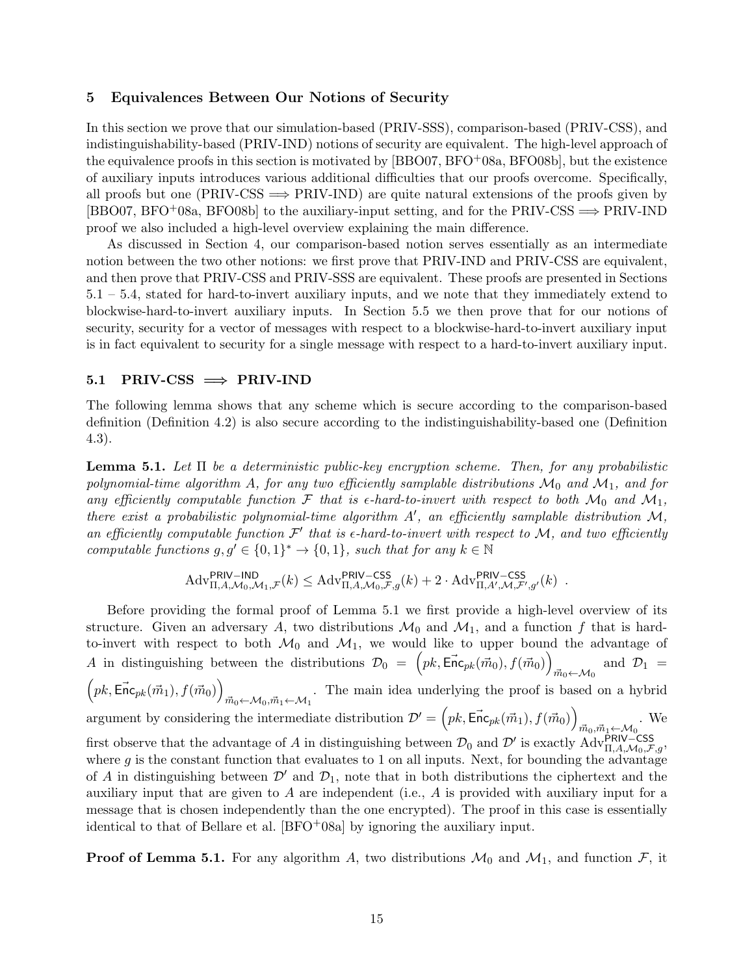# <span id="page-15-0"></span>**5 Equivalences Between Our Notions of Security**

In this section we prove that our simulation-based (PRIV-SSS), comparison-based (PRIV-CSS), and indistinguishability-based (PRIV-IND) notions of security are equivalent. The high-level approach of the equivalence proofs in this section is motivated by [[BBO07,](#page-31-1) [BFO](#page-32-0)+08a, [BFO08b\]](#page-32-1), but the existence of auxiliary inputs introduces various additional difficulties that our proofs overcome. Specifically, all proofs but one (PRIV-CSS =*⇒* PRIV-IND) are quite natural extensions of the proofs given by [\[BBO07,](#page-31-1) [BFO](#page-32-0)+08a, [BFO08b](#page-32-1)] to the auxiliary-input setting, and for the PRIV-CSS =*⇒* PRIV-IND proof we also included a high-level overview explaining the main difference.

As discussed in Section [4,](#page-11-0) our comparison-based notion serves essentially as an intermediate notion between the two other notions: we first prove that PRIV-IND and PRIV-CSS are equivalent, and then prove that PRIV-CSS and PRIV-SSS are equivalent. These proofs are presented in Sections [5.1](#page-15-1) – [5.4](#page-19-0), stated for hard-to-invert auxiliary inputs, and we note that they immediately extend to blockwise-hard-to-invert auxiliary inputs. In Section [5.5](#page-20-0) we then prove that for our notions of security, security for a vector of messages with respect to a blockwise-hard-to-invert auxiliary input is in fact equivalent to security for a single message with respect to a hard-to-invert auxiliary input.

# <span id="page-15-1"></span> $5.1$  PRIV-CSS  $\implies$  PRIV-IND

The following lemma shows that any scheme which is secure according to the comparison-based definition (Definition [4.2](#page-12-1)) is also secure according to the indistinguishability-based one (Definition [4.3\)](#page-12-0).

<span id="page-15-2"></span>**Lemma 5.1.** *Let* Π *be a deterministic public-key encryption scheme. Then, for any probabilistic polynomial-time algorithm A, for any two efficiently samplable distributions*  $M_0$  *and*  $M_1$ *, and for any* efficiently computable function  $\mathcal F$  that is  $\epsilon$ -hard-to-invert with respect to both  $\mathcal M_0$  and  $\mathcal M_1$ , *there exist a probabilistic polynomial-time algorithm A′ , an efficiently samplable distribution M,* an efficiently computable function  $\mathcal{F}'$  that is  $\epsilon$ -hard-to-invert with respect to  $\mathcal{M}$ , and two efficiently *computable functions*  $g, g' \in \{0, 1\}^* \to \{0, 1\}$ , such that for any  $k \in \mathbb{N}$ 

$$
\mathrm{Adv}_{\Pi,A,\mathcal{M}_0,\mathcal{M}_1,\mathcal{F}}^{\mathsf{PRIV}-\mathsf{IND}}(k) \leq \mathrm{Adv}_{\Pi,A,\mathcal{M}_0,\mathcal{F},g}^{\mathsf{PRIV}-\mathsf{CSS}}(k) + 2\cdot \mathrm{Adv}_{\Pi,A',\mathcal{M},\mathcal{F}',g'}^{\mathsf{PRIV}-\mathsf{CSS}}(k) \enspace .
$$

Before providing the formal proof of Lemma [5.1](#page-15-2) we first provide a high-level overview of its structure. Given an adversary A, two distributions  $\mathcal{M}_0$  and  $\mathcal{M}_1$ , and a function f that is hardto-invert with respect to both  $\mathcal{M}_0$  and  $\mathcal{M}_1$ , we would like to upper bound the advantage of *A* in distinguishing between the distributions  $\mathcal{D}_0 = \left( pk, \overrightarrow{Enc}_{pk}(\overrightarrow{m}_0), f(\overrightarrow{m}_0) \right)$  $\vec{m}_0 \leftarrow \mathcal{M}_0$  and  $\mathcal{D}_1$  =  $\left( pk, \overrightarrow{\text{Enc}}_{pk}(\overrightarrow{m}_1), f(\overrightarrow{m}_0) \right)$  $\vec{m}_0 \leftarrow \mathcal{M}_0, \vec{m}_1 \leftarrow \mathcal{M}_1$ . The main idea underlying the proof is based on a hybrid argument by considering the intermediate distribution  $\mathcal{D}' = \left( pk, \overrightarrow{Enc}_{pk}(\vec{m}_1), f(\vec{m}_0) \right)$  $\vec{m}_0, \vec{m}_1 \leftarrow \mathcal{M}_0$ . We first observe that the advantage of *A* in distinguishing between  $\mathcal{D}_0$  and  $\mathcal{D}'$  is exactly  $\text{Adv}_{\Pi, A, \mathcal{M}_0, \mathcal{F}, g}^{\text{PRIV}-\text{CSS}}$ where  $g$  is the constant function that evaluates to 1 on all inputs. Next, for bounding the advantage of *A* in distinguishing between  $\mathcal{D}'$  and  $\mathcal{D}_1$ , note that in both distributions the ciphertext and the auxiliary input that are given to *A* are independent (i.e., *A* is provided with auxiliary input for a message that is chosen independently than the one encrypted). The proof in this case is essentially identical to that of Bellare et al. [[BFO](#page-32-0)<sup>+</sup>08a] by ignoring the auxiliary input.

**Proof of Lemma [5.1](#page-15-2).** For any algorithm *A*, two distributions  $\mathcal{M}_0$  and  $\mathcal{M}_1$ , and function  $\mathcal{F}$ , it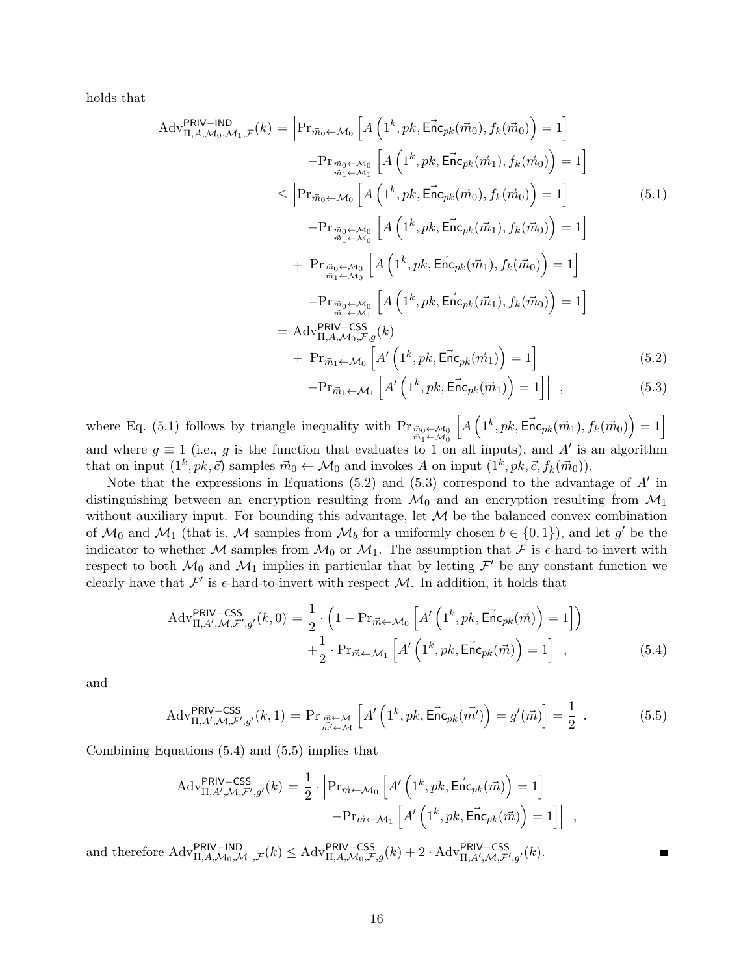holds that

<span id="page-16-0"></span>
$$
\operatorname{Adv}_{\Pi, A, \mathcal{M}_0, \mathcal{M}_1, \mathcal{F}}^{\text{PRIV-IND}}(k) = \left| \operatorname{Pr}_{\vec{m}_0 \leftarrow \mathcal{M}_0} \left[ A \left( 1^k, pk, \overrightarrow{\text{Enc}}_{pk}(\vec{m}_0), f_k(\vec{m}_0) \right) = 1 \right] \right. \\
 \left. - \operatorname{Pr}_{\vec{m}_0 \leftarrow \mathcal{M}_0} \left[ A \left( 1^k, pk, \overrightarrow{\text{Enc}}_{pk}(\vec{m}_1), f_k(\vec{m}_0) \right) = 1 \right] \right| \\
\leq \left| \operatorname{Pr}_{\vec{m}_0 \leftarrow \mathcal{M}_0} \left[ A \left( 1^k, pk, \overrightarrow{\text{Enc}}_{pk}(\vec{m}_0), f_k(\vec{m}_0) \right) = 1 \right] \right. \\
 \left. - \operatorname{Pr}_{\vec{m}_0 \leftarrow \mathcal{M}_0} \left[ A \left( 1^k, pk, \overrightarrow{\text{Enc}}_{pk}(\vec{m}_1), f_k(\vec{m}_0) \right) = 1 \right] \right| \\
 \left. + \left| \operatorname{Pr}_{\vec{m}_0 \leftarrow \mathcal{M}_0} \left[ A \left( 1^k, pk, \overrightarrow{\text{Enc}}_{pk}(\vec{m}_1), f_k(\vec{m}_0) \right) = 1 \right] \right. \\
 \left. - \operatorname{Pr}_{\vec{m}_1 \leftarrow \mathcal{M}_0} \left[ A \left( 1^k, pk, \overrightarrow{\text{Enc}}_{pk}(\vec{m}_1), f_k(\vec{m}_0) \right) = 1 \right] \right| \\
 \left. - \operatorname{Pr}_{\vec{m}_1 \leftarrow \mathcal{M}_1} \left[ A \left( 1^k, pk, \overrightarrow{\text{Enc}}_{pk}(\vec{m}_1), f_k(\vec{m}_0) \right) = 1 \right] \right| \\
 = \operatorname{Adv}_{\Pi, A, \mathcal{M}_0, \mathcal{F}, g}(k) \\
 \left. + \left| \operatorname{Pr}_{\vec{m}_1 \leftarrow \mathcal{M}_0} \left[ A' \left( 1^k, pk, \overrightarrow{\text{Enc}}_{pk}(\vec{m}_1) \right) = 1 \right] \right. \\
 \left. \operatorname{Pr}_{\vec{m}_1 \leftarrow \mathcal{M}_0} \left[ A' \left( 1
$$

$$
-\mathrm{Pr}_{\vec{m}_1 \leftarrow \mathcal{M}_1} \left[ A' \left( 1^k, pk, \vec{\mathsf{Enc}}_{pk}(\vec{m}_1) \right) = 1 \right] \Big| , \tag{5.3}
$$

where Eq. ([5.1\)](#page-16-0) follows by triangle inequality with  $Pr_{\substack{\vec{m}_0 \leftarrow \mathcal{M}_0 \\ \vec{m}_1 \leftarrow \mathcal{M}_0}}$  $\left[ A\left(1^{k},pk,\vec{\text{Enc}}_{pk}(\vec{m}_1),f_k(\vec{m}_0)\right)=1 \right]$ and where  $g \equiv 1$  (i.e.,  $g$  is the function that evaluates to 1 on all inputs), and  $A'$  is an algorithm that on input  $(1^k, pk, \vec{c})$  samples  $\vec{m}_0 \leftarrow \mathcal{M}_0$  and invokes *A* on input  $(1^k, pk, \vec{c}, f_k(\vec{m}_0))$ .

Note that the expressions in Equations ([5.2\)](#page-16-0) and [\(5.3](#page-16-0)) correspond to the advantage of *A′* in distinguishing between an encryption resulting from  $\mathcal{M}_0$  and an encryption resulting from  $\mathcal{M}_1$ without auxiliary input. For bounding this advantage, let  $M$  be the balanced convex combination of  $\mathcal{M}_0$  and  $\mathcal{M}_1$  (that is,  $\mathcal{M}$  samples from  $\mathcal{M}_b$  for a uniformly chosen  $b \in \{0,1\}$ ), and let g' be the indicator to whether *M* samples from  $M_0$  or  $M_1$ . The assumption that *F* is  $\epsilon$ -hard-to-invert with respect to both  $\mathcal{M}_0$  and  $\mathcal{M}_1$  implies in particular that by letting  $\mathcal{F}'$  be any constant function we clearly have that  $\mathcal{F}'$  is  $\epsilon$ -hard-to-invert with respect  $\mathcal{M}$ . In addition, it holds that

<span id="page-16-1"></span>
$$
\operatorname{Adv}_{\Pi, A', \mathcal{M}, \mathcal{F}', g'}^{\text{PRIV}-\text{CSS}}(k,0) = \frac{1}{2} \cdot \left(1 - \Pr_{\vec{m} \leftarrow \mathcal{M}_0} \left[ A' \left(1^k, pk, \vec{\text{Enc}}_{pk}(\vec{m})\right) = 1 \right] \right) + \frac{1}{2} \cdot \Pr_{\vec{m} \leftarrow \mathcal{M}_1} \left[ A' \left(1^k, pk, \vec{\text{Enc}}_{pk}(\vec{m})\right) = 1 \right], \tag{5.4}
$$

and

<span id="page-16-2"></span>
$$
\operatorname{Adv}_{\Pi, A', \mathcal{M}, \mathcal{F}', g'}^{\mathsf{PRIV}-\mathsf{CSS}}(k,1) = \operatorname{Pr}_{\substack{\vec{m}\leftarrow \mathcal{M} \\ m'\leftarrow \mathcal{M}}} \left[ A'\left(1^k, pk, \mathsf{Enc}_{pk}(\vec{m'})\right) = g'(\vec{m}) \right] = \frac{1}{2} \tag{5.5}
$$

Combining Equations [\(5.4](#page-16-1)) and [\(5.5](#page-16-2)) implies that

$$
Adv_{\Pi, A', \mathcal{M}, \mathcal{F}', g'}^{\mathsf{PRIV}-\mathsf{CSS}}(k) = \frac{1}{2} \cdot \left| \mathrm{Pr}_{\vec{m} \leftarrow \mathcal{M}_0} \left[ A' \left( 1^k, pk, \mathsf{Enc}_{pk}(\vec{m}) \right) = 1 \right] - \mathrm{Pr}_{\vec{m} \leftarrow \mathcal{M}_1} \left[ A' \left( 1^k, pk, \mathsf{Enc}_{pk}(\vec{m}) \right) = 1 \right] \right| ,
$$

and therefore  $\mathrm{Adv}_{\Pi,A,\mathcal{M}_0,\mathcal{M}_1,\mathcal{F}}^{\mathsf{PRIV}-\mathsf{IDS}}(k) \leq \mathrm{Adv}_{\Pi,A,\mathcal{M}_0,\mathcal{F},g}^{\mathsf{PRIV}-\mathsf{CSS}}(k) + 2 \cdot \mathrm{Adv}_{\Pi,A',\mathcal{M},\mathcal{F}',g'}^{\mathsf{PRIV}-\mathsf{CSS}}(k).$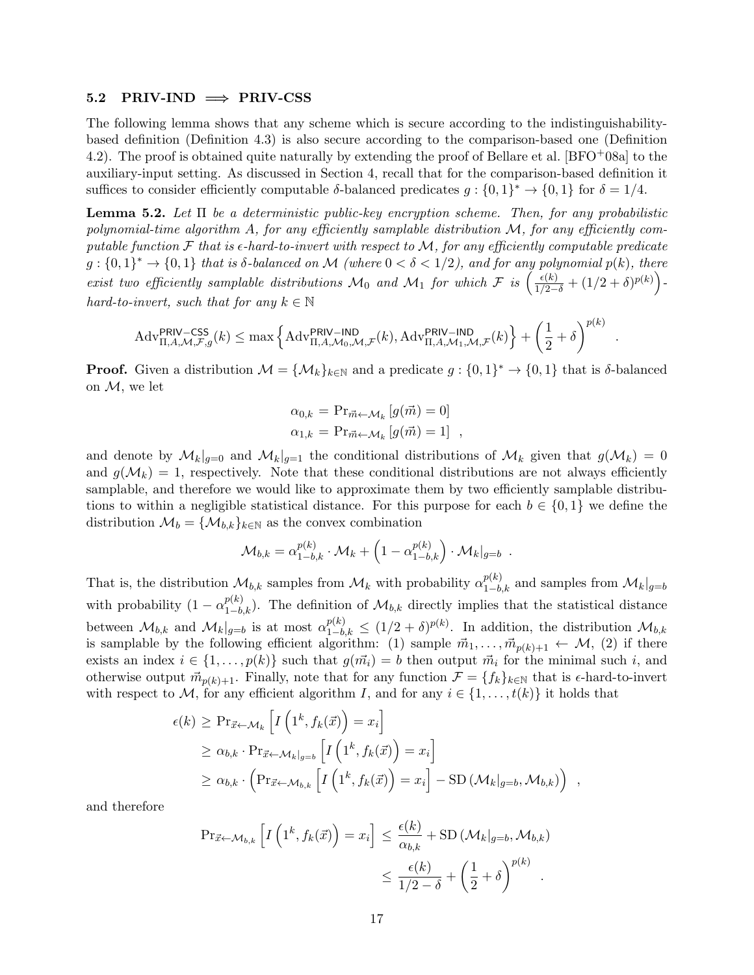## 5.2 PRIV-IND  $\implies$  PRIV-CSS

The following lemma shows that any scheme which is secure according to the indistinguishabilitybased definition (Definition [4.3](#page-12-0)) is also secure according to the comparison-based one (Definition [4.2\)](#page-12-1). The proof is obtained quite naturally by extending the proof of Bellare et al. [[BFO](#page-32-0)+08a] to the auxiliary-input setting. As discussed in Section [4](#page-11-0), recall that for the comparison-based definition it suffices to consider efficiently computable  $\delta$ -balanced predicates  $g : \{0,1\}^* \to \{0,1\}$  for  $\delta = 1/4$ .

**Lemma 5.2.** *Let* Π *be a deterministic public-key encryption scheme. Then, for any probabilistic polynomial-time algorithm A, for any efficiently samplable distribution M, for any efficiently computable function*  $\mathcal F$  *that is*  $\epsilon$ *-hard-to-invert with respect to*  $\mathcal M$ , *for any efficiently computable predicate*  $g: \{0,1\}^* \to \{0,1\}$  that is  $\delta$ -balanced on M (where  $0 < \delta < 1/2$ ), and for any polynomial  $p(k)$ , there *exist two efficiently samplable distributions*  $\mathcal{M}_0$  *and*  $\mathcal{M}_1$  *for which*  $\mathcal{F}$  *is*  $\left(\frac{\epsilon(k)}{1/2-\delta} + (1/2+\delta)^{p(k)}\right)$ *hard-to-invert, such that for any*  $k \in \mathbb{N}$ 

$$
\mathrm{Adv}_{\Pi,A,\mathcal{M},\mathcal{F},g}^{\mathsf{PRIV}-\mathsf{CSS}}(k) \le \max \left\{\mathrm{Adv}_{\Pi,A,\mathcal{M}_0,\mathcal{M},\mathcal{F}}^{\mathsf{PRIV}-\mathsf{IND}}(k), \mathrm{Adv}_{\Pi,A,\mathcal{M}_1,\mathcal{M},\mathcal{F}}^{\mathsf{PRIV}-\mathsf{IND}}(k)\right\} + \left(\frac{1}{2} + \delta\right)^{p(k)}
$$

*.*

**Proof.** Given a distribution  $\mathcal{M} = {\mathcal{M}_k}_{k\in\mathbb{N}}$  and a predicate  $g: \{0,1\}^* \to \{0,1\}$  that is  $\delta$ -balanced on *M*, we let

$$
\alpha_{0,k} = \Pr_{\vec{m}\leftarrow \mathcal{M}_k} [g(\vec{m}) = 0]
$$
  

$$
\alpha_{1,k} = \Pr_{\vec{m}\leftarrow \mathcal{M}_k} [g(\vec{m}) = 1],
$$

and denote by  $\mathcal{M}_k|_{g=0}$  and  $\mathcal{M}_k|_{g=1}$  the conditional distributions of  $\mathcal{M}_k$  given that  $g(\mathcal{M}_k) = 0$ and  $g(\mathcal{M}_k) = 1$ , respectively. Note that these conditional distributions are not always efficiently samplable, and therefore we would like to approximate them by two efficiently samplable distributions to within a negligible statistical distance. For this purpose for each  $b \in \{0,1\}$  we define the distribution  $\mathcal{M}_b = {\mathcal{M}_{b,k}}_{k \in \mathbb{N}}$  as the convex combination

$$
\mathcal{M}_{b,k} = \alpha_{1-b,k}^{p(k)} \cdot \mathcal{M}_k + \left(1 - \alpha_{1-b,k}^{p(k)}\right) \cdot \mathcal{M}_k|_{g=b} .
$$

That is, the distribution  $\mathcal{M}_{b,k}$  samples from  $\mathcal{M}_k$  with probability  $\alpha_{1-b,k}^{p(k)}$  and samples from  $\mathcal{M}_k|_{g=b}$ with probability  $(1 - \alpha_{1-b,k}^{p(k)})$ . The definition of  $\mathcal{M}_{b,k}$  directly implies that the statistical distance between  $\mathcal{M}_{b,k}$  and  $\mathcal{M}_k|_{g=b}$  is at most  $\alpha_{1-b,k}^{p(k)} \leq (1/2+\delta)^{p(k)}$ . In addition, the distribution  $\mathcal{M}_{b,k}$ is samplable by the following efficient algorithm: (1) sample  $\vec{m}_1, \ldots, \vec{m}_{p(k)+1} \leftarrow \mathcal{M}$ , (2) if there exists an index  $i \in \{1, ..., p(k)\}$  such that  $g(\vec{m_i}) = b$  then output  $\vec{m_i}$  for the minimal such *i*, and otherwise output  $\vec{m}_{p(k)+1}$ . Finally, note that for any function  $\mathcal{F} = \{f_k\}_{k\in\mathbb{N}}$  that is  $\epsilon$ -hard-to-invert with respect to *M*, for any efficient algorithm *I*, and for any  $i \in \{1, \ldots, t(k)\}\$ it holds that

$$
\epsilon(k) \geq \Pr_{\vec{x}\leftarrow\mathcal{M}_k} \left[ I\left(1^k, f_k(\vec{x})\right) = x_i \right]
$$
  
\n
$$
\geq \alpha_{b,k} \cdot \Pr_{\vec{x}\leftarrow\mathcal{M}_k|_{g=b}} \left[ I\left(1^k, f_k(\vec{x})\right) = x_i \right]
$$
  
\n
$$
\geq \alpha_{b,k} \cdot \left( \Pr_{\vec{x}\leftarrow\mathcal{M}_{b,k}} \left[ I\left(1^k, f_k(\vec{x})\right) = x_i \right] - \text{SD}\left(\mathcal{M}_k|_{g=b}, \mathcal{M}_{b,k}\right) \right) ,
$$

and therefore

$$
\begin{aligned} \Pr_{\vec{x} \leftarrow \mathcal{M}_{b,k}} \left[ I \left( 1^k, f_k(\vec{x}) \right) = x_i \right] &\leq \frac{\epsilon(k)}{\alpha_{b,k}} + \text{SD} \left( \mathcal{M}_k |_{g=b}, \mathcal{M}_{b,k} \right) \\ &\leq \frac{\epsilon(k)}{1/2 - \delta} + \left( \frac{1}{2} + \delta \right)^{p(k)} \end{aligned}
$$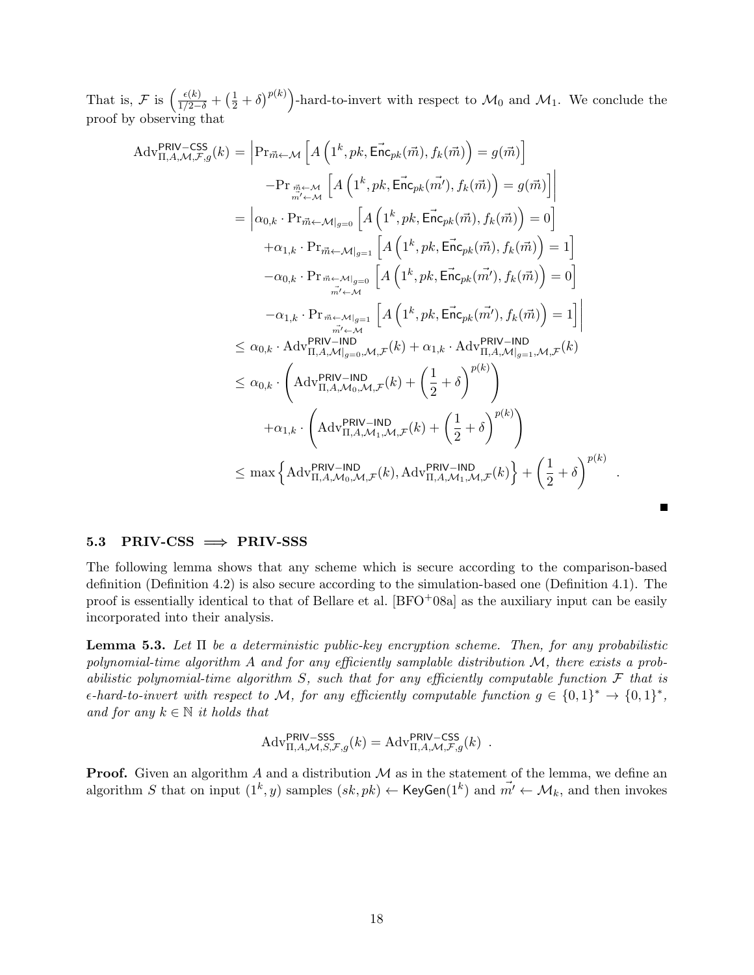That is,  $\mathcal{F}$  is  $\left(\frac{\epsilon(k)}{1/2-\delta} + \left(\frac{1}{2} + \delta\right)^{p(k)}\right)$ -hard-to-invert with respect to  $\mathcal{M}_0$  and  $\mathcal{M}_1$ . We conclude the proof by observing that

$$
Adv_{\Pi,A,M,\mathcal{F},g}^{\text{PRIV}-\text{CSS}}(k) = \left| P_{\Gamma\vec{m}\leftarrow\mathcal{M}} \left[ A\left(1^k, pk, \overrightarrow{\text{Enc}}_{pk}(\vec{m}), f_k(\vec{m})\right) = g(\vec{m}) \right] \right|
$$
  
\n
$$
-P_{\Gamma\vec{m}\leftarrow\mathcal{M}} \left[ A\left(1^k, pk, \overrightarrow{\text{Enc}}_{pk}(\vec{m}), f_k(\vec{m})\right) = g(\vec{m}) \right] \right|
$$
  
\n
$$
= \left| \alpha_{0,k} \cdot P_{\Gamma\vec{m}\leftarrow\mathcal{M}|_{g=0}} \left[ A\left(1^k, pk, \overrightarrow{\text{Enc}}_{pk}(\vec{m}), f_k(\vec{m})\right) = 0 \right] \right|
$$
  
\n
$$
+ \alpha_{1,k} \cdot P_{\Gamma\vec{m}\leftarrow\mathcal{M}|_{g=1}} \left[ A\left(1^k, pk, \overrightarrow{\text{Enc}}_{pk}(\vec{m}), f_k(\vec{m})\right) = 1 \right]
$$
  
\n
$$
- \alpha_{0,k} \cdot P_{\Gamma\vec{m}\leftarrow\mathcal{M}|_{g=1}} \left[ A\left(1^k, pk, \overrightarrow{\text{Enc}}_{pk}(\vec{m}'), f_k(\vec{m})\right) = 0 \right]
$$
  
\n
$$
- \alpha_{1,k} \cdot P_{\Gamma\vec{m}\leftarrow\mathcal{M}|_{g=1}} \left[ A\left(1^k, pk, \overrightarrow{\text{Enc}}_{pk}(\vec{m}'), f_k(\vec{m})\right) = 1 \right] \right|
$$
  
\n
$$
\leq \alpha_{0,k} \cdot \text{Adv}_{\Pi,A,M|_{g=0},M,\mathcal{F}}^{(\overrightarrow{m}\leftarrow\mathcal{M})}(k) + \alpha_{1,k} \cdot \text{Adv}_{\Pi,A,M|_{g=1},M,\mathcal{F}}^{(\overrightarrow{m}\leftarrow\mathcal{M})}(k)
$$
  
\n
$$
\leq \alpha_{0,k} \cdot \left( \text{Adv}_{\Pi,A,M_0,M,\mathcal{F}}^{(\overrightarrow{m}\leftarrow\mathcal{M})}(k) + \left(\frac{1}{2} + \delta\right)^{p(k)} \right) \right)
$$
  
\n
$$
+ \alpha_{1,k
$$

# 5.3 PRIV-CSS  $\implies$  PRIV-SSS

The following lemma shows that any scheme which is secure according to the comparison-based definition (Definition [4.2\)](#page-12-1) is also secure according to the simulation-based one (Definition [4.1](#page-12-2)). The proof is essentially identical to that of Bellare et al.  $[BFO<sup>+</sup>08a]$  $[BFO<sup>+</sup>08a]$  $[BFO<sup>+</sup>08a]$  as the auxiliary input can be easily incorporated into their analysis.

П

**Lemma 5.3.** *Let* Π *be a deterministic public-key encryption scheme. Then, for any probabilistic polynomial-time algorithm A and for any efficiently samplable distribution M, there exists a probabilistic polynomial-time algorithm S, such that for any efficiently computable function F that is*  $\epsilon$ -hard-to-invert with respect to M, for any efficiently computable function  $g \in \{0,1\}^* \to \{0,1\}^*$ , *and for any*  $k \in \mathbb{N}$  *it holds that* 

$$
\mathrm{Adv}_{\Pi,A,\mathcal{M},S,\mathcal{F},g}^{\mathsf{PRIV}-\mathsf{SSS}}(k) = \mathrm{Adv}_{\Pi,A,\mathcal{M},\mathcal{F},g}^{\mathsf{PRIV}-\mathsf{CSS}}(k) .
$$

**Proof.** Given an algorithm *A* and a distribution *M* as in the statement of the lemma, we define an algorithm *S* that on input  $(1^k, y)$  samples  $(sk, pk) \leftarrow \textsf{KeyGen}(1^k)$  and  $\vec{m'} \leftarrow \mathcal{M}_k$ , and then invokes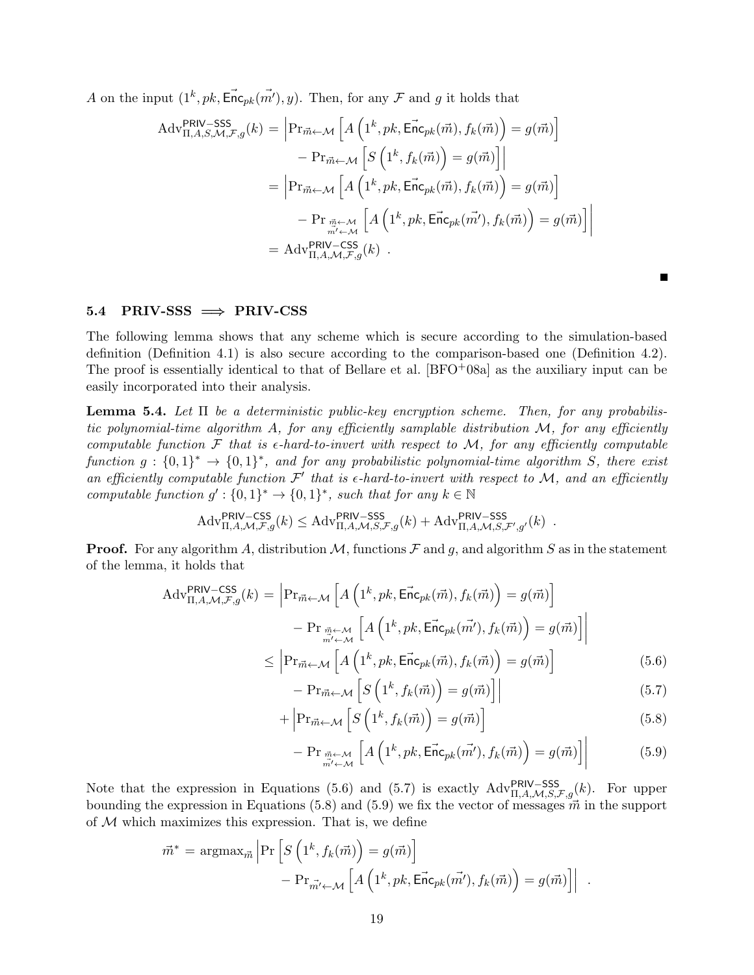*A* on the input  $(1^k, pk, \overrightarrow{Enc}_{pk}(\overrightarrow{m'}), y)$ . Then, for any *F* and *g* it holds that

$$
\begin{split} \text{Adv}_{\Pi,A,S,\mathcal{M},\mathcal{F},g}^{\text{PRIV}-\text{SSS}}(k) &= \left| \text{Pr}_{\vec{m}\leftarrow\mathcal{M}} \left[ A\left(1^k, pk, \vec{\text{Enc}}_{pk}(\vec{m}), f_k(\vec{m})\right) = g(\vec{m}) \right] \right. \\ &\quad - \text{Pr}_{\vec{m}\leftarrow\mathcal{M}} \left[ S\left(1^k, f_k(\vec{m})\right) = g(\vec{m}) \right] \right| \\ &= \left| \text{Pr}_{\vec{m}\leftarrow\mathcal{M}} \left[ A\left(1^k, pk, \vec{\text{Enc}}_{pk}(\vec{m}), f_k(\vec{m})\right) = g(\vec{m}) \right] \right. \\ &\quad - \text{Pr}_{\substack{\vec{m}\leftarrow\mathcal{M} \\ m'\leftarrow\mathcal{M}}} \left[ A\left(1^k, pk, \vec{\text{Enc}}_{pk}(\vec{m'}), f_k(\vec{m})\right) = g(\vec{m}) \right] \right| \\ &= \text{Adv}_{\Pi,A,\mathcal{M},\mathcal{F},g}^{\text{PRIV}-\text{CSS}}(k) \ . \end{split}
$$

# <span id="page-19-0"></span> $5.4$  PRIV-SSS  $\implies$  PRIV-CSS

The following lemma shows that any scheme which is secure according to the simulation-based definition (Definition [4.1](#page-12-2)) is also secure according to the comparison-based one (Definition [4.2\)](#page-12-1). The proof is essentially identical to that of Bellare et al.  $[BFO<sup>+</sup>08a]$  $[BFO<sup>+</sup>08a]$  $[BFO<sup>+</sup>08a]$  as the auxiliary input can be easily incorporated into their analysis.

**Lemma 5.4.** *Let* Π *be a deterministic public-key encryption scheme. Then, for any probabilistic polynomial-time algorithm A, for any efficiently samplable distribution M, for any efficiently computable function*  $\mathcal F$  *that is*  $\epsilon$ *-hard-to-invert with respect to*  $\mathcal M$ *, for any efficiently computable function*  $g: \{0,1\}^* \to \{0,1\}^*$ , and for any probabilistic polynomial-time algorithm *S*, there exist an efficiently computable function  $\mathcal{F}'$  that is  $\epsilon$ -hard-to-invert with respect to  $\mathcal{M}$ , and an efficiently *computable function*  $g' : \{0,1\}^* \to \{0,1\}^*$ , such that for any  $k \in \mathbb{N}$ 

$$
\mathrm{Adv}_{\Pi,A,\mathcal{M},\mathcal{F},g}^{\mathsf{PRIV}-\mathsf{CSS}}(k) \leq \mathrm{Adv}_{\Pi,A,\mathcal{M},S,\mathcal{F},g}^{\mathsf{PRIV}-\mathsf{SSS}}(k) + \mathrm{Adv}_{\Pi,A,\mathcal{M},S,\mathcal{F}',g'}^{\mathsf{PRIV}-\mathsf{SSS}}(k) \enspace .
$$

**Proof.** For any algorithm *A*, distribution *M*, functions  $\mathcal F$  and  $g$ , and algorithm *S* as in the statement of the lemma, it holds that

<span id="page-19-1"></span>
$$
\operatorname{Adv}_{\Pi,A,\mathcal{M},\mathcal{F},g}^{\text{PRIV}-\text{CSS}}(k) = \left| \Pr_{\vec{m}\leftarrow\mathcal{M}} \left[ A\left(1^k, pk, \vec{\text{Enc}}_{pk}(\vec{m}), f_k(\vec{m})\right) = g(\vec{m}) \right] \right. \\
 \left. - \Pr_{\substack{\vec{m}\leftarrow\mathcal{M} \\ \vec{m}'\leftarrow\mathcal{M}}} \left[ A\left(1^k, pk, \vec{\text{Enc}}_{pk}(\vec{m}'), f_k(\vec{m})\right) = g(\vec{m}) \right] \right| \\
 \le \left| \Pr_{\vec{m}\leftarrow\mathcal{M}} \left[ A\left(1^k, pk, \vec{\text{Enc}}_{pk}(\vec{m}), f_k(\vec{m})\right) = g(\vec{m}) \right] \right] \tag{5.6}
$$

$$
- \Pr_{\vec{m}\leftarrow \mathcal{M}} \left[ S\left(1^k, f_k(\vec{m})\right) = g(\vec{m}) \right] \right]
$$
 (5.7)

$$
+\left|\mathrm{Pr}_{\vec{m}\leftarrow\mathcal{M}}\left[S\left(1^k, f_k(\vec{m})\right) = g(\vec{m})\right]\right]
$$
\n(5.8)

$$
- \Pr_{\vec{m'} \leftarrow \mathcal{M} \atop \vec{m'} \leftarrow \mathcal{M}} \left[ A\left(1^k, pk, \vec{\text{Enc}}_{pk}(\vec{m'}), f_k(\vec{m})\right) = g(\vec{m}) \right] \right]
$$
(5.9)

Note that the expression in Equations ([5.6](#page-19-1)) and ([5.7\)](#page-19-1) is exactly  $\text{Adv}_{\Pi,A,\mathcal{M},S,\mathcal{F},g}^{\text{PRIV}-\text{SSS}}(k)$ . For upper bounding the expression in Equations  $(5.8)$  $(5.8)$  $(5.8)$  and  $(5.9)$  $(5.9)$  we fix the vector of messages  $\vec{m}$  in the support of *M* which maximizes this expression. That is, we define

$$
\vec{m}^* = \operatorname{argmax}_{\vec{m}} \left| \Pr \left[ S \left( 1^k, f_k(\vec{m}) \right) = g(\vec{m}) \right] - \Pr_{\vec{m'} \leftarrow \mathcal{M}} \left[ A \left( 1^k, pk, \mathsf{Enc}_{pk}(\vec{m'}), f_k(\vec{m}) \right) = g(\vec{m}) \right] \right| .
$$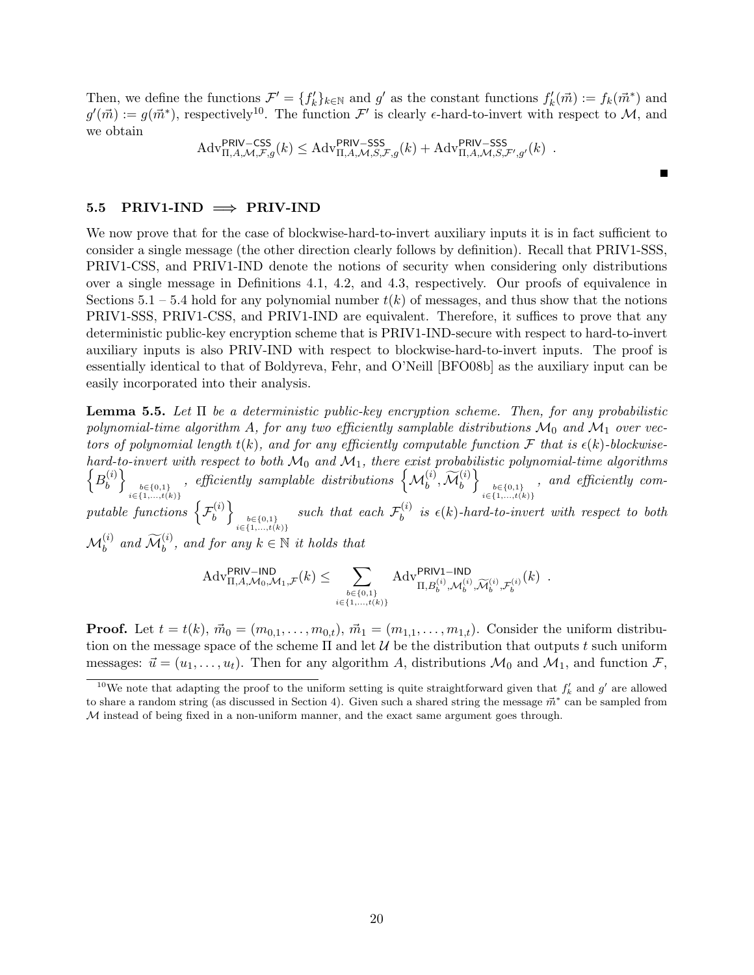Then, we define the functions  $\mathcal{F}' = \{f'_k\}_{k\in\mathbb{N}}$  and g' as the constant functions  $f'_k(\vec{m}) := f_k(\vec{m}^*)$  and  $g'(\vec{m}) := g(\vec{m}^*)$ , respectively<sup>[10](#page-20-1)</sup>. The function  $\mathcal{F}'$  is clearly  $\epsilon$ -hard-to-invert with respect to *M*, and we obtain

$$
\mathrm{Adv}_{\Pi,A,\mathcal{M},\mathcal{F},g}^{\mathsf{PRIV}-\mathsf{CSS}}(k) \leq \mathrm{Adv}_{\Pi,A,\mathcal{M},S,\mathcal{F},g}^{\mathsf{PRIV}-\mathsf{SSS}}(k) + \mathrm{Adv}_{\Pi,A,\mathcal{M},S,\mathcal{F}',g'}^{\mathsf{PRIV}-\mathsf{SSS}}(k) .
$$

Г

#### <span id="page-20-0"></span>5.5 PRIV1-IND  $\implies$  PRIV-IND

We now prove that for the case of blockwise-hard-to-invert auxiliary inputs it is in fact sufficient to consider a single message (the other direction clearly follows by definition). Recall that PRIV1-SSS, PRIV1-CSS, and PRIV1-IND denote the notions of security when considering only distributions over a single message in Definitions [4.1,](#page-12-2) [4.2,](#page-12-1) and [4.3](#page-12-0), respectively. Our proofs of equivalence in Sections  $5.1 - 5.4$  $5.1 - 5.4$  $5.1 - 5.4$  hold for any polynomial number  $t(k)$  of messages, and thus show that the notions PRIV1-SSS, PRIV1-CSS, and PRIV1-IND are equivalent. Therefore, it suffices to prove that any deterministic public-key encryption scheme that is PRIV1-IND-secure with respect to hard-to-invert auxiliary inputs is also PRIV-IND with respect to blockwise-hard-to-invert inputs. The proof is essentially identical to that of Boldyreva, Fehr, and O'Neill [[BFO08b](#page-32-1)] as the auxiliary input can be easily incorporated into their analysis.

<span id="page-20-2"></span>**Lemma 5.5.** *Let* Π *be a deterministic public-key encryption scheme. Then, for any probabilistic* polynomial-time algorithm A, for any two efficiently samplable distributions  $\mathcal{M}_0$  and  $\mathcal{M}_1$  over vec*tors of polynomial length*  $t(k)$ *, and for any efficiently computable function*  $\mathcal F$  *that is*  $\epsilon(k)$ *-blockwise-* $\left\{ B_{h}^{(i)}\right\}$ *hard-to-invert with respect to both M*<sup>0</sup> *and M*1*, there exist probabilistic polynomial-time algorithms b*  $\lambda$ *b∈{*0*,*1*} i∈{*1*,...,t*(*k*)*} n*, efficiently samplable distributions  $\left\{ \mathcal{M}_{b}^{(i)}, \widetilde{\mathcal{M}}_{b}^{(i)} \right\}$  $\lambda$ *b∈{*0*,*1*} i∈{*1*,...,t*(*k*)*} , and efficiently com*putable functions  $\left\{\mathcal{F}_h^{(i)}\right\}$ *b*  $\lambda$ *b∈{*0*,*1*} i∈{*1*,...,t*(*k*)*}* such that each  $\mathcal{F}_h^{(i)}$  $b_i^{(i)}$  *is*  $\epsilon(k)$ -hard-to-invert with respect to both  $\mathcal{M}_b^{(i)}$  and  $\widetilde{\mathcal{M}}_b^{(i)}$ , and for any  $k \in \mathbb{N}$  it holds that

$$
\mathrm{Adv}_{\Pi,A,\mathcal{M}_0,\mathcal{M}_1,\mathcal{F}}^{\mathsf{PRIV-IND}}(k) \leq \sum_{\substack{b \in \{0,1\} \\ i \in \{1,\ldots,t(k)\}}} \mathrm{Adv}_{\Pi,B_b^{(i)},\mathcal{M}_b^{(i)},\widetilde{\mathcal{M}}_b^{(i)},\mathcal{F}_b^{(i)}}^{(\mathsf{PRIV-IND})}(k) \enspace .
$$

**Proof.** Let  $t = t(k)$ ,  $\vec{m}_0 = (m_{0,1}, \ldots, m_{0,t})$ ,  $\vec{m}_1 = (m_{1,1}, \ldots, m_{1,t})$ . Consider the uniform distribution on the message space of the scheme Π and let *U* be the distribution that outputs *t* such uniform messages:  $\vec{u} = (u_1, \ldots, u_t)$ . Then for any algorithm *A*, distributions  $\mathcal{M}_0$  and  $\mathcal{M}_1$ , and function  $\mathcal{F}$ ,

<span id="page-20-1"></span><sup>&</sup>lt;sup>10</sup>We note that adapting the proof to the uniform setting is quite straightforward given that  $f'_k$  and  $g'$  are allowed to share a random string (as discussed in Section [4](#page-11-0)). Given such a shared string the message  $\vec{m}^*$  can be sampled from *M* instead of being fixed in a non-uniform manner, and the exact same argument goes through.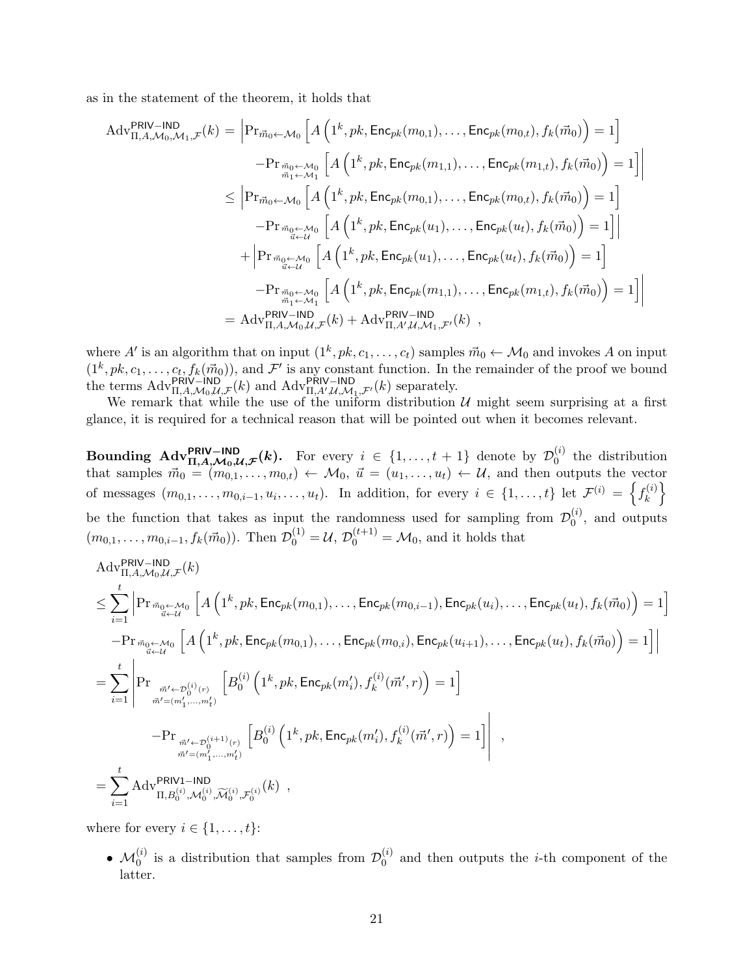as in the statement of the theorem, it holds that

$$
Adv_{\Pi,A,M_0,M_1,\mathcal{F}}^{\text{PRIV-IND}}(k) = \left| \Pr_{\vec{m}_0 \leftarrow M_0} \left[ A\left( 1^k, pk, \text{Enc}_{pk}(m_{0,1}), \dots, \text{Enc}_{pk}(m_{0,t}), f_k(\vec{m}_0) \right) = 1 \right] - \Pr_{\vec{m}_0 \leftarrow M_0} \left[ A\left( 1^k, pk, \text{Enc}_{pk}(m_{1,1}), \dots, \text{Enc}_{pk}(m_{1,t}), f_k(\vec{m}_0) \right) = 1 \right] \right|
$$
  
\n
$$
\leq \left| \Pr_{\vec{m}_0 \leftarrow M_0} \left[ A\left( 1^k, pk, \text{Enc}_{pk}(m_{0,1}), \dots, \text{Enc}_{pk}(m_{0,t}), f_k(\vec{m}_0) \right) = 1 \right] - \Pr_{\vec{m}_0 \leftarrow M_0} \left[ A\left( 1^k, pk, \text{Enc}_{pk}(u_1), \dots, \text{Enc}_{pk}(u_t), f_k(\vec{m}_0) \right) = 1 \right] \right|
$$
  
\n
$$
+ \left| \Pr_{\vec{m}_0 \leftarrow M_0} \left[ A\left( 1^k, pk, \text{Enc}_{pk}(u_1), \dots, \text{Enc}_{pk}(u_t), f_k(\vec{m}_0) \right) = 1 \right] \right|
$$
  
\n
$$
- \Pr_{\vec{m}_0 \leftarrow M_0} \left[ A\left( 1^k, pk, \text{Enc}_{pk}(m_{1,1}), \dots, \text{Enc}_{pk}(m_{1,t}), f_k(\vec{m}_0) \right) = 1 \right] \right|
$$
  
\n
$$
= \text{Adv}_{\Pi,A,M_0,M,\mathcal{F}}^{\text{PRIV-IND}}(k) + \text{Adv}_{\Pi,A',M_0,M_1,\mathcal{F}}^{\text{PRIV-IND}}(k) ,
$$

where  $A'$  is an algorithm that on input  $(1^k, pk, c_1, \ldots, c_t)$  samples  $\vec{m}_0 \leftarrow \mathcal{M}_0$  and invokes  $A$  on input  $(1^k, pk, c_1, \ldots, c_t, f_k(\vec{m}_0))$ , and  $\mathcal{F}'$  is any constant function. In the remainder of the proof we bound the terms  $\text{Adv}_{\Pi,A,\mathcal{M}_0,\mathcal{U},\mathcal{F}}^{\text{PRIV}-\text{IND}}(k)$  and  $\text{Adv}_{\Pi,A',\mathcal{U},\mathcal{M}_1,\mathcal{F}'}^{\text{PRIV}-\text{IND}}(k)$  separately.

We remark that while the use of the uniform distribution  $\mathcal U$  might seem surprising at a first glance, it is required for a technical reason that will be pointed out when it becomes relevant.

**Bounding Adv<sup>PRIV-IND</sup>**,  $\mathcal{F}(k)$ . For every  $i \in \{1, ..., t+1\}$  denote by  $\mathcal{D}_0^{(i)}$  $_0^{(i)}$  the distribution that samples  $\vec{m}_0 = (m_{0,1}, \ldots, m_{0,t}) \leftarrow \mathcal{M}_0$ ,  $\vec{u} = (u_1, \ldots, u_t) \leftarrow \mathcal{U}$ , and then outputs the vector of messages  $(m_{0,1},\ldots,m_{0,i-1},u_i,\ldots,u_t)$ . In addition, for every  $i \in \{1,\ldots,t\}$  let  $\mathcal{F}^{(i)} = \left\{f_k^{(i)}\right\}$ *k*  $\lambda$ be the function that takes as input the randomness used for sampling from  $\mathcal{D}_0^{(i)}$  $\binom{0}{0}$ , and outputs  $(m_{0,1}, \ldots, m_{0,i-1}, f_k(\vec{m}_0))$ . Then  $\mathcal{D}_0^{(1)} = \mathcal{U}, \mathcal{D}_0^{(t+1)} = \mathcal{M}_0$ , and it holds that

$$
\begin{split} &\operatorname{Adv}_{\Pi, A, \mathcal{M}_0, \mathcal{U}, \mathcal{F}}^{\text{PRIV}-\text{IND}}(k) \\ &\leq \sum_{i=1}^t \left| \operatorname{Pr}_{\substack{\vec{m}_0 \leftarrow \mathcal{M}_0 \\ \vec{u} \leftarrow \mathcal{U}}} \left[ A\left(1^k, pk, \text{Enc}_{pk}(m_{0,1}), \ldots, \text{Enc}_{pk}(m_{0,i-1}), \text{Enc}_{pk}(u_i), \ldots, \text{Enc}_{pk}(u_t), f_k(\vec{m}_0) \right) = 1 \right] \right. \\ & \left. - \operatorname{Pr}_{\substack{\vec{m}_0 \leftarrow \mathcal{M}_0 \\ \vec{u} \leftarrow \mathcal{U}}} \left[ A\left(1^k, pk, \text{Enc}_{pk}(m_{0,1}), \ldots, \text{Enc}_{pk}(m_{0,i}), \text{Enc}_{pk}(u_{i+1}), \ldots, \text{Enc}_{pk}(u_t), f_k(\vec{m}_0) \right) = 1 \right] \right| \\ & = \sum_{i=1}^t \left| \operatorname{Pr}_{\substack{\vec{m}' \leftarrow \mathcal{D}_0^{(i)}(r) \\ \vec{m}' = (m'_1, \ldots, m'_i)}} \left[ B_0^{(i)} \left(1^k, pk, \text{Enc}_{pk}(m'_i), f_k^{(i)}(\vec{m}', r) \right) = 1 \right] \right. \\ & \left. - \operatorname{Pr}_{\substack{\vec{m}' \leftarrow \mathcal{D}_0^{(i+1)}(r) \\ \vec{m}' = (m'_1, \ldots, m'_t)}} \left[ B_0^{(i)} \left(1^k, pk, \text{Enc}_{pk}(m'_i), f_k^{(i)}(\vec{m}', r) \right) = 1 \right] \right| \right. \\ & \left. + \sum_{i=1}^t \operatorname{Adv}_{\Pi, B_0^{(i)}, \mathcal{M}_0^{(i)}, \widetilde{\mathcal{M}}_0^{(i)}, \mathcal{F}_0^{(i)}}(k) \right|, \end{split}
$$

where for every  $i \in \{1, \ldots, t\}$ :

•  $\mathcal{M}_0^{(i)}$  is a distribution that samples from  $\mathcal{D}_0^{(i)}$  $\binom{v}{0}$  and then outputs the *i*-th component of the latter.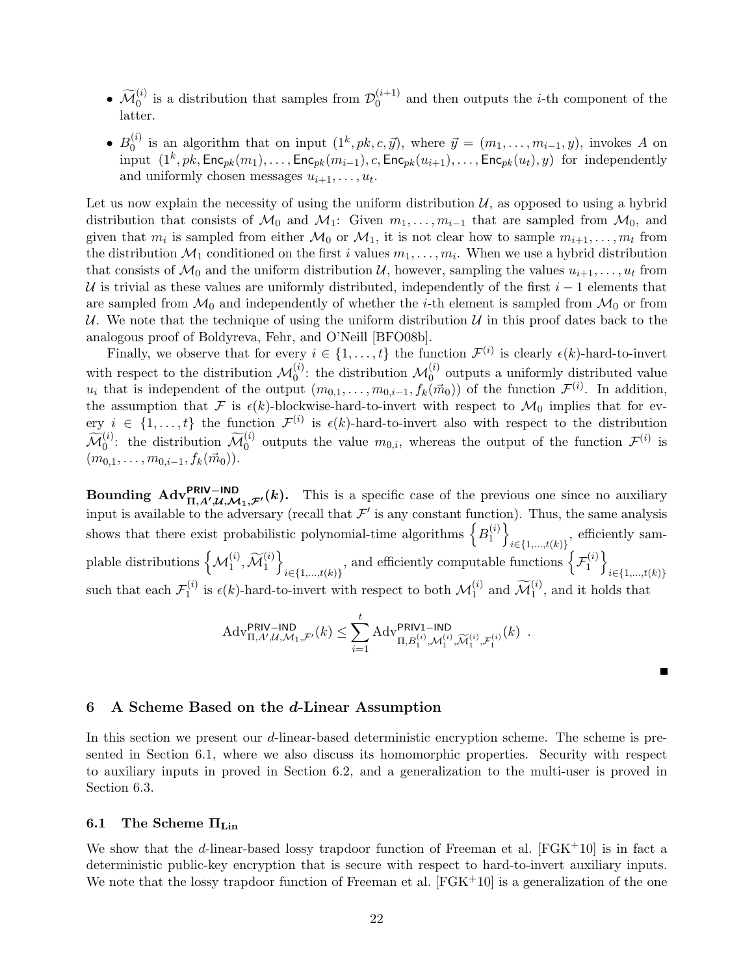- $\widetilde{\mathcal{M}}_0^{(i)}$  is a distribution that samples from  $\mathcal{D}_0^{(i+1)}$  $\binom{(i+1)}{0}$  and then outputs the *i*-th component of the latter.
- $B_0^{(i)}$  $\phi_0^{(i)}$  is an algorithm that on input  $(1^k, pk, c, \vec{y})$ , where  $\vec{y} = (m_1, \ldots, m_{i-1}, y)$ , invokes *A* on input  $(1^k, pk, \text{Enc}_{pk}(m_1), \ldots, \text{Enc}_{pk}(m_{i-1}), c, \text{Enc}_{pk}(u_{i+1}), \ldots, \text{Enc}_{pk}(u_t), y)$  for independently and uniformly chosen messages  $u_{i+1}, \ldots, u_t$ .

Let us now explain the necessity of using the uniform distribution  $U$ , as opposed to using a hybrid distribution that consists of  $\mathcal{M}_0$  and  $\mathcal{M}_1$ : Given  $m_1, \ldots, m_{i-1}$  that are sampled from  $\mathcal{M}_0$ , and given that  $m_i$  is sampled from either  $\mathcal{M}_0$  or  $\mathcal{M}_1$ , it is not clear how to sample  $m_{i+1}, \ldots, m_t$  from the distribution  $\mathcal{M}_1$  conditioned on the first *i* values  $m_1, \ldots, m_i$ . When we use a hybrid distribution that consists of  $\mathcal{M}_0$  and the uniform distribution  $\mathcal{U}$ , however, sampling the values  $u_{i+1}, \ldots, u_t$  from *U* is trivial as these values are uniformly distributed, independently of the first *i* − 1 elements that are sampled from  $\mathcal{M}_0$  and independently of whether the *i*-th element is sampled from  $\mathcal{M}_0$  or from *U*. We note that the technique of using the uniform distribution *U* in this proof dates back to the analogous proof of Boldyreva, Fehr, and O'Neill [\[BFO08b](#page-32-1)].

Finally, we observe that for every  $i \in \{1, \ldots, t\}$  the function  $\mathcal{F}^{(i)}$  is clearly  $\epsilon(k)$ -hard-to-invert with respect to the distribution  $\mathcal{M}_0^{(i)}$ : the distribution  $\mathcal{M}_0^{(i)}$  outputs a uniformly distributed value *u<sub>i</sub>* that is independent of the output  $(m_{0,1}, \ldots, m_{0,i-1}, f_k(\vec{m}_0))$  of the function  $\mathcal{F}^{(i)}$ . In addition, the assumption that *F* is  $\epsilon(k)$ -blockwise-hard-to-invert with respect to  $\mathcal{M}_0$  implies that for every  $i \in \{1, \ldots, t\}$  the function  $\mathcal{F}^{(i)}$  is  $\epsilon(k)$ -hard-to-invert also with respect to the distribution  $\widetilde{\mathcal{M}}_0^{(i)}$ : the distribution  $\widetilde{\mathcal{M}}_0^{(i)}$  outputs the value  $m_{0,i}$ , whereas the output of the function  $\mathcal{F}^{(i)}$  is  $(m_{0,1}, \ldots, m_{0,i-1}, f_k(\vec{m}_0)).$ 

**Bounding Adv<sup>PRIV-IND</sup>**  $\mathcal{F}'(k)$ . This is a specific case of the previous one since no auxiliary input is available to the adversary (recall that  $\mathcal{F}'$  is any constant function). Thus, the same analysis shows that there exist probabilistic polynomial-time algorithms  $\left\{B_1^{(i)}\right\}$ 1  $\lambda$  $i \in \{1, ..., t(k)\}$ , efficiently samplable distributions  $\left\{\mathcal{M}^{(i)}_1, \widetilde{\mathcal{M}}^{(i)}_1\right\}$  $\lambda$  $\{e\in\{1,\ldots,t(k)\}\}$ , and efficiently computable functions  $\left\{\mathcal{F}_{1}^{(i)}\right\}$ 1  $\mathcal{L}$ *i∈{*1*,...,t*(*k*)*}* such that each  $\mathcal{F}_1^{(i)}$ <sup>(*i*)</sup> is  $\epsilon(k)$ -hard-to-invert with respect to both  $\mathcal{M}_1^{(i)}$  and  $\widetilde{\mathcal{M}}_1^{(i)}$ , and it holds that

$$
\mathrm{Adv}_{\Pi,A',\mathcal{U},\mathcal{M}_1,\mathcal{F}'}^{\mathsf{PRIV-IND}}(k) \leq \sum_{i=1}^t \mathrm{Adv}_{\Pi,B_1^{(i)},\mathcal{M}_1^{(i)},\widetilde{\mathcal{M}}_1^{(i)},\mathcal{F}_1^{(i)}}^{\mathsf{PRIV-IND}}(k) \enspace .
$$

# <span id="page-22-0"></span>**6 A Scheme Based on the** *d***-Linear Assumption**

In this section we present our *d*-linear-based deterministic encryption scheme. The scheme is presented in Section [6.1,](#page-22-1) where we also discuss its homomorphic properties. Security with respect to auxiliary inputs in proved in Section [6.2](#page-23-0), and a generalization to the multi-user is proved in Section [6.3](#page-26-0).

## <span id="page-22-1"></span>**6.1 The Scheme ΠLin**

We show that the *d*-linear-based lossy trapdoor function of Freeman et al. [[FGK](#page-32-12)+10] is in fact a deterministic public-key encryption that is secure with respect to hard-to-invert auxiliary inputs. We note that the lossy trapdoor function of Freeman et al.  $[FGK^+10]$  $[FGK^+10]$  $[FGK^+10]$  is a generalization of the one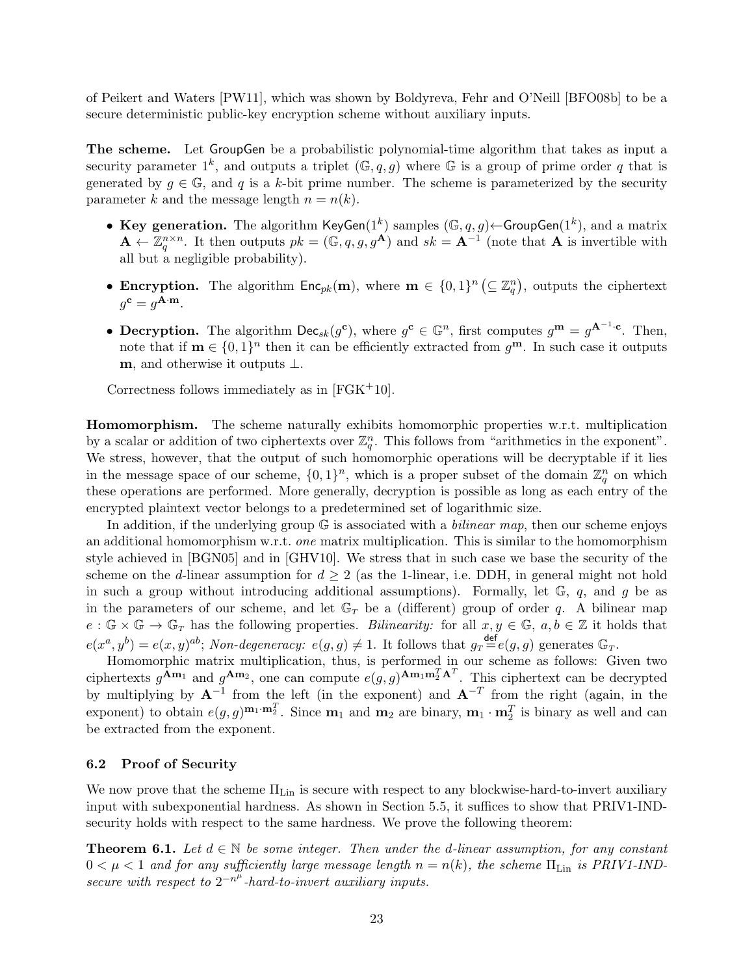of Peikert and Waters [\[PW11\]](#page-33-11), which was shown by Boldyreva, Fehr and O'Neill [[BFO08b\]](#page-32-1) to be a secure deterministic public-key encryption scheme without auxiliary inputs.

**The scheme.** Let GroupGen be a probabilistic polynomial-time algorithm that takes as input a security parameter  $1^k$ , and outputs a triplet  $(\mathbb{G}, q, g)$  where  $\mathbb{G}$  is a group of prime order q that is generated by  $g \in \mathbb{G}$ , and  $q$  is a *k*-bit prime number. The scheme is parameterized by the security parameter *k* and the message length  $n = n(k)$ .

- *•* **Key generation.** The algorithm KeyGen(1*<sup>k</sup>* ) samples (G*, q, g*)*←*GroupGen(1*<sup>k</sup>* ), and a matrix **A** ←  $\mathbb{Z}_q^{n \times n}$ . It then outputs  $pk = (\mathbb{G}, q, g, g^{\mathbf{A}})$  and  $sk = \mathbf{A}^{-1}$  (note that **A** is invertible with all but a negligible probability).
- **• Encryption.** The algorithm  $\mathsf{Enc}_{pk}(\mathbf{m})$ , where  $\mathbf{m} \in \{0,1\}^n$  ( $\subseteq \mathbb{Z}_q^n$ ), outputs the ciphertext  $g^{\mathbf{c}} = g^{\mathbf{A} \cdot \mathbf{m}}$ .
- **Decryption.** The algorithm  $\text{Dec}_{sk}(g^{\mathbf{c}})$ , where  $g^{\mathbf{c}} \in \mathbb{G}^n$ , first computes  $g^{\mathbf{m}} = g^{\mathbf{A}^{-1} \cdot \mathbf{c}}$ . Then, note that if  $\mathbf{m} \in \{0,1\}^n$  then it can be efficiently extracted from  $g^{\mathbf{m}}$ . In such case it outputs **m**, and otherwise it outputs *⊥*.

Correctness follows immediately as in [[FGK](#page-32-12)+10].

**Homomorphism.** The scheme naturally exhibits homomorphic properties w.r.t. multiplication by a scalar or addition of two ciphertexts over  $\mathbb{Z}_q^n$ . This follows from "arithmetics in the exponent". We stress, however, that the output of such homomorphic operations will be decryptable if it lies in the message space of our scheme,  $\{0,1\}^n$ , which is a proper subset of the domain  $\mathbb{Z}_q^n$  on which these operations are performed. More generally, decryption is possible as long as each entry of the encrypted plaintext vector belongs to a predetermined set of logarithmic size.

In addition, if the underlying group G is associated with a *bilinear map*, then our scheme enjoys an additional homomorphism w.r.t. *one* matrix multiplication. This is similar to the homomorphism style achieved in [\[BGN05\]](#page-32-10) and in [\[GHV10](#page-32-11)]. We stress that in such case we base the security of the scheme on the *d*-linear assumption for  $d \geq 2$  (as the 1-linear, i.e. DDH, in general might not hold in such a group without introducing additional assumptions). Formally, let G, *q*, and *g* be as in the parameters of our scheme, and let  $\mathbb{G}_T$  be a (different) group of order q. A bilinear map  $e: \mathbb{G} \times \mathbb{G} \to \mathbb{G}_T$  has the following properties. *Bilinearity:* for all  $\overline{x}, y \in \mathbb{G}$ ,  $a, b \in \mathbb{Z}$  it holds that  $e(x^a, y^b) = e(x, y)^{ab}$ ; *Non-degeneracy:*  $e(g, g) \neq 1$ . It follows that  $g_T \stackrel{\text{def}}{=} e(g, g)$  generates  $\mathbb{G}_T$ .

Homomorphic matrix multiplication, thus, is performed in our scheme as follows: Given two ciphertexts  $g^{\bar{\mathbf{A}}m_1}$  and  $g^{\mathbf{A}m_2}$ , one can compute  $e(g, g)^{\mathbf{A}m_1m_2^T\mathbf{A}^T}$ . This ciphertext can be decrypted by multiplying by **A***−*<sup>1</sup> from the left (in the exponent) and **A***−<sup>T</sup>* from the right (again, in the exponent) to obtain  $e(g, g)$ <sup> $m_1 \cdot m_2$ </sup><sup>T</sup>. Since  $m_1$  and  $m_2$  are binary,  $m_1 \cdot m_2$ <sup>T</sup> is binary as well and can be extracted from the exponent.

# <span id="page-23-0"></span>**6.2 Proof of Security**

We now prove that the scheme  $\Pi_{\text{Lin}}$  is secure with respect to any blockwise-hard-to-invert auxiliary input with subexponential hardness. As shown in Section [5.5,](#page-20-0) it suffices to show that PRIV1-INDsecurity holds with respect to the same hardness. We prove the following theorem:

<span id="page-23-1"></span>**Theorem 6.1.** *Let*  $d \in \mathbb{N}$  *be some integer. Then under the d-linear assumption, for any constant*  $0 < \mu < 1$  and for any sufficiently large message length  $n = n(k)$ , the scheme  $\Pi_{\text{Lin}}$  is PRIV1-IND*secure with respect to*  $2^{-n^{\mu}}$ -hard-to-invert auxiliary inputs.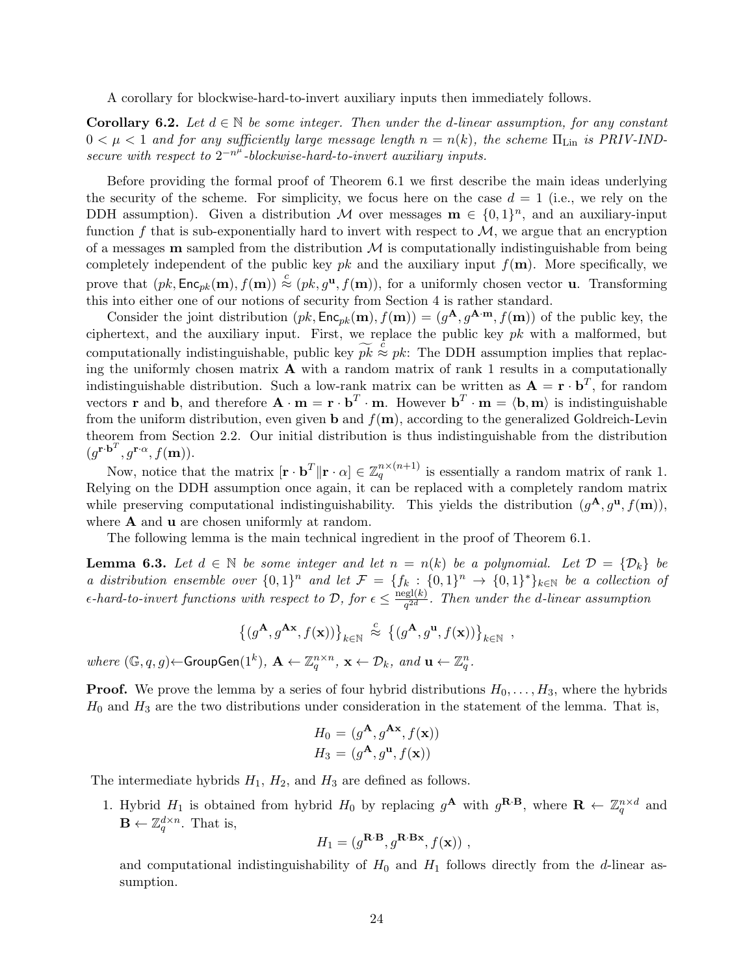A corollary for blockwise-hard-to-invert auxiliary inputs then immediately follows.

<span id="page-24-1"></span>**Corollary 6.2.** Let  $d \in \mathbb{N}$  be some integer. Then under the *d*-linear assumption, for any constant  $0 < \mu < 1$  and for any sufficiently large message length  $n = n(k)$ , the scheme  $\Pi_{\text{Lin}}$  is PRIV-IND*secure with respect to*  $2^{-n^{\mu}}$ -blockwise-hard-to-invert auxiliary inputs.

Before providing the formal proof of Theorem [6.1](#page-23-1) we first describe the main ideas underlying the security of the scheme. For simplicity, we focus here on the case  $d = 1$  (i.e., we rely on the DDH assumption). Given a distribution *M* over messages  $\mathbf{m} \in \{0,1\}^n$ , and an auxiliary-input function  $f$  that is sub-exponentially hard to invert with respect to  $M$ , we argue that an encryption of a messages **m** sampled from the distribution  $M$  is computationally indistinguishable from being completely independent of the public key  $pk$  and the auxiliary input  $f(\mathbf{m})$ . More specifically, we prove that  $(pk, \text{Enc}_{pk}(\mathbf{m}), f(\mathbf{m})) \stackrel{c}{\approx} (pk, g^{\mathbf{u}}, f(\mathbf{m}))$ , for a uniformly chosen vector **u**. Transforming this into either one of our notions of security from Section [4](#page-11-0) is rather standard.

Consider the joint distribution  $(pk, \text{Enc}_{pk}(\mathbf{m}), f(\mathbf{m})) = (g^{\mathbf{A}}, g^{\mathbf{A}\cdot\mathbf{m}}, f(\mathbf{m}))$  of the public key, the ciphertext, and the auxiliary input. First, we replace the public key *pk* with a malformed, but computationally indistinguishable, public key  $\widetilde{pk} \stackrel{\hat{c}}{\approx} pk$ : The DDH assumption implies that replacing the uniformly chosen matrix **A** with a random matrix of rank 1 results in a computationally indistinguishable distribution. Such a low-rank matrix can be written as  $\mathbf{A} = \mathbf{r} \cdot \mathbf{b}^T$ , for random vectors **r** and **b**, and therefore  $\mathbf{A} \cdot \mathbf{m} = \mathbf{r} \cdot \mathbf{b}^T \cdot \mathbf{m}$ . However  $\mathbf{b}^T \cdot \mathbf{m} = \langle \mathbf{b}, \mathbf{m} \rangle$  is indistinguishable from the uniform distribution, even given **b** and  $f(\mathbf{m})$ , according to the generalized Goldreich-Levin theorem from Section [2.2.](#page-9-0) Our initial distribution is thus indistinguishable from the distribution  $(g^{\mathbf{r} \cdot \mathbf{b}^T}, g^{\mathbf{r} \cdot \alpha}, f(\mathbf{m})).$ 

Now, notice that the matrix  $[\mathbf{r} \cdot \mathbf{b}^T || \mathbf{r} \cdot \alpha] \in \mathbb{Z}_q^{n \times (n+1)}$  is essentially a random matrix of rank 1. Relying on the DDH assumption once again, it can be replaced with a completely random matrix while preserving computational indistinguishability. This yields the distribution  $(g^{\mathbf{A}}, g^{\mathbf{u}}, f(\mathbf{m}))$ , where **A** and **u** are chosen uniformly at random.

The following lemma is the main technical ingredient in the proof of Theorem [6.1](#page-23-1).

<span id="page-24-0"></span>**Lemma 6.3.** *Let*  $d \in \mathbb{N}$  *be some integer and let*  $n = n(k)$  *be a polynomial. Let*  $\mathcal{D} = \{D_k\}$  *be* a distribution ensemble over  $\{0,1\}^n$  and let  $\mathcal{F} = \{f_k : \{0,1\}^n \to \{0,1\}^*\}_{k\in\mathbb{N}}$  be a collection of  $\epsilon$ -hard-to-invert functions with respect to  $\mathcal{D}$ , for  $\epsilon \leq \frac{\text{negl}(k)}{a^{2d}}$  $\frac{q^{2d}(k)}{q^{2d}}$ . Then under the *d*-linear assumption

$$
\left\{ (g^{\mathbf{A}}, g^{\mathbf{A}\mathbf{x}}, f(\mathbf{x})) \right\}_{k \in \mathbb{N}} \stackrel{c}{\approx} \left\{ (g^{\mathbf{A}}, g^{\mathbf{u}}, f(\mathbf{x})) \right\}_{k \in \mathbb{N}},
$$

 $where$   $(\mathbb{G}, q, g) \leftarrow$ GroupGen $(1^k)$ ,  $\mathbf{A} \leftarrow \mathbb{Z}_q^{n \times n}$ ,  $\mathbf{x} \leftarrow \mathcal{D}_k$ , and  $\mathbf{u} \leftarrow \mathbb{Z}_q^n$ .

**Proof.** We prove the lemma by a series of four hybrid distributions  $H_0, \ldots, H_3$ , where the hybrids  $H_0$  and  $H_3$  are the two distributions under consideration in the statement of the lemma. That is,

$$
H_0 = (g^{\mathbf{A}}, g^{\mathbf{A}\mathbf{x}}, f(\mathbf{x}))
$$
  

$$
H_3 = (g^{\mathbf{A}}, g^{\mathbf{u}}, f(\mathbf{x}))
$$

The intermediate hybrids  $H_1$ ,  $H_2$ , and  $H_3$  are defined as follows.

1. Hybrid  $H_1$  is obtained from hybrid  $H_0$  by replacing  $g^{\mathbf{A}}$  with  $g^{\mathbf{R}\cdot\mathbf{B}}$ , where  $\mathbf{R} \leftarrow \mathbb{Z}_q^{n \times d}$  and  $\mathbf{B} \leftarrow \mathbb{Z}_q^{d \times n}$ . That is,

$$
H_1 = (g^{\mathbf{R} \cdot \mathbf{B}}, g^{\mathbf{R} \cdot \mathbf{B} \mathbf{x}}, f(\mathbf{x}))
$$
,

and computational indistinguishability of  $H_0$  and  $H_1$  follows directly from the *d*-linear assumption.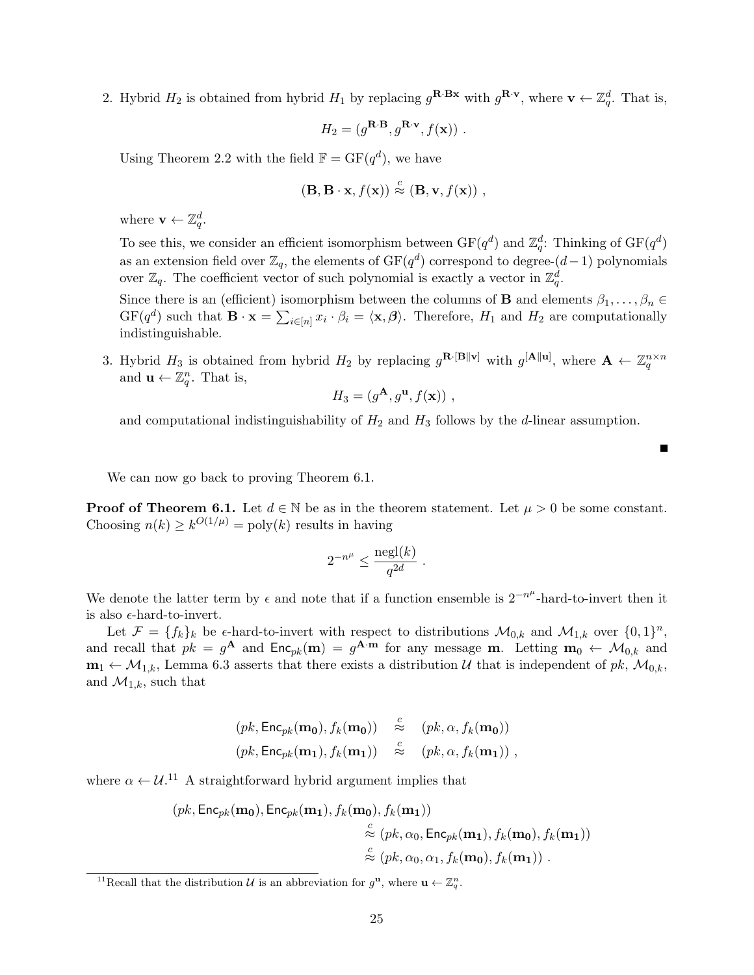2. Hybrid  $H_2$  is obtained from hybrid  $H_1$  by replacing  $g^{\mathbf{R}\cdot\mathbf{B}\mathbf{x}}$  with  $g^{\mathbf{R}\cdot\mathbf{v}}$ , where  $\mathbf{v} \leftarrow \mathbb{Z}_q^d$ . That is,

$$
H_2 = (g^{\mathbf{R} \cdot \mathbf{B}}, g^{\mathbf{R} \cdot \mathbf{v}}, f(\mathbf{x})).
$$

Using Theorem [2.2](#page-9-1) with the field  $\mathbb{F} = \text{GF}(q^d)$ , we have

$$
(\mathbf{B}, \mathbf{B} \cdot \mathbf{x}, f(\mathbf{x})) \stackrel{c}{\approx} (\mathbf{B}, \mathbf{v}, f(\mathbf{x})),
$$

where  $\mathbf{v} \leftarrow \mathbb{Z}_q^d$ .

To see this, we consider an efficient isomorphism between  $GF(q^d)$  and  $\mathbb{Z}_q^d$ : Thinking of  $GF(q^d)$ as an extension field over  $\mathbb{Z}_q$ , the elements of  $GF(q^d)$  correspond to degree- $(d-1)$  polynomials over  $\mathbb{Z}_q$ . The coefficient vector of such polynomial is exactly a vector in  $\mathbb{Z}_q^d$ .

Since there is an (efficient) isomorphism between the columns of **B** and elements  $\beta_1, \ldots, \beta_n \in$  $GF(q^d)$  such that  $\mathbf{B} \cdot \mathbf{x} = \sum_{i \in [n]} x_i \cdot \beta_i = \langle \mathbf{x}, \boldsymbol{\beta} \rangle$ . Therefore,  $H_1$  and  $H_2$  are computationally indistinguishable.

3. Hybrid  $H_3$  is obtained from hybrid  $H_2$  by replacing  $g^{\mathbf{R} \cdot [\mathbf{B}||\mathbf{v}]}$  with  $g^{[\mathbf{A}||\mathbf{u}]}$ , where  $\mathbf{A} \leftarrow \mathbb{Z}_q^{n \times n}$ and  $\mathbf{u} \leftarrow \mathbb{Z}_q^n$ . That is,

$$
H_3 = (g^{\mathbf{A}}, g^{\mathbf{u}}, f(\mathbf{x})) ,
$$

and computational indistinguishability of  $H_2$  and  $H_3$  follows by the *d*-linear assumption.

We can now go back to proving Theorem [6.1](#page-23-1).

**Proof of Theorem [6.1](#page-23-1).** Let  $d \in \mathbb{N}$  be as in the theorem statement. Let  $\mu > 0$  be some constant. Choosing  $n(k) \geq k^{O(1/\mu)} = \text{poly}(k)$  results in having

$$
2^{-n^{\mu}} \le \frac{\operatorname{negl}(k)}{q^{2d}}.
$$

We denote the latter term by  $\epsilon$  and note that if a function ensemble is  $2^{-n^{\mu}}$ -hard-to-invert then it is also  $\epsilon$ -hard-to-invert.

Let  $\mathcal{F} = \{f_k\}_k$  be  $\epsilon$ -hard-to-invert with respect to distributions  $\mathcal{M}_{0,k}$  and  $\mathcal{M}_{1,k}$  over  $\{0,1\}^n$ , and recall that  $pk = g^{\mathbf{A}}$  and  $\mathsf{Enc}_{pk}(\mathbf{m}) = g^{\mathbf{A}\cdot\mathbf{m}}$  for any message **m**. Letting  $\mathbf{m}_0 \leftarrow \mathcal{M}_{0,k}$  and **m**<sub>1</sub> ←  $M_{1,k}$ , Lemma [6.3](#page-24-0) asserts that there exists a distribution *U* that is independent of *pk*,  $M_{0,k}$ , and  $\mathcal{M}_{1,k}$ , such that

$$
(pk, \text{Enc}_{pk}(\mathbf{m_0}), f_k(\mathbf{m_0})) \overset{c}{\approx} (pk, \alpha, f_k(\mathbf{m_0}))
$$
  

$$
(pk, \text{Enc}_{pk}(\mathbf{m_1}), f_k(\mathbf{m_1})) \overset{c}{\approx} (pk, \alpha, f_k(\mathbf{m_1})),
$$

where  $\alpha \leftarrow \mathcal{U}^{11}$  $\alpha \leftarrow \mathcal{U}^{11}$  $\alpha \leftarrow \mathcal{U}^{11}$  A straightforward hybrid argument implies that

$$
(pk, \textsf{Enc}_{pk}(\mathbf{m_0}), \textsf{Enc}_{pk}(\mathbf{m_1}), f_k(\mathbf{m_0}), f_k(\mathbf{m_1}))
$$
  
\n
$$
\stackrel{c}{\approx} (pk, \alpha_0, \textsf{Enc}_{pk}(\mathbf{m_1}), f_k(\mathbf{m_0}), f_k(\mathbf{m_1}))
$$
  
\n
$$
\stackrel{c}{\approx} (pk, \alpha_0, \alpha_1, f_k(\mathbf{m_0}), f_k(\mathbf{m_1}))
$$
.

<span id="page-25-0"></span><sup>&</sup>lt;sup>11</sup>Recall that the distribution *U* is an abbreviation for  $g^{\mathbf{u}}$ , where  $\mathbf{u} \leftarrow \mathbb{Z}_q^n$ .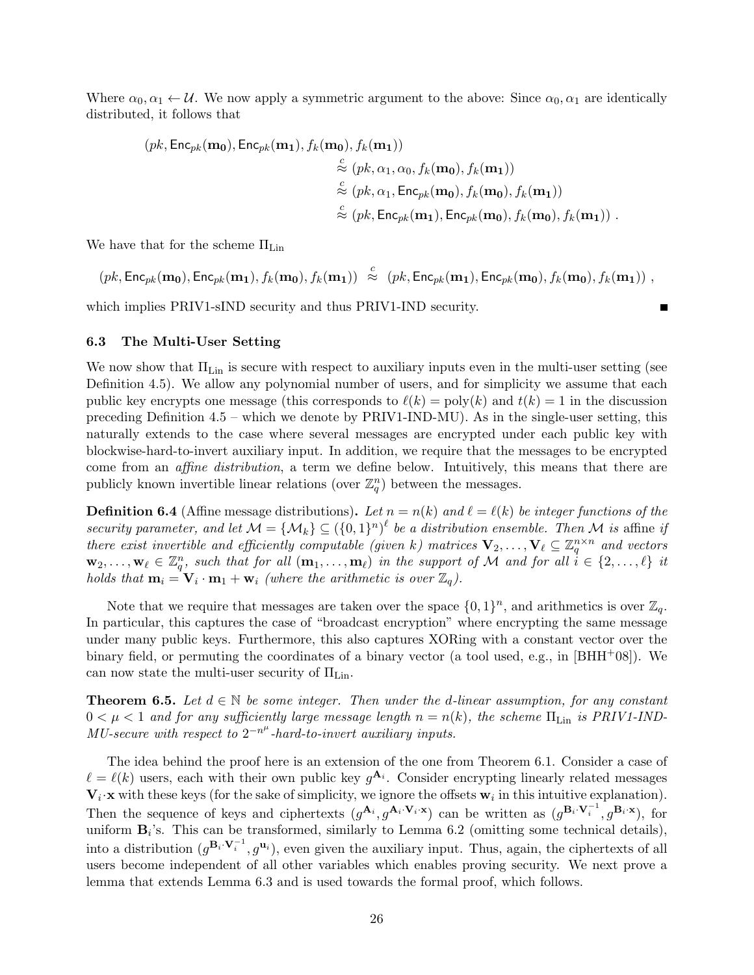Where  $\alpha_0, \alpha_1 \leftarrow \mathcal{U}$ . We now apply a symmetric argument to the above: Since  $\alpha_0, \alpha_1$  are identically distributed, it follows that

$$
(pk, \text{Enc}_{pk}(\mathbf{m_0}), \text{Enc}_{pk}(\mathbf{m_1}), f_k(\mathbf{m_0}), f_k(\mathbf{m_1}))
$$
  
\n
$$
\stackrel{c}{\approx} (pk, \alpha_1, \alpha_0, f_k(\mathbf{m_0}), f_k(\mathbf{m_1}))
$$
  
\n
$$
\stackrel{c}{\approx} (pk, \alpha_1, \text{Enc}_{pk}(\mathbf{m_0}), f_k(\mathbf{m_0}), f_k(\mathbf{m_1}))
$$
  
\n
$$
\stackrel{c}{\approx} (pk, \text{Enc}_{pk}(\mathbf{m_1}), \text{Enc}_{pk}(\mathbf{m_0}), f_k(\mathbf{m_0}), f_k(\mathbf{m_1}))
$$
.

We have that for the scheme  $\Pi_{\text{Lin}}$ 

$$
(pk, \text{Enc}_{pk}(\mathbf{m_0}), \text{Enc}_{pk}(\mathbf{m_1}), f_k(\mathbf{m_0}), f_k(\mathbf{m_1})) \overset{c}{\approx} (pk, \text{Enc}_{pk}(\mathbf{m_1}), \text{Enc}_{pk}(\mathbf{m_0}), f_k(\mathbf{m_0}), f_k(\mathbf{m_1}))
$$

which implies PRIV1-sIND security and thus PRIV1-IND security.

## <span id="page-26-0"></span>**6.3 The Multi-User Setting**

We now show that  $\Pi_{\text{Lin}}$  is secure with respect to auxiliary inputs even in the multi-user setting (see Definition [4.5\)](#page-14-0). We allow any polynomial number of users, and for simplicity we assume that each public key encrypts one message (this corresponds to  $\ell(k) = \text{poly}(k)$  and  $t(k) = 1$  in the discussion preceding Definition [4.5](#page-14-0) – which we denote by PRIV1-IND-MU). As in the single-user setting, this naturally extends to the case where several messages are encrypted under each public key with blockwise-hard-to-invert auxiliary input. In addition, we require that the messages to be encrypted come from an *affine distribution*, a term we define below. Intuitively, this means that there are publicly known invertible linear relations (over  $\mathbb{Z}_q^n$ ) between the messages.

**Definition 6.4** (Affine message distributions). Let  $n = n(k)$  and  $\ell = \ell(k)$  be integer functions of the *security parameter, and let*  $M = \{M_k\} \subseteq (\{0,1\}^n)^{\ell}$  *be a distribution ensemble. Then M is* affine *if there exist invertible and efficiently computable (given k) matrices*  $\mathbf{V}_2, \ldots, \mathbf{V}_\ell \subseteq \mathbb{Z}_q^{n \times n}$  and vectors  $\mathbf{w}_2,\ldots,\mathbf{w}_\ell\in\mathbb{Z}_q^n$ , such that for all  $(\mathbf{m}_1,\ldots,\mathbf{m}_\ell)$  in the support of M and for all  $i\in\{2,\ldots,\ell\}$  it *holds that*  $\mathbf{m}_i = \mathbf{V}_i \cdot \mathbf{m}_1 + \mathbf{w}_i$  (where the arithmetic is over  $\mathbb{Z}_q$ ).

Note that we require that messages are taken over the space  $\{0,1\}^n$ , and arithmetics is over  $\mathbb{Z}_q$ . In particular, this captures the case of "broadcast encryption" where encrypting the same message under many public keys. Furthermore, this also captures XORing with a constant vector over the binary field, or permuting the coordinates of a binary vector (a tool used, e.g., in  $[BHH^+08]$  $[BHH^+08]$  $[BHH^+08]$ ). We can now state the multi-user security of  $\Pi_{\mathrm{Lin}}.$ 

<span id="page-26-1"></span>**Theorem 6.5.** Let  $d \in \mathbb{N}$  be some integer. Then under the *d*-linear assumption, for any constant  $0 < \mu < 1$  and for any sufficiently large message length  $n = n(k)$ , the scheme  $\Pi_{\text{Lin}}$  is PRIV1-IND- $MU\text{-}secure with respect to  $2^{-n^{\mu}}$ -hard-to-invert auxiliary inputs.$ 

The idea behind the proof here is an extension of the one from Theorem [6.1](#page-23-1). Consider a case of  $\ell = \ell(k)$  users, each with their own public key  $g^{\mathbf{A}_i}$ . Consider encrypting linearly related messages  $V_i \cdot x$  with these keys (for the sake of simplicity, we ignore the offsets  $w_i$  in this intuitive explanation). Then the sequence of keys and ciphertexts  $(g^{\mathbf{A}_i}, g^{\mathbf{A}_i \cdot \mathbf{V}_i \cdot \mathbf{x}})$  can be written as  $(g^{\mathbf{B}_i \cdot \mathbf{V}_i^{-1}}, g^{\mathbf{B}_i \cdot \mathbf{x}})$ , for uniform  $B_i$ 's. This can be transformed, similarly to Lemma [6.2](#page-24-1) (omitting some technical details), into a distribution  $(g^{\mathbf{B}_i \cdot \mathbf{V}_i^{-1}}, g^{\mathbf{u}_i})$ , even given the auxiliary input. Thus, again, the ciphertexts of all users become independent of all other variables which enables proving security. We next prove a lemma that extends Lemma [6.3](#page-24-0) and is used towards the formal proof, which follows.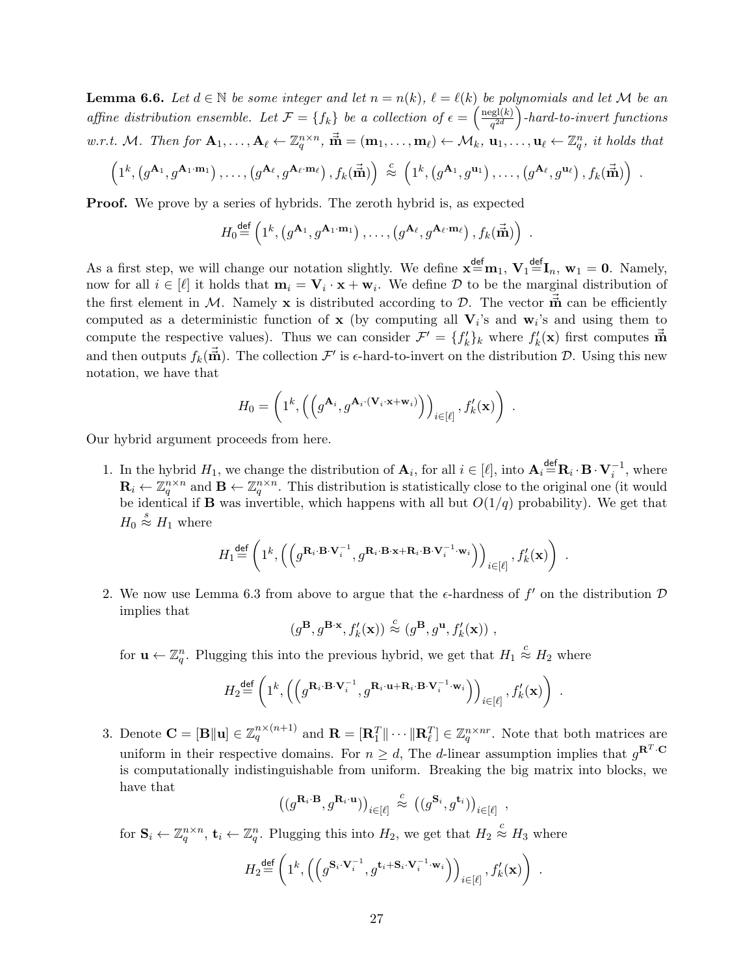<span id="page-27-0"></span>**Lemma 6.6.** Let  $d \in \mathbb{N}$  be some integer and let  $n = n(k)$ ,  $\ell = \ell(k)$  be polynomials and let M be an *affine distribution ensemble. Let*  $\mathcal{F} = \{f_k\}$  *be a collection of*  $\epsilon = \left(\frac{\text{neg}(k)}{q^{2d}}\right)$  $\overline{q^{2d}}^{\left( k \right)}$  *-hard-to-invert functions* w.r.t. M. Then for  $\mathbf{A}_1, \ldots, \mathbf{A}_\ell \leftarrow \mathbb{Z}_q^{n \times n}$ ,  $\vec{\mathbf{m}} = (\mathbf{m}_1, \ldots, \mathbf{m}_\ell) \leftarrow \mathcal{M}_k$ ,  $\mathbf{u}_1, \ldots, \mathbf{u}_\ell \leftarrow \mathbb{Z}_q^n$ , it holds that

$$
\left(1^k, \left(g^{\mathbf{A}_1}, g^{\mathbf{A}_1 \cdot \mathbf{m}_1}\right), \ldots, \left(g^{\mathbf{A}_{\ell}}, g^{\mathbf{A}_{\ell} \cdot \mathbf{m}_{\ell}}\right), f_k(\vec{\mathbf{m}})\right) \stackrel{c}{\approx} \left(1^k, \left(g^{\mathbf{A}_1}, g^{\mathbf{u}_1}\right), \ldots, \left(g^{\mathbf{A}_{\ell}}, g^{\mathbf{u}_{\ell}}\right), f_k(\vec{\mathbf{m}})\right) .
$$

**Proof.** We prove by a series of hybrids. The zeroth hybrid is, as expected

$$
H_0 \stackrel{\text{def}}{=} \left(1^k, \left(g^{\mathbf{A}_1}, g^{\mathbf{A}_1 \cdot \mathbf{m}_1}\right), \ldots, \left(g^{\mathbf{A}_{\ell}}, g^{\mathbf{A}_{\ell} \cdot \mathbf{m}_{\ell}}\right), f_k(\vec{\mathbf{m}})\right) \ .
$$

As a first step, we will change our notation slightly. We define  $\mathbf{x}^{\text{def}} = \mathbf{m}_1$ ,  $\mathbf{V}_1 \overset{\text{def}}{=} \mathbf{I}_n$ ,  $\mathbf{w}_1 = \mathbf{0}$ . Namely, now for all  $i \in [\ell]$  it holds that  $\mathbf{m}_i = \mathbf{V}_i \cdot \mathbf{x} + \mathbf{w}_i$ . We define  $\mathcal{D}$  to be the marginal distribution of the first element in  $M$ . Namely **x** is distributed according to  $D$ . The vector  $\vec{m}$  can be efficiently computed as a deterministic function of **x** (by computing all  $V_i$ 's and  $w_i$ 's and using them to compute the respective values). Thus we can consider  $\mathcal{F}' = \{f'_k\}_k$  where  $f'_k(\mathbf{x})$  first computes  $\vec{\mathbf{m}}$ and then outputs  $f_k(\vec{\hat{m}})$ . The collection  $\mathcal{F}'$  is  $\epsilon$ -hard-to-invert on the distribution  $\mathcal{D}$ . Using this new notation, we have that

$$
H_0 = \left(1^k, \left(\left(g^{\mathbf{A}_i}, g^{\mathbf{A}_i \cdot (\mathbf{V}_i \cdot \mathbf{x} + \mathbf{w}_i)}\right)\right)_{i \in [\ell]}, f'_k(\mathbf{x})\right) .
$$

Our hybrid argument proceeds from here.

1. In the hybrid  $H_1$ , we change the distribution of  $\mathbf{A}_i$ , for all  $i \in [\ell]$ , into  $\mathbf{A}_i = \mathbf{R}_i \cdot \mathbf{B} \cdot \mathbf{V}_i^{-1}$ , where  $\mathbf{R}_i \leftarrow \mathbb{Z}_q^{n \times n}$  and  $\mathbf{B} \leftarrow \mathbb{Z}_q^{n \times n}$ . This distribution is statistically close to the original one (it would be identical if **B** was invertible, which happens with all but  $O(1/q)$  probability). We get that  $H_0 \stackrel{s}{\approx} H_1$  where

$$
H_1{\stackrel{\rm def}{=}}\left(1^k,\left(\left(g^{{\bf R}_i\cdot{\bf B}\cdot{\bf V}_i^{-1}},g^{{\bf R}_i\cdot{\bf B}\cdot{\bf x}+{\bf R}_i\cdot{\bf B}\cdot{\bf V}_i^{-1}\cdot{\bf w}_i}\right)\right)_{i\in[\ell]},f'_k({\bf x})\right)\ .
$$

2. We now use Lemma [6.3](#page-24-0) from above to argue that the  $\epsilon$ -hardness of  $f'$  on the distribution  $\mathcal D$ implies that

$$
(g^{\mathbf{B}}, g^{\mathbf{B}\cdot\mathbf{x}}, f'_k(\mathbf{x})) \stackrel{c}{\approx} (g^{\mathbf{B}}, g^{\mathbf{u}}, f'_k(\mathbf{x})) ,
$$

for  $\mathbf{u} \leftarrow \mathbb{Z}_q^n$ . Plugging this into the previous hybrid, we get that  $H_1 \stackrel{c}{\approx} H_2$  where

$$
H_2 {\, \stackrel{\mathrm{def}}{=}\, } \left( 1^k, \left(\left(g^{\mathbf{R}_i \cdot \mathbf{B} \cdot \mathbf{V}_i^{-1}}, g^{\mathbf{R}_i \cdot \mathbf{u} + \mathbf{R}_i \cdot \mathbf{B} \cdot \mathbf{V}_i^{-1} \cdot \mathbf{w}_i}\right)\right)_{i \in [\ell]}, f'_k(\mathbf{x})\right) \ .
$$

3. Denote  $\mathbf{C} = [\mathbf{B} \|\mathbf{u}] \in \mathbb{Z}_q^{n \times (n+1)}$  and  $\mathbf{R} = [\mathbf{R}_1^T \| \cdots \| \mathbf{R}_{\ell}^T] \in \mathbb{Z}_q^{n \times nr}$ . Note that both matrices are uniform in their respective domains. For  $n \geq d$ , The *d*-linear assumption implies that  $g^{\mathbf{R}^T \cdot \mathbf{C}}$ is computationally indistinguishable from uniform. Breaking the big matrix into blocks, we have that

$$
\left( (g^{\mathbf{R}_i \cdot \mathbf{B}}, g^{\mathbf{R}_i \cdot \mathbf{u}})\right)_{i \in [\ell]} \stackrel{c}{\approx} \left( (g^{\mathbf{S}_i}, g^{\mathbf{t}_i})\right)_{i \in [\ell]},
$$

for  $\mathbf{S}_i \leftarrow \mathbb{Z}_q^{n \times n}$ ,  $\mathbf{t}_i \leftarrow \mathbb{Z}_q^n$ . Plugging this into  $H_2$ , we get that  $H_2 \stackrel{c}{\approx} H_3$  where

$$
H_2 \stackrel{\text{def}}{=} \left(1^k, \left(\left(g^{\mathbf{S}_i \cdot \mathbf{V}_i^{-1}}, g^{\mathbf{t}_i + \mathbf{S}_i \cdot \mathbf{V}_i^{-1} \cdot \mathbf{w}_i}\right)\right)_{i \in [\ell]}, f'_k(\mathbf{x})\right) \ .
$$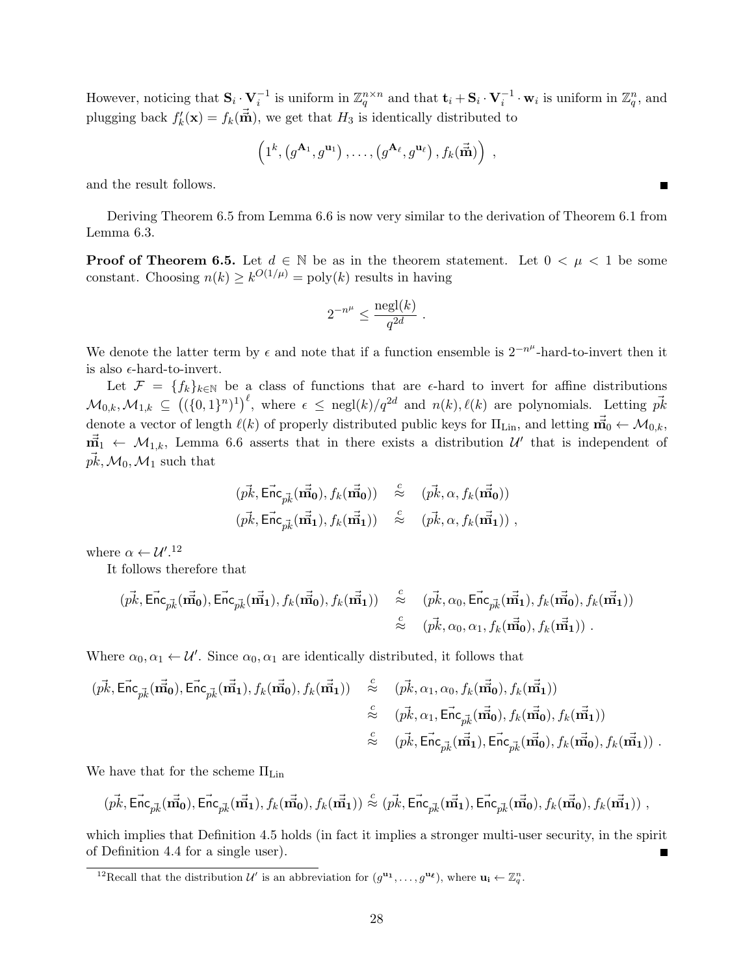However, noticing that  $S_i \cdot V_i^{-1}$  is uniform in  $\mathbb{Z}_q^{n \times n}$  and that  $\mathbf{t}_i + S_i \cdot V_i^{-1} \cdot \mathbf{w}_i$  is uniform in  $\mathbb{Z}_q^n$ , and plugging back  $f'_k(\mathbf{x}) = f_k(\mathbf{\vec{m}})$ , we get that  $H_3$  is identically distributed to

$$
\left(1^k, \left(g^{\mathbf{A}_1}, g^{\mathbf{u}_1}\right), \ldots, \left(g^{\mathbf{A}_{\ell}}, g^{\mathbf{u}_{\ell}}\right), f_k(\vec{\mathbf{m}})\right) ,
$$

and the result follows.

Deriving Theorem [6.5](#page-26-1) from Lemma [6.6](#page-27-0) is now very similar to the derivation of Theorem [6.1](#page-23-1) from Lemma [6.3.](#page-24-0)

**Proof of Theorem [6.5](#page-26-1).** Let  $d \in \mathbb{N}$  be as in the theorem statement. Let  $0 < \mu < 1$  be some constant. Choosing  $n(k) \geq k^{O(1/\mu)} = \text{poly}(k)$  results in having

$$
2^{-n^{\mu}} \le \frac{\operatorname{negl}(k)}{q^{2d}}.
$$

We denote the latter term by  $\epsilon$  and note that if a function ensemble is  $2^{-n^{\mu}}$ -hard-to-invert then it is also  $\epsilon$ -hard-to-invert.

Let  $\mathcal{F} = \{f_k\}_{k\in\mathbb{N}}$  be a class of functions that are  $\epsilon$ -hard to invert for affine distributions  $\mathcal{M}_{0,k}, \mathcal{M}_{1,k} \subseteq ((\{0,1\}^n)^1)^{\ell}$ , where  $\epsilon \le \text{negl}(k)/q^{2d}$  and  $n(k), \ell(k)$  are polynomials. Letting  $p\vec{k}$ denote a vector of length  $\ell(k)$  of properly distributed public keys for  $\Pi_{\text{Lin}}$ , and letting  $\vec{m_0} \leftarrow \mathcal{M}_{0,k}$ ,  $\vec{m_1} \leftarrow \mathcal{M}_{1,k}$ , Lemma [6.6](#page-27-0) asserts that in there exists a distribution  $\mathcal{U}'$  that is independent of  $\vec{pk}$ ,  $\mathcal{M}_0$ ,  $\mathcal{M}_1$  such that

$$
\begin{aligned}\n(\vec{pk}, \vec{\text{Enc}}_{\vec{pk}}(\vec{\text{mi}}_0), f_k(\vec{\text{mi}}_0)) &\stackrel{c}{\approx} & (\vec{pk}, \alpha, f_k(\vec{\text{mi}}_0)) \\
(\vec{pk}, \vec{\text{Enc}}_{\vec{pk}}(\vec{\text{mi}}_1), f_k(\vec{\text{mi}}_1)) &\stackrel{c}{\approx} & (\vec{pk}, \alpha, f_k(\vec{\text{mi}}_1)) \end{aligned}
$$

where  $\alpha \leftarrow \mathcal{U}'$ <sup>[12](#page-28-0)</sup>

It follows therefore that

$$
\begin{array}{ccc} (\vec{pk}, \vec{\text{Enc}}_{\vec{pk}}(\vec{\text{mi}}_0), \vec{\text{Enc}}_{\vec{pk}}(\vec{\text{mi}}_1), f_k(\vec{\text{mi}}_0), f_k(\vec{\text{mi}}_1)) & \stackrel{c}{\approx} & (\vec{pk}, \alpha_0, \vec{\text{Enc}}_{\vec{pk}}(\vec{\text{mi}}_1), f_k(\vec{\text{mi}}_0), f_k(\vec{\text{mi}}_1)) \\ & \stackrel{c}{\approx} & (\vec{pk}, \alpha_0, \alpha_1, f_k(\vec{\text{mi}}_0), f_k(\vec{\text{mi}}_1)) \end{array}.
$$

Where  $\alpha_0, \alpha_1 \leftarrow \mathcal{U}'$ . Since  $\alpha_0, \alpha_1$  are identically distributed, it follows that

$$
\begin{array}{ccc}(\vec{pk}, \vec{\text{Enc}}_{\vec{pk}}(\vec{\text{mi}}_0), \vec{\text{Enc}}_{\vec{pk}}(\vec{\text{mi}}_1), f_k(\vec{\text{mi}}_0), f_k(\vec{\text{mi}}_1))&\stackrel{c}{\approx}&(\vec{pk}, \alpha_1, \alpha_0, f_k(\vec{\text{mi}}_0), f_k(\vec{\text{mi}}_1))\\ &\stackrel{c}{\approx}&(\vec{pk}, \alpha_1, \vec{\text{Enc}}_{\vec{pk}}(\vec{\text{mi}}_0), f_k(\vec{\text{mi}}_0), f_k(\vec{\text{mi}}_1))\\ &\stackrel{c}{\approx}&(\vec{pk}, \vec{\text{Enc}}_{\vec{pk}}(\vec{\text{mi}}_1), \vec{\text{Enc}}_{\vec{pk}}(\vec{\text{mi}}_0), f_k(\vec{\text{mi}}_0), f_k(\vec{\text{mi}}_1))\end{array}.
$$

We have that for the scheme  $\Pi_{\rm Lin}$ 

$$
(\vec{pk}, \vec{\text{Enc}}_{\vec{pk}}(\vec{\vec{m_0}}), \vec{\text{Enc}}_{\vec{pk}}(\vec{\vec{m_1}}), f_k(\vec{\vec{m_0}}), f_k(\vec{\vec{m_1}})) \stackrel{c}{\approx} (\vec{pk}, \vec{\text{Enc}}_{\vec{pk}}(\vec{\vec{m_1}}), \vec{\text{Enc}}_{\vec{pk}}(\vec{\vec{m_0}}), f_k(\vec{\vec{m_0}}), f_k(\vec{\vec{m_1}}))\ ,
$$

which implies that Definition [4.5](#page-14-0) holds (in fact it implies a stronger multi-user security, in the spirit of Definition [4.4](#page-14-1) for a single user).

<span id="page-28-0"></span><sup>&</sup>lt;sup>12</sup>Recall that the distribution  $\mathcal{U}'$  is an abbreviation for  $(g^{\mathbf{u}_1}, \ldots, g^{\mathbf{u}_\ell})$ , where  $\mathbf{u}_i \leftarrow \mathbb{Z}_q^n$ .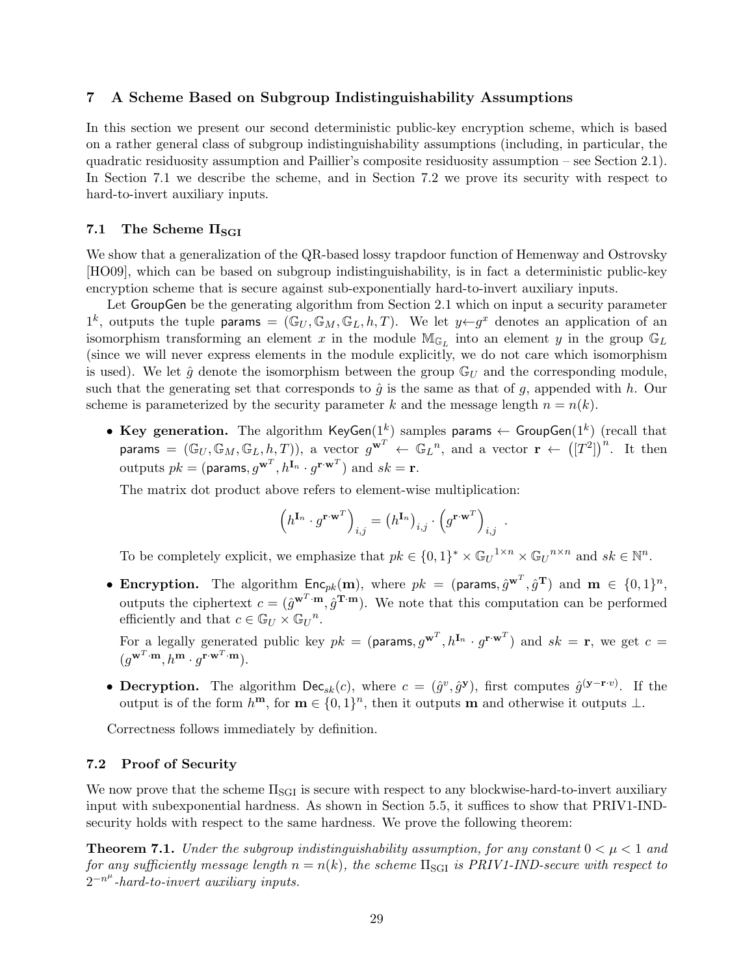# <span id="page-29-0"></span>**7 A Scheme Based on Subgroup Indistinguishability Assumptions**

In this section we present our second deterministic public-key encryption scheme, which is based on a rather general class of subgroup indistinguishability assumptions (including, in particular, the quadratic residuosity assumption and Paillier's composite residuosity assumption – see Section [2.1\)](#page-8-2). In Section [7.1](#page-29-1) we describe the scheme, and in Section [7.2](#page-29-2) we prove its security with respect to hard-to-invert auxiliary inputs.

# <span id="page-29-1"></span>**7.1 The Scheme ΠSGI**

We show that a generalization of the QR-based lossy trapdoor function of Hemenway and Ostrovsky [\[HO09\]](#page-33-9), which can be based on subgroup indistinguishability, is in fact a deterministic public-key encryption scheme that is secure against sub-exponentially hard-to-invert auxiliary inputs.

Let GroupGen be the generating algorithm from Section [2.1](#page-8-2) which on input a security parameter 1<sup>k</sup>, outputs the tuple params =  $(\mathbb{G}_U, \mathbb{G}_M, \mathbb{G}_L, h, T)$ . We let  $y \leftarrow g^x$  denotes an application of an isomorphism transforming an element *x* in the module  $\mathbb{M}_{\mathbb{G}_L}$  into an element *y* in the group  $\mathbb{G}_L$ (since we will never express elements in the module explicitly, we do not care which isomorphism is used). We let  $\hat{g}$  denote the isomorphism between the group  $\mathbb{G}_U$  and the corresponding module, such that the generating set that corresponds to  $\hat{q}$  is the same as that of *g*, appended with *h*. Our scheme is parameterized by the security parameter *k* and the message length  $n = n(k)$ .

• Key generation. The algorithm KeyGen( $1^k$ ) samples params  $\leftarrow$  GroupGen( $1^k$ ) (recall that  $\mathsf{params} = (\mathbb{G}_U, \mathbb{G}_M, \mathbb{G}_L, h, T)$ ), a vector  $g^{\mathbf{w}^T} \leftarrow \mathbb{G}_L^n$ , and a vector  $\mathbf{r} \leftarrow ([T^2])^n$ . It then outputs  $pk = ($ **params**,  $g^{w^T}, h^{I_n} \cdot g^{r \cdot w^T}$  $)$  and  $sk = r$ .

The matrix dot product above refers to element-wise multiplication:

$$
\left(h^{\mathbf{I}_n} \cdot g^{\mathbf{r} \cdot \mathbf{w}^T}\right)_{i,j} = \left(h^{\mathbf{I}_n}\right)_{i,j} \cdot \left(g^{\mathbf{r} \cdot \mathbf{w}^T}\right)_{i,j}.
$$

To be completely explicit, we emphasize that  $pk \in \{0,1\}^* \times \mathbb{G}_U^{1 \times n} \times \mathbb{G}_U^{n \times n}$  and  $sk \in \mathbb{N}^n$ .

• **Encryption.** The algorithm  $\mathsf{Enc}_{pk}(\mathbf{m})$ , where  $pk = (\mathsf{params}, \hat{g}^{\mathbf{w}^T}, \hat{g}^{\mathbf{T}})$  and  $\mathbf{m} \in \{0,1\}^n$ , outputs the ciphertext  $c = (\hat{g}^{\mathbf{w}^T \cdot \mathbf{m}}, \hat{g}^{\mathbf{T} \cdot \mathbf{m}})$ . We note that this computation can be performed efficiently and that  $c \in \mathbb{G}_U \times \mathbb{G}_U^n$ .

For a legally generated public key  $pk = (params, g^{w^T}, h^{I_n} \cdot g^{r \cdot w^T})$  and  $sk = r$ , we get  $c =$  $(g^{\mathbf{w}^T \cdot \mathbf{m}}, h^{\mathbf{m}} \cdot g^{\mathbf{r} \cdot \mathbf{w}^T \cdot \mathbf{m}}).$ 

• **Decryption.** The algorithm  $\text{Dec}_{sk}(c)$ , where  $c = (\hat{g}^v, \hat{g}^y)$ , first computes  $\hat{g}^{(y-r\cdot v)}$ . If the output is of the form  $h^m$ , for  $m \in \{0,1\}^n$ , then it outputs  $m$  and otherwise it outputs  $\perp$ .

Correctness follows immediately by definition.

# <span id="page-29-2"></span>**7.2 Proof of Security**

We now prove that the scheme  $\Pi_{\mathrm{SGI}}$  is secure with respect to any blockwise-hard-to-invert auxiliary input with subexponential hardness. As shown in Section [5.5,](#page-20-0) it suffices to show that PRIV1-INDsecurity holds with respect to the same hardness. We prove the following theorem:

<span id="page-29-3"></span>**Theorem 7.1.** *Under the subgroup indistinguishability assumption, for any constant*  $0 < \mu < 1$  *and for any sufficiently message length*  $n = n(k)$ *, the scheme*  $\Pi_{\text{SGI}}$  *is PRIV1-IND-secure with respect to*  $2^{-n<sup>μ</sup>}$ -hard-to-invert auxiliary inputs.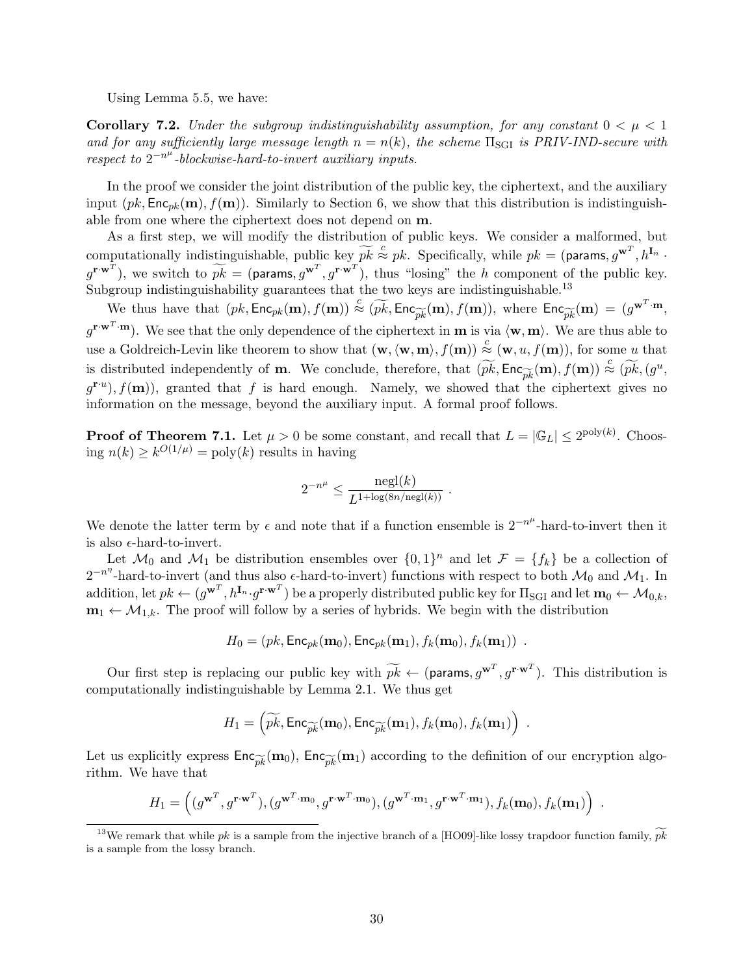Using Lemma [5.5](#page-20-2), we have:

**Corollary 7.2.** *Under the subgroup indistinguishability assumption, for any constant*  $0 < \mu < 1$ *and for any sufficiently large message length*  $n = n(k)$ *, the scheme*  $\Pi_{\text{SGI}}$  *is PRIV-IND-secure with respect to*  $2^{-n^{\mu}}$ -blockwise-hard-to-invert auxiliary inputs.

In the proof we consider the joint distribution of the public key, the ciphertext, and the auxiliary input  $(pk, \text{Enc}_{pk}(\mathbf{m}), f(\mathbf{m}))$ . Similarly to Section [6,](#page-22-0) we show that this distribution is indistinguishable from one where the ciphertext does not depend on **m**.

As a first step, we will modify the distribution of public keys. We consider a malformed, but computationally indistinguishable, public key  $\widetilde{pk} \approx pk$ . Specifically, while  $pk = (params, g^{w^T}, h^{I_n} \cdot$  $g^{\mathbf{r} \cdot \mathbf{w}^T}$ ), we switch to  $\widetilde{pk} = (\text{params}, g^{\mathbf{w}^T}, g^{\mathbf{r} \cdot \mathbf{w}^T})$ , thus "losing" the *h* component of the public key. Subgroup indistinguishability guarantees that the two keys are indistinguishable.<sup>[13](#page-30-0)</sup>

We thus have that  $(pk, \text{Enc}_{pk}(\mathbf{m}), f(\mathbf{m})) \stackrel{c}{\approx} (\widetilde{pk}, \text{Enc}_{\widetilde{pk}}(\mathbf{m}), f(\mathbf{m})),$  where  $\text{Enc}_{\widetilde{pk}}(\mathbf{m}) = (g^{\mathbf{w}^T \cdot \mathbf{m}}, g^T \cdot \mathbf{m})$ *g* **<sup>r</sup>***·***w***<sup>T</sup> ·***m**). We see that the only dependence of the ciphertext in **m** is via *⟨***w***,* **m***⟩*. We are thus able to use a Goldreich-Levin like theorem to show that  $(\mathbf{w}, \langle \mathbf{w}, \mathbf{m} \rangle, f(\mathbf{m})) \stackrel{c}{\approx} (\mathbf{w}, u, f(\mathbf{m}))$ , for some *u* that is distributed independently of **m**. We conclude, therefore, that  $(\widetilde{pk}, \text{Enc}_{\widetilde{pk}}(\mathbf{m}), f(\mathbf{m})) \stackrel{c}{\approx} (\widetilde{pk}, (g^u, \mathbf{m}))$  $g^{\mathbf{r}\cdot u}$ ,  $f(\mathbf{m})$ , granted that *f* is hard enough. Namely, we showed that the ciphertext gives no information on the message, beyond the auxiliary input. A formal proof follows.

**Proof of Theorem [7.1](#page-29-3).** Let  $\mu > 0$  be some constant, and recall that  $L = |\mathbb{G}_L| \le 2^{\text{poly}(k)}$ . Choosing *n*(*k*) *≥ k <sup>O</sup>*(1*/µ*) = poly(*k*) results in having

$$
2^{-n^{\mu}} \le \frac{\text{negl}(k)}{L^{1+\log(8n/\text{negl}(k))}}.
$$

We denote the latter term by  $\epsilon$  and note that if a function ensemble is  $2^{-n^{\mu}}$ -hard-to-invert then it is also  $\epsilon$ -hard-to-invert.

Let  $\mathcal{M}_0$  and  $\mathcal{M}_1$  be distribution ensembles over  $\{0,1\}^n$  and let  $\mathcal{F} = \{f_k\}$  be a collection of  $2^{-n^{\eta}}$ -hard-to-invert (and thus also  $\epsilon$ -hard-to-invert) functions with respect to both  $\mathcal{M}_0$  and  $\mathcal{M}_1$ . In  $\mathbf{r}$  addition, let  $pk \leftarrow (g^{\mathbf{w}^T}, h^{\mathbf{I}_n} \cdot g^{\mathbf{r} \cdot \mathbf{w}^T})$  be a properly distributed public key for  $\Pi_{\text{SGI}}$  and let  $\mathbf{m}_0 \leftarrow \mathcal{M}_{0,k}$ ,  $m_1 \leftarrow M_{1,k}$ . The proof will follow by a series of hybrids. We begin with the distribution

$$
H_0 = (pk, \text{Enc}_{pk}(\mathbf{m}_0), \text{Enc}_{pk}(\mathbf{m}_1), f_k(\mathbf{m}_0), f_k(\mathbf{m}_1))
$$
.

Our first step is replacing our public key with  $\widetilde{pk} \leftarrow (\text{params}, g^{\mathbf{w}^T}, g^{\mathbf{r} \cdot \mathbf{w}^T})$ . This distribution is computationally indistinguishable by Lemma [2.1.](#page-9-2) We thus get

$$
H_1 = \left( \widetilde{pk}, \textsf{Enc}_{\widetilde{pk}}(\mathbf{m}_0), \textsf{Enc}_{\widetilde{pk}}(\mathbf{m}_1), f_k(\mathbf{m}_0), f_k(\mathbf{m}_1) \right) \ .
$$

Let us explicitly express  $Enc_{\widetilde{pk}}(\mathbf{m}_0)$ ,  $Enc_{\widetilde{pk}}(\mathbf{m}_1)$  according to the definition of our encryption algorithm. We have that

$$
H_1 = \left( (g^{\mathbf{w}^T}, g^{\mathbf{r} \cdot \mathbf{w}^T}), (g^{\mathbf{w}^T \cdot \mathbf{m}_0}, g^{\mathbf{r} \cdot \mathbf{w}^T \cdot \mathbf{m}_0}), (g^{\mathbf{w}^T \cdot \mathbf{m}_1}, g^{\mathbf{r} \cdot \mathbf{w}^T \cdot \mathbf{m}_1}), f_k(\mathbf{m}_0), f_k(\mathbf{m}_1) \right) .
$$

<span id="page-30-0"></span><sup>&</sup>lt;sup>13</sup>We remark that while *pk* is a sample from the injective branch of a [[HO09](#page-33-9)]-like lossy trapdoor function family,  $\widetilde{pk}$ is a sample from the lossy branch.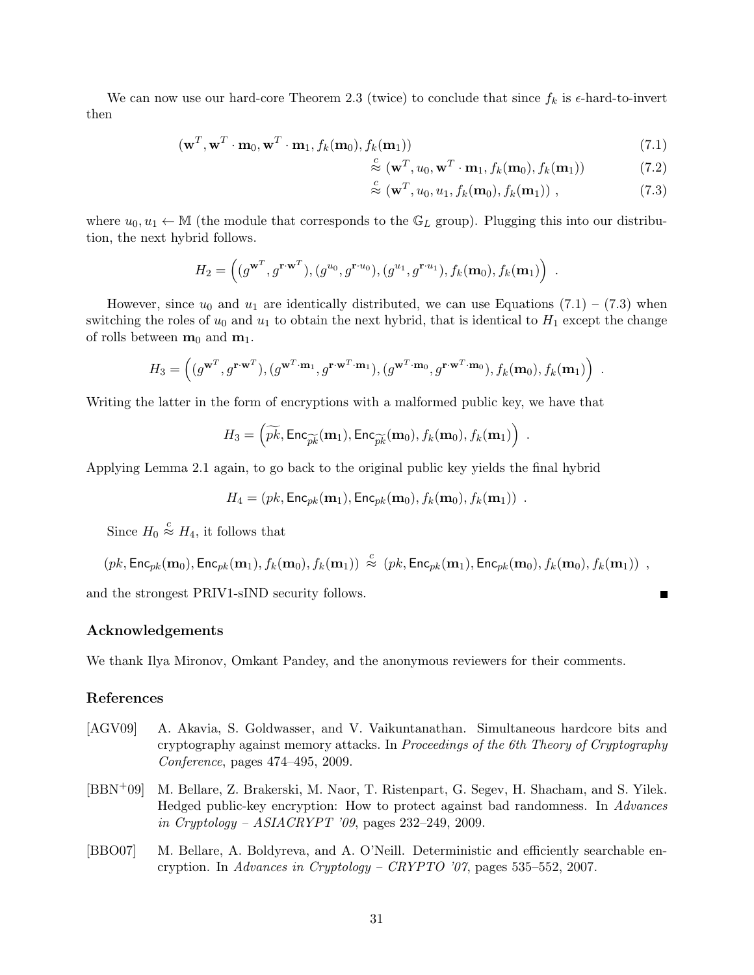We can now use our hard-core Theorem [2.3](#page-10-1) (twice) to conclude that since  $f_k$  is  $\epsilon$ -hard-to-invert then

<span id="page-31-3"></span>
$$
(\mathbf{w}^T, \mathbf{w}^T \cdot \mathbf{m}_0, \mathbf{w}^T \cdot \mathbf{m}_1, f_k(\mathbf{m}_0), f_k(\mathbf{m}_1))
$$
\n(7.1)

$$
\stackrel{c}{\approx} (\mathbf{w}^T, u_0, \mathbf{w}^T \cdot \mathbf{m}_1, f_k(\mathbf{m}_0), f_k(\mathbf{m}_1)) \tag{7.2}
$$

$$
\stackrel{c}{\approx} (\mathbf{w}^T, u_0, u_1, f_k(\mathbf{m}_0), f_k(\mathbf{m}_1)), \qquad (7.3)
$$

where  $u_0, u_1 \leftarrow \mathbb{M}$  (the module that corresponds to the  $\mathbb{G}_L$  group). Plugging this into our distribution, the next hybrid follows.

$$
H_2 = ((g^{\mathbf{w}^T}, g^{\mathbf{r} \cdot \mathbf{w}^T}), (g^{u_0}, g^{\mathbf{r} \cdot u_0}), (g^{u_1}, g^{\mathbf{r} \cdot u_1}), f_k(\mathbf{m}_0), f_k(\mathbf{m}_1))
$$
.

However, since  $u_0$  and  $u_1$  are identically distributed, we can use Equations ([7.1](#page-31-3)) – ([7.3\)](#page-31-3) when switching the roles of  $u_0$  and  $u_1$  to obtain the next hybrid, that is identical to  $H_1$  except the change of rolls between  $m_0$  and  $m_1$ .

$$
H_3 = \left( (g^{\mathbf{w}^T}, g^{\mathbf{r} \cdot \mathbf{w}^T}), (g^{\mathbf{w}^T \cdot \mathbf{m}_1}, g^{\mathbf{r} \cdot \mathbf{w}^T \cdot \mathbf{m}_1}), (g^{\mathbf{w}^T \cdot \mathbf{m}_0}, g^{\mathbf{r} \cdot \mathbf{w}^T \cdot \mathbf{m}_0}), f_k(\mathbf{m}_0), f_k(\mathbf{m}_1) \right) .
$$

Writing the latter in the form of encryptions with a malformed public key, we have that

$$
H_3 = \left( \widetilde{pk}, \textsf{Enc}_{\widetilde{pk}}(\mathbf{m}_1), \textsf{Enc}_{\widetilde{pk}}(\mathbf{m}_0), f_k(\mathbf{m}_0), f_k(\mathbf{m}_1) \right) \ .
$$

Applying Lemma [2.1](#page-9-2) again, to go back to the original public key yields the final hybrid

$$
H_4 = (pk, \mathsf{Enc}_{pk}(\mathbf{m}_1), \mathsf{Enc}_{pk}(\mathbf{m}_0), f_k(\mathbf{m}_0), f_k(\mathbf{m}_1))
$$
.

Since  $H_0 \stackrel{c}{\approx} H_4$ , it follows that

$$
(pk, \mathsf{Enc}_{pk}(\mathbf{m}_0), \mathsf{Enc}_{pk}(\mathbf{m}_1), f_k(\mathbf{m}_0), f_k(\mathbf{m}_1)) \stackrel{c}{\approx} (pk, \mathsf{Enc}_{pk}(\mathbf{m}_1), \mathsf{Enc}_{pk}(\mathbf{m}_0), f_k(\mathbf{m}_0), f_k(\mathbf{m}_1))
$$

and the strongest PRIV1-sIND security follows.

# **Acknowledgements**

We thank Ilya Mironov, Omkant Pandey, and the anonymous reviewers for their comments.

## **References**

- <span id="page-31-2"></span>[AGV09] A. Akavia, S. Goldwasser, and V. Vaikuntanathan. Simultaneous hardcore bits and cryptography against memory attacks. In *Proceedings of the 6th Theory of Cryptography Conference*, pages 474–495, 2009.
- <span id="page-31-0"></span>[BBN+09] M. Bellare, Z. Brakerski, M. Naor, T. Ristenpart, G. Segev, H. Shacham, and S. Yilek. Hedged public-key encryption: How to protect against bad randomness. In *Advances in Cryptology – ASIACRYPT '09*, pages 232–249, 2009.
- <span id="page-31-1"></span>[BBO07] M. Bellare, A. Boldyreva, and A. O'Neill. Deterministic and efficiently searchable encryption. In *Advances in Cryptology – CRYPTO '07*, pages 535–552, 2007.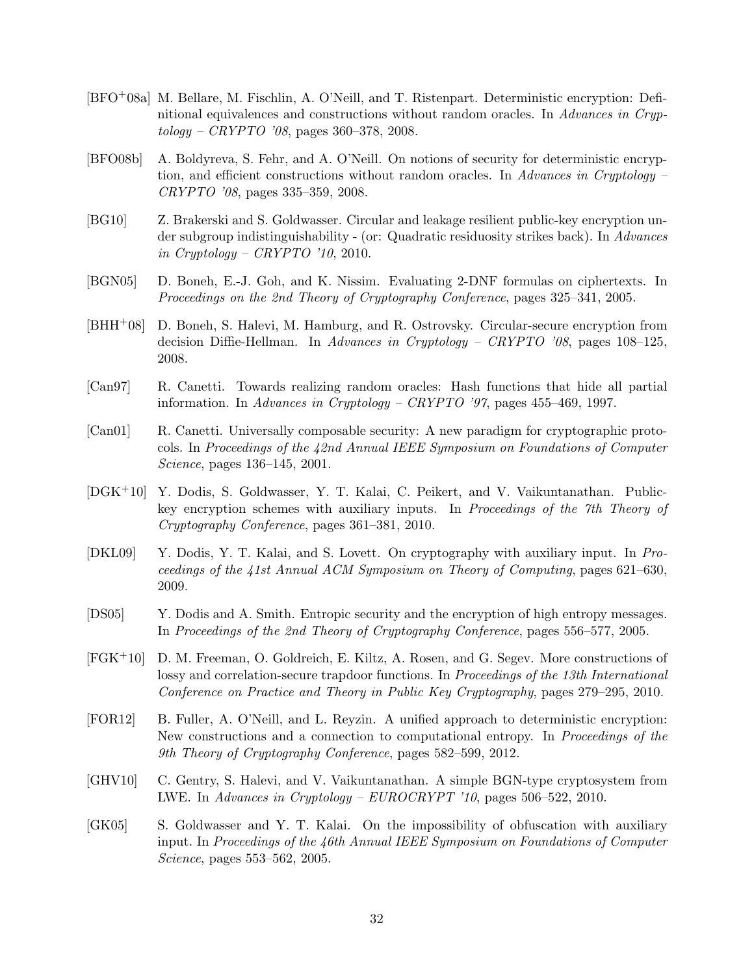- <span id="page-32-0"></span>[BFO+08a] M. Bellare, M. Fischlin, A. O'Neill, and T. Ristenpart. Deterministic encryption: Definitional equivalences and constructions without random oracles. In *Advances in Cryptology – CRYPTO '08*, pages 360–378, 2008.
- <span id="page-32-1"></span>[BFO08b] A. Boldyreva, S. Fehr, and A. O'Neill. On notions of security for deterministic encryption, and efficient constructions without random oracles. In *Advances in Cryptology – CRYPTO '08*, pages 335–359, 2008.
- <span id="page-32-8"></span>[BG10] Z. Brakerski and S. Goldwasser. Circular and leakage resilient public-key encryption under subgroup indistinguishability - (or: Quadratic residuosity strikes back). In *Advances in Cryptology – CRYPTO '10*, 2010.
- <span id="page-32-10"></span>[BGN05] D. Boneh, E.-J. Goh, and K. Nissim. Evaluating 2-DNF formulas on ciphertexts. In *Proceedings on the 2nd Theory of Cryptography Conference*, pages 325–341, 2005.
- <span id="page-32-13"></span>[BHH+08] D. Boneh, S. Halevi, M. Hamburg, and R. Ostrovsky. Circular-secure encryption from decision Diffie-Hellman. In *Advances in Cryptology – CRYPTO '08*, pages 108–125, 2008.
- <span id="page-32-4"></span>[Can97] R. Canetti. Towards realizing random oracles: Hash functions that hide all partial information. In *Advances in Cryptology – CRYPTO '97*, pages 455–469, 1997.
- <span id="page-32-3"></span>[Can01] R. Canetti. Universally composable security: A new paradigm for cryptographic protocols. In *Proceedings of the 42nd Annual IEEE Symposium on Foundations of Computer Science*, pages 136–145, 2001.
- <span id="page-32-7"></span>[DGK+10] Y. Dodis, S. Goldwasser, Y. T. Kalai, C. Peikert, and V. Vaikuntanathan. Publickey encryption schemes with auxiliary inputs. In *Proceedings of the 7th Theory of Cryptography Conference*, pages 361–381, 2010.
- <span id="page-32-6"></span>[DKL09] Y. Dodis, Y. T. Kalai, and S. Lovett. On cryptography with auxiliary input. In *Proceedings of the 41st Annual ACM Symposium on Theory of Computing*, pages 621–630, 2009.
- <span id="page-32-9"></span>[DS05] Y. Dodis and A. Smith. Entropic security and the encryption of high entropy messages. In *Proceedings of the 2nd Theory of Cryptography Conference*, pages 556–577, 2005.
- <span id="page-32-12"></span>[FGK+10] D. M. Freeman, O. Goldreich, E. Kiltz, A. Rosen, and G. Segev. More constructions of lossy and correlation-secure trapdoor functions. In *Proceedings of the 13th International Conference on Practice and Theory in Public Key Cryptography*, pages 279–295, 2010.
- <span id="page-32-2"></span>[FOR12] B. Fuller, A. O'Neill, and L. Reyzin. A unified approach to deterministic encryption: New constructions and a connection to computational entropy. In *Proceedings of the 9th Theory of Cryptography Conference*, pages 582–599, 2012.
- <span id="page-32-11"></span>[GHV10] C. Gentry, S. Halevi, and V. Vaikuntanathan. A simple BGN-type cryptosystem from LWE. In *Advances in Cryptology – EUROCRYPT '10*, pages 506–522, 2010.
- <span id="page-32-5"></span>[GK05] S. Goldwasser and Y. T. Kalai. On the impossibility of obfuscation with auxiliary input. In *Proceedings of the 46th Annual IEEE Symposium on Foundations of Computer Science*, pages 553–562, 2005.